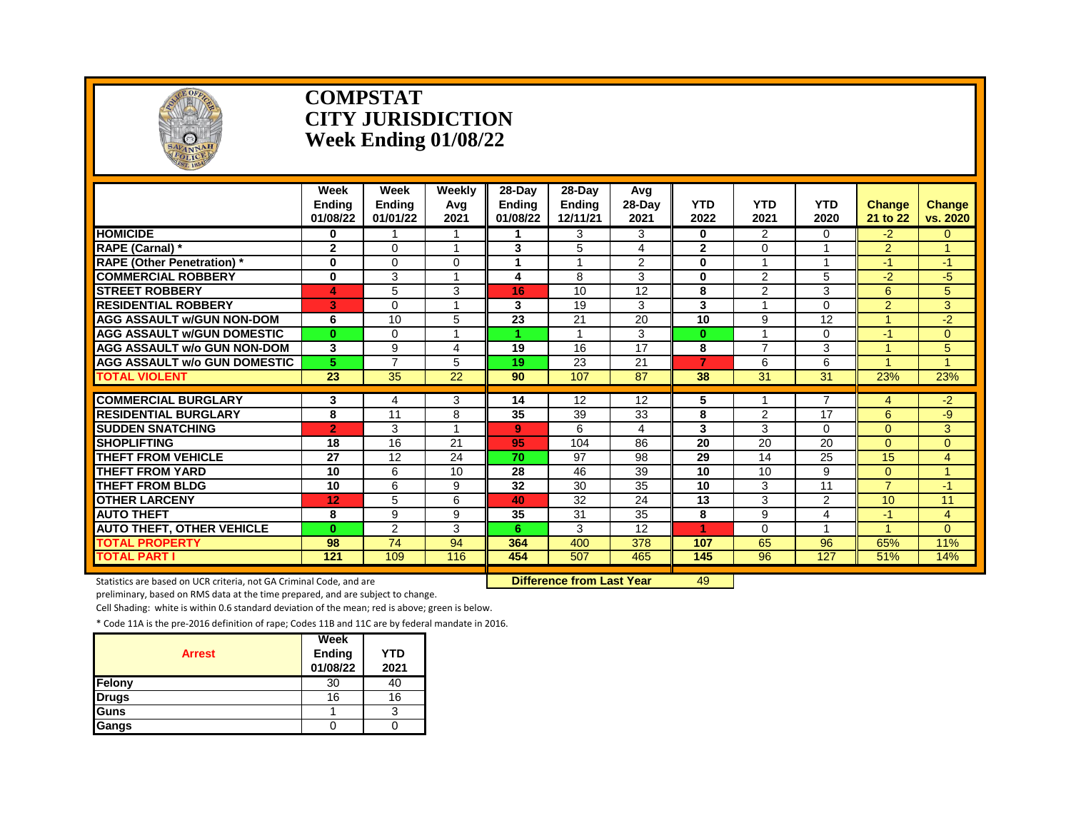

#### **COMPSTAT CITY JURISDICTION Week Ending 01/08/22**

|                                     | Week<br><b>Endina</b><br>01/08/22 | Week<br><b>Endina</b><br>01/01/22 | Weekly<br>Avg<br>2021 | 28-Day<br>Endina<br>01/08/22 | 28-Dav<br><b>Endina</b><br>12/11/21 | Avg<br>28-Day<br>2021 | <b>YTD</b><br>2022 | <b>YTD</b><br>2021 | <b>YTD</b><br>2020 | <b>Change</b><br>21 to 22 | <b>Change</b><br>vs. 2020 |
|-------------------------------------|-----------------------------------|-----------------------------------|-----------------------|------------------------------|-------------------------------------|-----------------------|--------------------|--------------------|--------------------|---------------------------|---------------------------|
| <b>HOMICIDE</b>                     | 0                                 |                                   |                       |                              | 3                                   | 3                     | $\bf{0}$           | 2                  | 0                  | -2.                       | $\Omega$                  |
| RAPE (Carnal) *                     | $\mathbf 2$                       | $\Omega$                          | $\overline{A}$        | 3                            | 5                                   | 4                     | $\mathbf{2}$       | $\Omega$           |                    | $\overline{2}$            | 4                         |
| <b>RAPE (Other Penetration)</b> *   | $\bf{0}$                          | $\Omega$                          | $\Omega$              | 1                            | $\overline{A}$                      | 2                     | $\bf{0}$           | $\overline{ }$     | $\overline{A}$     | $-1$                      | -1                        |
| <b>COMMERCIAL ROBBERY</b>           | $\bf{0}$                          | 3                                 |                       | 4                            | 8                                   | 3                     | $\bf{0}$           | $\overline{2}$     | 5                  | $-2$                      | $-5$                      |
| <b>STREET ROBBERY</b>               | 4                                 | 5                                 | 3                     | 16                           | 10                                  | 12                    | 8                  | 2                  | 3                  | 6                         | 5                         |
| <b>RESIDENTIAL ROBBERY</b>          | 3                                 | $\Omega$                          | 1                     | 3                            | 19                                  | 3                     | 3                  | -1                 | $\Omega$           | $\overline{2}$            | 3                         |
| <b>AGG ASSAULT w/GUN NON-DOM</b>    | 6                                 | 10                                | 5                     | 23                           | 21                                  | 20                    | 10                 | 9                  | 12                 |                           | $-2$                      |
| <b>AGG ASSAULT W/GUN DOMESTIC</b>   | $\bf{0}$                          | $\Omega$                          | $\overline{A}$        |                              |                                     | 3                     | $\bf{0}$           |                    | 0                  | $-1$                      | $\Omega$                  |
| <b>AGG ASSAULT w/o GUN NON-DOM</b>  | 3                                 | 9                                 | 4                     | 19                           | 16                                  | 17                    | 8                  | $\overline{7}$     | 3                  |                           | 5                         |
| <b>AGG ASSAULT W/o GUN DOMESTIC</b> | 5                                 | $\overline{7}$                    | 5                     | 19                           | 23                                  | 21                    | $\overline{7}$     | 6                  | 6                  |                           |                           |
| <b>TOTAL VIOLENT</b>                | 23                                | 35                                | 22                    | 90                           | 107                                 | 87                    | 38                 | 31                 | 31                 | 23%                       | 23%                       |
| <b>COMMERCIAL BURGLARY</b>          | 3                                 | 4                                 | 3                     | 14                           | 12                                  | $\overline{12}$       | 5                  |                    | 7                  | 4                         | $-2$                      |
| <b>RESIDENTIAL BURGLARY</b>         | 8                                 | 11                                | 8                     | 35                           | 39                                  | 33                    | 8                  | 2                  | 17                 | 6                         | -9                        |
| <b>SUDDEN SNATCHING</b>             | $\overline{2}$                    | 3                                 |                       | 9.                           | 6                                   |                       | 3                  | 3                  | 0                  | $\Omega$                  | 3                         |
| <b>SHOPLIFTING</b>                  | 18                                | 16                                | 21                    | 95                           | 104                                 | 4<br>86               | $\overline{20}$    | 20                 | 20                 | $\Omega$                  | $\Omega$                  |
| <b>THEFT FROM VEHICLE</b>           | 27                                | 12                                | 24                    | 70                           | 97                                  | 98                    | 29                 | 14                 | 25                 | 15                        | 4                         |
| <b>THEFT FROM YARD</b>              | 10                                | 6                                 | 10                    | 28                           | 46                                  | 39                    | 10                 | 10                 | 9                  | $\Omega$                  |                           |
| <b>THEFT FROM BLDG</b>              | 10                                | 6                                 | 9                     | 32                           | 30                                  | 35                    | 10                 | 3                  | 11                 | $\overline{7}$            | $-1$                      |
| <b>OTHER LARCENY</b>                | 12                                | 5                                 | 6                     | 40                           | 32                                  | 24                    | 13                 | 3                  | $\overline{2}$     | 10                        | 11                        |
| <b>AUTO THEFT</b>                   | 8                                 | 9                                 | 9                     | 35                           | 31                                  | 35                    | 8                  | 9                  | 4                  | -1                        | 4                         |
| <b>AUTO THEFT, OTHER VEHICLE</b>    | $\bf{0}$                          | $\overline{2}$                    | 3                     | 6                            | 3                                   | 12                    | и                  | $\Omega$           | 4                  |                           | $\Omega$                  |
| <b>TOTAL PROPERTY</b>               | 98                                | 74                                | 94                    | 364                          | 400                                 | 378                   | 107                | 65                 | 96                 | 65%                       | 11%                       |
| TOTAL PART I                        | 121                               | 109                               | 116                   | 454                          | 507                                 | 465                   | 145                | 96                 | 127                | 51%                       | 14%                       |
|                                     |                                   |                                   |                       |                              |                                     |                       |                    |                    |                    |                           |                           |

Statistics are based on UCR criteria, not GA Criminal Code, and are **Difference from Last Year** 49

preliminary, based on RMS data at the time prepared, and are subject to change.

Cell Shading: white is within 0.6 standard deviation of the mean; red is above; green is below.

| <b>Arrest</b> | Week<br>Ending<br>01/08/22 | <b>YTD</b><br>2021 |
|---------------|----------------------------|--------------------|
| Felony        | 30                         | 40                 |
| <b>Drugs</b>  | 16                         | 16                 |
| Guns          |                            |                    |
| Gangs         |                            |                    |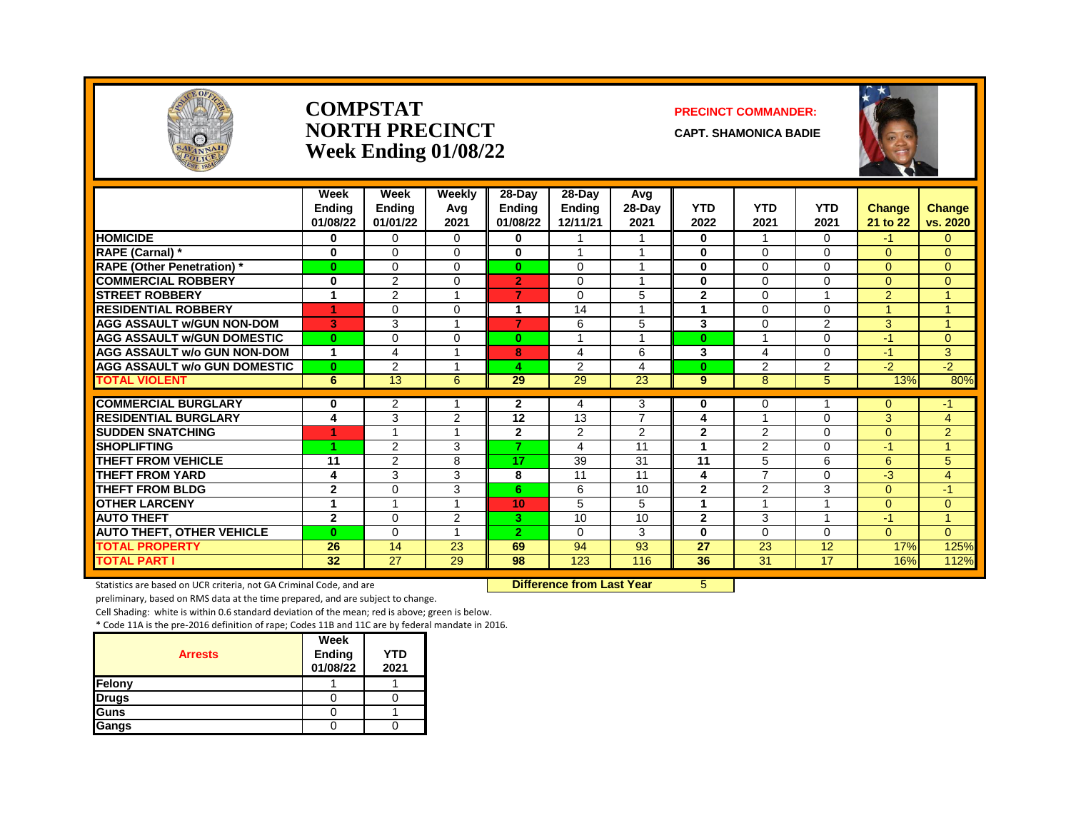

#### **COMPSTAT PRECINCT COMMANDER: NORTH PRECINCT CAPT. SHAMONICA BADIE Week Ending 01/08/22**



|                                     | Week                      | Week                      | Weekly      | 28-Day             | $28-Dav$                  | Avg              |                    |                    |                    |                           |                           |
|-------------------------------------|---------------------------|---------------------------|-------------|--------------------|---------------------------|------------------|--------------------|--------------------|--------------------|---------------------------|---------------------------|
|                                     | <b>Endina</b><br>01/08/22 | <b>Ending</b><br>01/01/22 | Avg<br>2021 | Ending<br>01/08/22 | <b>Ending</b><br>12/11/21 | $28-Day$<br>2021 | <b>YTD</b><br>2022 | <b>YTD</b><br>2021 | <b>YTD</b><br>2021 | <b>Change</b><br>21 to 22 | <b>Change</b><br>vs. 2020 |
| <b>HOMICIDE</b>                     | 0                         | 0                         | $\Omega$    | 0                  |                           | 1                | 0                  | -1                 | $\Omega$           | $-1$                      | 0                         |
| RAPE (Carnal) *                     | $\bf{0}$                  | $\Omega$                  | $\Omega$    | 0                  |                           |                  | $\bf{0}$           | $\Omega$           | $\Omega$           | $\Omega$                  | $\Omega$                  |
| <b>RAPE (Other Penetration)*</b>    | $\bf{0}$                  | $\Omega$                  | $\Omega$    | $\bf{0}$           | $\mathbf 0$               | $\overline{ }$   | $\bf{0}$           | $\Omega$           | $\Omega$           | $\Omega$                  | $\Omega$                  |
| <b>COMMERCIAL ROBBERY</b>           | $\bf{0}$                  | 2                         | $\Omega$    | $\overline{2}$     | $\Omega$                  | 1                | $\bf{0}$           | $\Omega$           | $\Omega$           | $\Omega$                  | $\Omega$                  |
| <b>ISTREET ROBBERY</b>              | 1                         | 2                         |             | 7                  | $\Omega$                  | 5                | $\mathbf{2}$       | $\Omega$           |                    | $\overline{2}$            | 4                         |
| <b>RESIDENTIAL ROBBERY</b>          | 4                         | $\Omega$                  | $\Omega$    | 1                  | 14                        | $\overline{ }$   | 4                  | $\Omega$           | $\Omega$           |                           | 4                         |
| <b>AGG ASSAULT W/GUN NON-DOM</b>    | 3                         | 3                         |             | 7                  | 6                         | 5                | 3                  | $\Omega$           | $\overline{2}$     | 3                         | 4                         |
| <b>AGG ASSAULT W/GUN DOMESTIC</b>   | $\mathbf{0}$              | $\Omega$                  | $\Omega$    | $\bf{0}$           | $\overline{A}$            | 1                | $\mathbf{0}$       | $\overline{ }$     | $\Omega$           | $-1$                      | $\Omega$                  |
| <b>AGG ASSAULT w/o GUN NON-DOM</b>  | 1                         | 4                         |             | 8                  | 4                         | 6                | 3                  | 4                  | $\Omega$           | $-1$                      | 3                         |
| <b>AGG ASSAULT W/o GUN DOMESTIC</b> | $\mathbf{0}$              | 2                         |             | 4                  | 2                         | 4                | $\bf{0}$           | $\overline{2}$     | $\overline{2}$     | $-2$                      | $-2$                      |
| <b>TOTAL VIOLENT</b>                | 6                         | 13                        | 6           | 29                 | 29                        | 23               | 9                  | 8                  | 5 <sup>5</sup>     | 13%                       | 80%                       |
| <b>COMMERCIAL BURGLARY</b>          | 0                         | 2                         |             | 2                  | 4                         | 3                | 0                  | 0                  |                    | $\Omega$                  | -1                        |
| <b>RESIDENTIAL BURGLARY</b>         | 4                         | 3                         | 2           | 12                 | 13                        | $\overline{7}$   | 4                  | -1                 | $\Omega$           | 3                         | 4                         |
| <b>SUDDEN SNATCHING</b>             |                           |                           |             | $\overline{2}$     | 2                         | 2                | $\overline{2}$     | $\overline{2}$     | $\Omega$           | $\Omega$                  | $\overline{2}$            |
| <b>SHOPLIFTING</b>                  | 4                         | 2                         | 3           | 7                  | 4                         | 11               | -1                 | 2                  | $\Omega$           | $-1$                      | 4                         |
| THEFT FROM VEHICLE                  | 11                        | 2                         | 8           | 17                 | 39                        | 31               | 11                 | 5                  | 6                  | 6                         | 5                         |
| <b>THEFT FROM YARD</b>              | 4                         | 3                         | 3           | 8                  | 11                        | 11               | 4                  | $\overline{7}$     | $\Omega$           | -3                        | $\overline{4}$            |
| <b>THEFT FROM BLDG</b>              | $\mathbf{2}$              | $\Omega$                  | 3           | 6.                 | 6                         | 10               | $\mathbf{2}$       | 2                  | 3                  | $\Omega$                  | $-1$                      |
| <b>OTHER LARCENY</b>                | 1                         |                           |             | 10                 | 5                         | 5                |                    | -1                 |                    | $\Omega$                  | $\overline{0}$            |
| <b>AUTO THEFT</b>                   | $\overline{2}$            | $\Omega$                  | 2           | З.                 | 10                        | 10               | $\mathbf{2}$       | 3                  |                    | $-1$                      | 4                         |
| <b>AUTO THEFT, OTHER VEHICLE</b>    | $\bf{0}$                  | $\Omega$                  |             | $\overline{2}$     | $\Omega$                  | 3                | $\bf{0}$           | $\Omega$           | $\Omega$           | $\Omega$                  | $\Omega$                  |
| <b>TOTAL PROPERTY</b>               | 26                        | 14                        | 23          | 69                 | 94                        | 93               | 27                 | 23                 | 12                 | 17%                       | 125%                      |
| <b>TOTAL PART I</b>                 | 32                        | $\overline{27}$           | 29          | 98                 | 123                       | 116              | 36                 | 31                 | 17                 | 16%                       | 112%                      |

Statistics are based on UCR criteria, not GA Criminal Code, and are **Difference from Last Year** 5

preliminary, based on RMS data at the time prepared, and are subject to change.

Cell Shading: white is within 0.6 standard deviation of the mean; red is above; green is below.

| <b>Arrests</b> | Week<br><b>Ending</b><br>01/08/22 | <b>YTD</b><br>2021 |
|----------------|-----------------------------------|--------------------|
| Felony         |                                   |                    |
| <b>Drugs</b>   |                                   |                    |
| Guns           |                                   |                    |
| Gangs          |                                   |                    |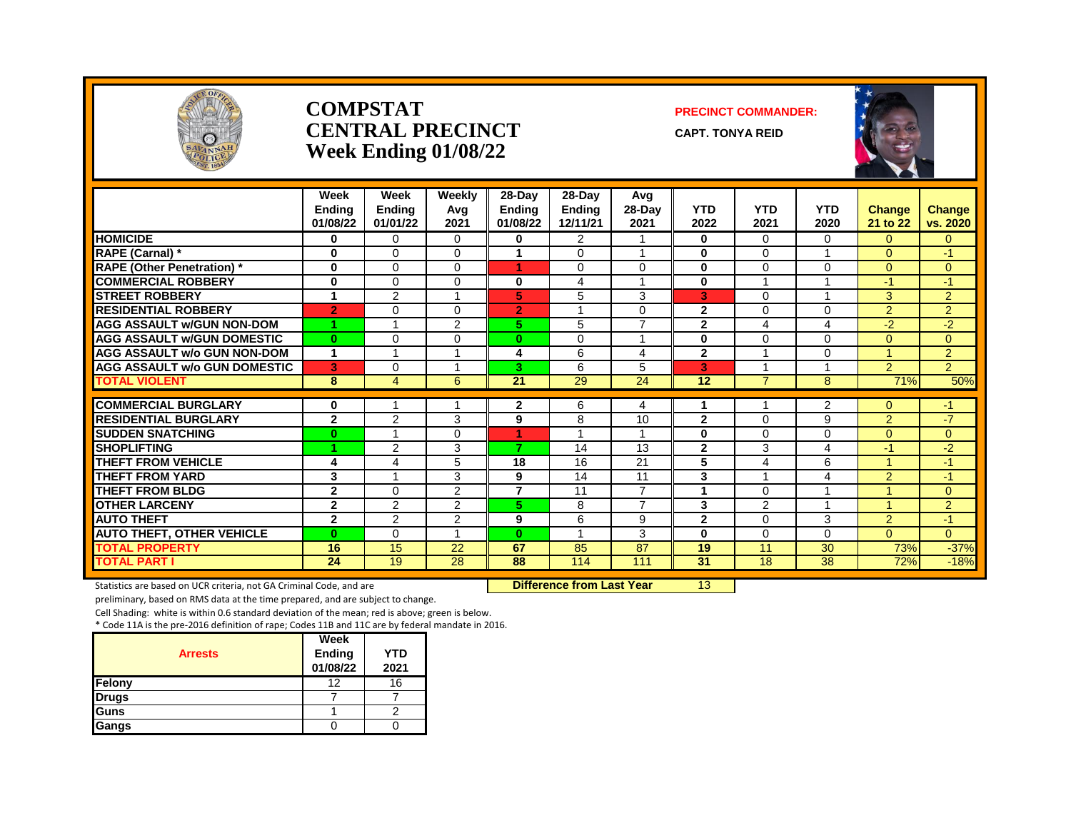

#### **COMPSTAT PRECINCT COMMANDER: CENTRAL PRECINCT** CAPT. TONYA REID **Week Ending 01/08/22**





|                                                           | Week<br><b>Endina</b><br>01/08/22 | Week<br><b>Ending</b><br>01/01/22 | Weekly<br>Avg<br>2021 | $28-Day$<br><b>Endina</b><br>01/08/22 | 28-Day<br><b>Ending</b><br>12/11/21 | Avg<br>28-Day<br>2021 | <b>YTD</b><br>2022 | <b>YTD</b><br>2021 | <b>YTD</b><br>2020  | <b>Change</b><br>21 to 22 | <b>Change</b><br>vs. 2020 |
|-----------------------------------------------------------|-----------------------------------|-----------------------------------|-----------------------|---------------------------------------|-------------------------------------|-----------------------|--------------------|--------------------|---------------------|---------------------------|---------------------------|
| <b>HOMICIDE</b>                                           | 0                                 | $\Omega$                          | 0                     | $\bf{0}$                              | 2                                   |                       | $\bf{0}$           | $\Omega$           | 0                   | $\Omega$                  | $\mathbf{0}$              |
| RAPE (Carnal) *                                           | $\bf{0}$                          | $\Omega$                          | 0                     | 1                                     | $\Omega$                            | $\overline{A}$        | 0                  | $\Omega$           |                     | $\Omega$                  | $-1$                      |
| <b>RAPE (Other Penetration) *</b>                         | $\bf{0}$                          | $\Omega$                          | 0                     | 1                                     | $\Omega$                            | $\mathbf 0$           | $\bf{0}$           | $\Omega$           | 0                   | $\overline{0}$            | $\overline{0}$            |
| <b>COMMERCIAL ROBBERY</b>                                 | $\bf{0}$                          | $\Omega$                          | 0                     | 0                                     | 4                                   | -1                    | $\bf{0}$           | 4                  |                     | $-1$                      | $-1$                      |
| <b>STREET ROBBERY</b>                                     | 1                                 | $\overline{2}$                    |                       | 5                                     | 5                                   | 3                     | 3                  | $\Omega$           | 4                   | 3                         | 2                         |
| <b>RESIDENTIAL ROBBERY</b>                                | $\overline{2}$                    | $\Omega$                          | 0                     | $\overline{2}$                        |                                     | $\Omega$              | $\mathbf{2}$       | $\Omega$           | 0                   | 2                         | 2                         |
| <b>AGG ASSAULT w/GUN NON-DOM</b>                          | и                                 |                                   | 2                     | 5.                                    | 5                                   | $\overline{7}$        | $\overline{2}$     | 4                  | 4                   | $-2$                      | $-2$                      |
| <b>AGG ASSAULT W/GUN DOMESTIC</b>                         | $\bf{0}$                          | $\Omega$                          | 0                     | $\bf{0}$                              | $\Omega$                            | $\overline{ }$        | $\bf{0}$           | $\Omega$           | 0                   | $\Omega$                  | $\overline{0}$            |
| <b>AGG ASSAULT w/o GUN NON-DOM</b>                        | $\mathbf 1$                       | 1                                 |                       | 4                                     | 6                                   | 4                     | $\mathbf{2}$       | 1                  | 0                   | 4                         | 2                         |
| <b>AGG ASSAULT w/o GUN DOMESTIC</b>                       | 3                                 | 0                                 |                       | 3                                     | 6                                   | 5                     | 3                  |                    |                     | 2                         | 2                         |
| <b>TOTAL VIOLENT</b>                                      | 8                                 | $\overline{4}$                    | 6                     | 21                                    | 29                                  | 24                    | 12                 | 7                  | 8                   | 71%                       | 50%                       |
|                                                           | $\bf{0}$                          | 1                                 |                       |                                       |                                     |                       | 1                  | 1                  |                     | $\Omega$                  |                           |
| <b>COMMERCIAL BURGLARY</b><br><b>RESIDENTIAL BURGLARY</b> | $\mathbf{2}$                      | $\overline{2}$                    | 3                     | $\mathbf{2}$<br>9                     | 6<br>8                              | 4<br>10               | $\mathbf{2}$       | $\Omega$           | $\overline{2}$<br>9 | 2                         | -1<br>$-7$                |
| <b>SUDDEN SNATCHING</b>                                   |                                   |                                   |                       |                                       | 1                                   | $\overline{A}$        | $\bf{0}$           | $\Omega$           | 0                   | $\overline{0}$            | $\overline{0}$            |
| <b>SHOPLIFTING</b>                                        | $\bf{0}$<br>×                     | 2                                 | 0<br>3                | 1<br>$\overline{7}$                   | 14                                  | 13                    | $\overline{2}$     | 3                  | 4                   | -1                        | $-2$                      |
|                                                           |                                   |                                   |                       |                                       |                                     |                       |                    |                    |                     |                           |                           |
| <b>THEFT FROM VEHICLE</b>                                 | 4                                 | 4                                 | 5                     | 18                                    | 16                                  | 21                    | 5                  | 4                  | 6                   |                           | $-1$                      |
| <b>THEFT FROM YARD</b>                                    | 3<br>$\mathbf{2}$                 |                                   | 3                     | 9<br>$\overline{7}$                   | 14<br>11                            | 11<br>$\overline{7}$  | 3                  |                    | 4                   | 2                         | $-1$                      |
| <b>THEFT FROM BLDG</b>                                    |                                   | $\Omega$                          | 2                     |                                       |                                     | $\overline{7}$        |                    | $\Omega$           | 4                   |                           | $\mathbf{0}$              |
| <b>OTHER LARCENY</b>                                      | $\mathbf{2}$                      | 2                                 | $\overline{2}$        | 5.                                    | 8                                   |                       | 3                  | 2                  |                     |                           | 2                         |
| <b>AUTO THEFT</b>                                         | $\mathbf{2}$                      | 2                                 | 2                     | 9                                     | 6                                   | 9                     | $\mathbf{2}$       | $\Omega$           | 3                   | 2                         | $-1$                      |
| <b>AUTO THEFT, OTHER VEHICLE</b>                          | $\bf{0}$                          | $\Omega$                          |                       | $\bf{0}$                              |                                     | 3                     | $\bf{0}$           | $\Omega$           | 0                   | $\Omega$                  | $\Omega$                  |
| <b>TOTAL PROPERTY</b>                                     | 16                                | 15                                | 22                    | 67                                    | 85                                  | 87                    | 19                 | 11                 | 30                  | 73%                       | $-37%$                    |
| <b>TOTAL PART I</b>                                       | 24                                | 19                                | 28                    | 88                                    | 114                                 | 111                   | 31                 | 18                 | 38                  | 72%                       | $-18%$                    |

Statistics are based on UCR criteria, not GA Criminal Code, and are **Difference from Last Year** 13

preliminary, based on RMS data at the time prepared, and are subject to change.

Cell Shading: white is within 0.6 standard deviation of the mean; red is above; green is below.

| <b>Arrests</b> | <b>Week</b><br>Ending<br>01/08/22 | <b>YTD</b><br>2021 |
|----------------|-----------------------------------|--------------------|
| Felony         | 12                                | 16                 |
| <b>Drugs</b>   |                                   |                    |
| Guns           |                                   |                    |
| Gangs          |                                   |                    |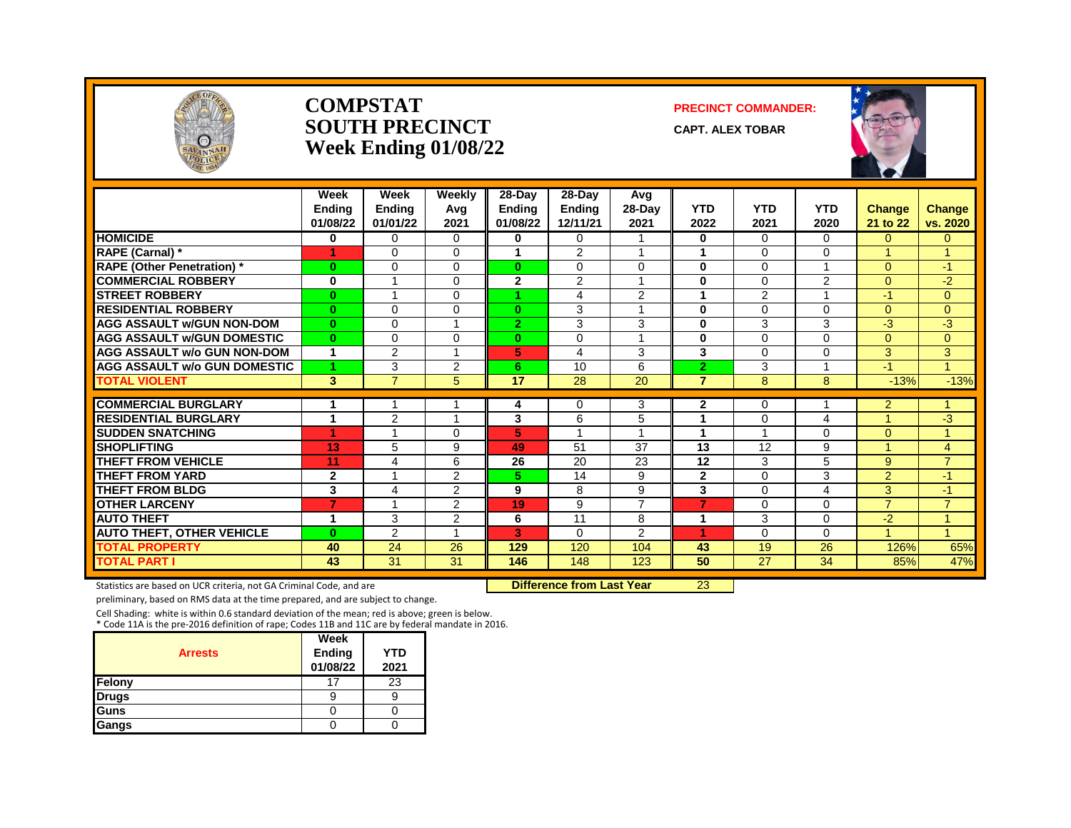

#### **COMPSTAT PRECINCT COMMANDER: SOUTH PRECINCT** CAPT. ALEX TOBAR **Week Ending 01/08/22**



|                                     | Week<br><b>Endina</b><br>01/08/22 | Week<br><b>Ending</b><br>01/01/22 | Weekly<br>Avg<br>2021 | 28-Day<br><b>Ending</b><br>01/08/22 | 28-Day<br><b>Ending</b><br>12/11/21 | Avg<br>$28-Day$<br>2021 | <b>YTD</b><br>2022 | <b>YTD</b><br>2021 | <b>YTD</b><br>2020 | <b>Change</b><br>21 to 22 | <b>Change</b><br>vs. 2020 |
|-------------------------------------|-----------------------------------|-----------------------------------|-----------------------|-------------------------------------|-------------------------------------|-------------------------|--------------------|--------------------|--------------------|---------------------------|---------------------------|
| <b>HOMICIDE</b>                     | 0                                 | $\Omega$                          | $\Omega$              | 0                                   | $\Omega$                            |                         | $\bf{0}$           | $\Omega$           | 0                  | $\overline{0}$            | 0                         |
| RAPE (Carnal) *                     |                                   | $\Omega$                          | $\Omega$              | 1                                   | 2                                   |                         | 1                  | $\Omega$           | 0                  |                           |                           |
| <b>RAPE (Other Penetration) *</b>   | $\bf{0}$                          | $\Omega$                          | $\Omega$              | $\bf{0}$                            | $\Omega$                            | $\Omega$                | $\bf{0}$           | $\Omega$           |                    | $\Omega$                  | $-1$                      |
| <b>COMMERCIAL ROBBERY</b>           | 0                                 | -1                                | $\Omega$              | $\overline{2}$                      | 2                                   | $\overline{A}$          | $\bf{0}$           | $\Omega$           | $\overline{2}$     | $\Omega$                  | $-2$                      |
| <b>STREET ROBBERY</b>               | $\bf{0}$                          | -4                                | $\Omega$              |                                     | 4                                   | 2                       | 1                  | 2                  | -1                 | $-1$                      | 0                         |
| <b>RESIDENTIAL ROBBERY</b>          | $\bf{0}$                          | $\Omega$                          | $\Omega$              | $\bf{0}$                            | 3                                   |                         | $\bf{0}$           | $\Omega$           | $\Omega$           | $\Omega$                  | $\overline{0}$            |
| <b>AGG ASSAULT w/GUN NON-DOM</b>    | $\mathbf{0}$                      | $\Omega$                          |                       | $\mathbf{2}$                        | 3                                   | 3                       | $\bf{0}$           | 3                  | 3                  | $-3$                      | $-3$                      |
| <b>AGG ASSAULT W/GUN DOMESTIC</b>   | $\bf{0}$                          | $\Omega$                          | $\Omega$              | $\bf{0}$                            | $\Omega$                            | $\overline{A}$          | $\bf{0}$           | $\Omega$           | $\Omega$           | $\Omega$                  | $\overline{0}$            |
| <b>AGG ASSAULT w/o GUN NON-DOM</b>  | 1                                 | 2                                 |                       | 5                                   | 4                                   | 3                       | 3                  | $\Omega$           | 0                  | 3                         | 3                         |
| <b>AGG ASSAULT W/o GUN DOMESTIC</b> |                                   | 3                                 | 2                     | 6.                                  | 10                                  | 6                       | $\overline{2}$     | 3                  |                    | $\blacktriangleleft$      | 4                         |
| <b>TOTAL VIOLENT</b>                | 3                                 | $\overline{7}$                    | 5                     | $\overline{17}$                     | $\overline{28}$                     | $\overline{20}$         | $\overline{7}$     | 8                  | 8                  | $-13%$                    | $-13%$                    |
| <b>COMMERCIAL BURGLARY</b>          | 1                                 |                                   |                       | 4                                   | 0                                   | 3                       | $\mathbf{2}$       | 0                  |                    | $\overline{2}$            |                           |
| <b>RESIDENTIAL BURGLARY</b>         | 1                                 | $\overline{2}$                    |                       | 3                                   | 6                                   | 5                       | 1                  | $\Omega$           | 4                  | 4                         | $-3$                      |
| <b>SUDDEN SNATCHING</b>             | и                                 | $\overline{ }$                    | $\Omega$              | 5                                   | $\overline{ }$                      |                         | 1                  |                    | 0                  | $\Omega$                  | $\overline{A}$            |
| <b>SHOPLIFTING</b>                  | 13                                | 5                                 | 9                     | 49                                  | 51                                  | 37                      | 13                 | 12                 | 9                  | 1                         | 4                         |
| <b>THEFT FROM VEHICLE</b>           | 11                                | 4                                 | 6                     | 26                                  | 20                                  | 23                      | 12                 | 3                  | 5                  | 9                         | $\overline{7}$            |
| <b>THEFT FROM YARD</b>              | $\mathbf 2$                       |                                   | 2                     | 5.                                  | 14                                  | 9                       | $\mathbf{2}$       | $\Omega$           | 3                  | $\overline{2}$            | $-1$                      |
| <b>THEFT FROM BLDG</b>              | 3                                 | 4                                 | 2                     | 9                                   | 8                                   | 9                       | 3                  | $\Omega$           | 4                  | 3                         | $-1$                      |
| <b>OTHER LARCENY</b>                | 7                                 |                                   | 2                     | 19                                  | 9                                   | $\overline{7}$          | 7                  | $\Omega$           | 0                  | $\overline{7}$            | $\overline{7}$            |
| <b>AUTO THEFT</b>                   | 1                                 | 3                                 | 2                     | 6                                   | 11                                  | 8                       | 1                  | 3                  | 0                  | $-2$                      |                           |
| <b>AUTO THEFT, OTHER VEHICLE</b>    | $\bf{0}$                          | $\overline{2}$                    |                       | 3                                   | $\Omega$                            | 2                       | 4                  | $\Omega$           | 0                  |                           |                           |
| <b>TOTAL PROPERTY</b>               | 40                                | 24                                | 26                    | 129                                 | 120                                 | 104                     | 43                 | 19                 | 26                 | 126%                      | 65%                       |
| <b>TOTAL PART I</b>                 | 43                                | $\overline{31}$                   | 31                    | 146                                 | 148                                 | 123                     | 50                 | $\overline{27}$    | 34                 | 85%                       | 47%                       |

Statistics are based on UCR criteria, not GA Criminal Code, and are **Difference from Last Year** 23

preliminary, based on RMS data at the time prepared, and are subject to change.

Cell Shading: white is within 0.6 standard deviation of the mean; red is above; green is below. \* Code 11A is the pre-2016 definition of rape; Codes 11B and 11C are by federal mandate in 2016.

| <b>Arrests</b> | Week<br>Ending<br>01/08/22 | YTD<br>2021 |
|----------------|----------------------------|-------------|
| Felony         | 17                         | 23          |
| <b>Drugs</b>   | 9                          |             |
| <b>Guns</b>    |                            |             |
| Gangs          |                            |             |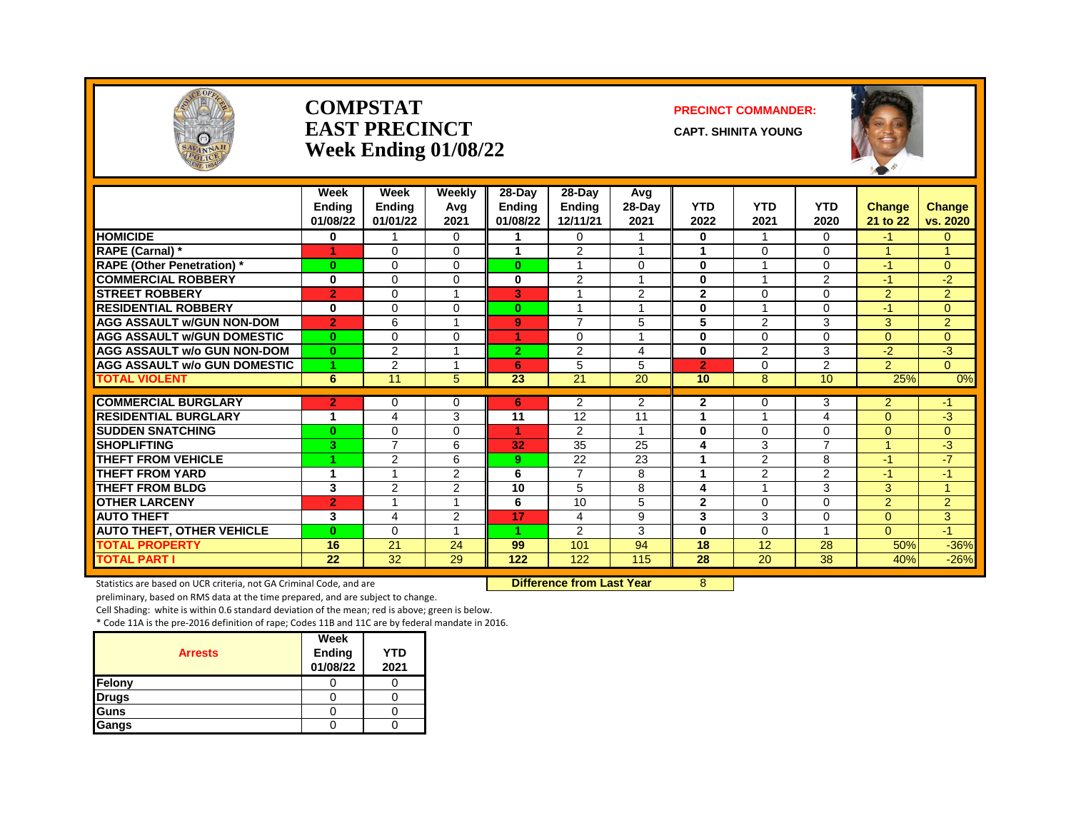

#### **COMPSTAT PRECINCT COMMANDER: EAST PRECINCT CAPT.** SHINITA YOUNG **Week Ending 01/08/22**



|                                     | Week<br><b>Endina</b><br>01/08/22 | Week<br><b>Ending</b><br>01/01/22 | Weekly<br>Avg<br>2021 | 28-Day<br><b>Ending</b><br>01/08/22 | $28-Day$<br><b>Ending</b><br>12/11/21 | Avg<br>$28-Day$<br>2021 | <b>YTD</b><br>2022 | <b>YTD</b><br>2021      | <b>YTD</b><br>2020      | <b>Change</b><br>21 to 22 | <b>Change</b><br>vs. 2020 |
|-------------------------------------|-----------------------------------|-----------------------------------|-----------------------|-------------------------------------|---------------------------------------|-------------------------|--------------------|-------------------------|-------------------------|---------------------------|---------------------------|
| <b>HOMICIDE</b>                     | 0                                 |                                   | $\Omega$              |                                     | 0                                     | 1                       | $\bf{0}$           | 1                       | $\Omega$                | -1                        | $\Omega$                  |
| <b>RAPE (Carnal) *</b>              | и                                 | $\Omega$                          | $\Omega$              | 4                                   | $\mathcal{P}$                         | $\overline{ }$          | 1                  | $\Omega$                | $\Omega$                |                           | $\overline{A}$            |
| <b>RAPE (Other Penetration)</b> *   | $\bf{0}$                          | $\Omega$                          | $\Omega$              | $\mathbf{0}$                        | $\overline{\mathbf{A}}$               | 0                       | $\bf{0}$           |                         | 0                       | -1                        | $\Omega$                  |
| <b>COMMERCIAL ROBBERY</b>           | $\bf{0}$                          | $\Omega$                          | $\Omega$              | 0                                   | 2                                     | $\overline{ }$          | $\bf{0}$           | $\overline{\mathbf{A}}$ | $\overline{2}$          | $-1$                      | $-2$                      |
| <b>STREET ROBBERY</b>               | $\overline{2}$                    | $\Omega$                          |                       | 3                                   |                                       | 2                       | $\mathbf{2}$       | $\Omega$                | 0                       | $\overline{2}$            | $\overline{2}$            |
| <b>RESIDENTIAL ROBBERY</b>          | $\bf{0}$                          | $\Omega$                          | $\Omega$              | $\mathbf{0}$                        | $\overline{A}$                        | 1                       | $\bf{0}$           | -1                      | 0                       | $-1$                      | $\Omega$                  |
| <b>AGG ASSAULT w/GUN NON-DOM</b>    | $\overline{2}$                    | 6                                 |                       | 9                                   | $\overline{7}$                        | 5                       | 5                  | $\overline{2}$          | 3                       | 3                         | $\overline{2}$            |
| <b>AGG ASSAULT w/GUN DOMESTIC</b>   | $\bf{0}$                          | $\Omega$                          | $\Omega$              | 4                                   | $\Omega$                              | 1                       | $\bf{0}$           | $\Omega$                | $\Omega$                | $\Omega$                  | $\Omega$                  |
| <b>AGG ASSAULT w/o GUN NON-DOM</b>  | $\bf{0}$                          | 2                                 | -1                    | $\overline{2}$                      | 2                                     | 4                       | $\bf{0}$           | 2                       | 3                       | $-2$                      | $-3$                      |
| <b>AGG ASSAULT w/o GUN DOMESTIC</b> | 1                                 | 2                                 |                       | 6                                   | 5                                     | 5                       | $\overline{2}$     | $\Omega$                | $\overline{2}$          | $\overline{2}$            | $\Omega$                  |
| <b>TOTAL VIOLENT</b>                | 6                                 | 11                                | 5                     | 23                                  | 21                                    | 20                      | 10                 | 8                       | 10                      | 25%                       | 0%                        |
| <b>COMMERCIAL BURGLARY</b>          | $\overline{2}$                    | $\mathbf 0$                       | $\Omega$              | 6                                   | $\overline{2}$                        | 2                       | $\mathbf{2}$       | $\Omega$                | 3                       | $\overline{2}$            | -1                        |
| <b>RESIDENTIAL BURGLARY</b>         | 4                                 | 4                                 | 3                     | 11                                  | 12                                    | 11                      |                    |                         | 4                       | $\Omega$                  | $-3$                      |
| <b>SUDDEN SNATCHING</b>             | $\bf{0}$                          | $\mathbf 0$                       | $\Omega$              | 4                                   | 2                                     | 1                       | $\bf{0}$           | $\Omega$                | 0                       | $\Omega$                  | $\overline{0}$            |
| <b>SHOPLIFTING</b>                  | 3                                 | $\overline{7}$                    | 6                     | 32                                  | 35                                    | 25                      | 4                  | 3                       | $\overline{ }$          |                           | -3                        |
| THEFT FROM VEHICLE                  | 4                                 | $\overline{2}$                    | 6                     | 9                                   | 22                                    | 23                      |                    | $\overline{2}$          | 8                       | -1                        | $-7$                      |
| <b>THEFT FROM YARD</b>              | 1                                 |                                   | 2                     | 6                                   | $\overline{7}$                        | 8                       | 4                  | $\overline{2}$          | $\overline{2}$          | $-1$                      | $-1$                      |
| <b>THEFT FROM BLDG</b>              | 3                                 | $\overline{2}$                    | 2                     | 10                                  | 5                                     | 8                       | 4                  | $\overline{A}$          | 3                       | 3                         | $\blacktriangleleft$      |
| <b>OTHER LARCENY</b>                | $\overline{2}$                    |                                   |                       | 6                                   | 10                                    | 5                       | $\mathbf{2}$       | $\Omega$                | $\Omega$                | $\overline{2}$            | $\overline{2}$            |
| <b>AUTO THEFT</b>                   | 3                                 | $\overline{4}$                    | 2                     | 17                                  | 4                                     | 9                       | 3                  | 3                       | $\Omega$                | $\Omega$                  | 3                         |
| <b>AUTO THEFT, OTHER VEHICLE</b>    | $\bf{0}$                          | $\Omega$                          |                       | 4.                                  | 2                                     | 3                       | $\bf{0}$           | $\Omega$                | $\overline{\mathbf{A}}$ | $\Omega$                  | $-1$                      |
| <b>TOTAL PROPERTY</b>               | 16                                | 21                                | 24                    | 99                                  | 101                                   | 94                      | 18                 | 12                      | 28                      | 50%                       | $-36%$                    |
| <b>TOTAL PART I</b>                 | 22                                | 32                                | 29                    | 122                                 | 122                                   | 115                     | 28                 | 20                      | 38                      | 40%                       | $-26%$                    |

Statistics are based on UCR criteria, not GA Criminal Code, and are **Dufference from Last Year** 8

preliminary, based on RMS data at the time prepared, and are subject to change.

Cell Shading: white is within 0.6 standard deviation of the mean; red is above; green is below.

|                | Week                      |                    |
|----------------|---------------------------|--------------------|
| <b>Arrests</b> | <b>Ending</b><br>01/08/22 | <b>YTD</b><br>2021 |
| Felony         |                           |                    |
| <b>Drugs</b>   |                           |                    |
| Guns           |                           |                    |
| Gangs          |                           |                    |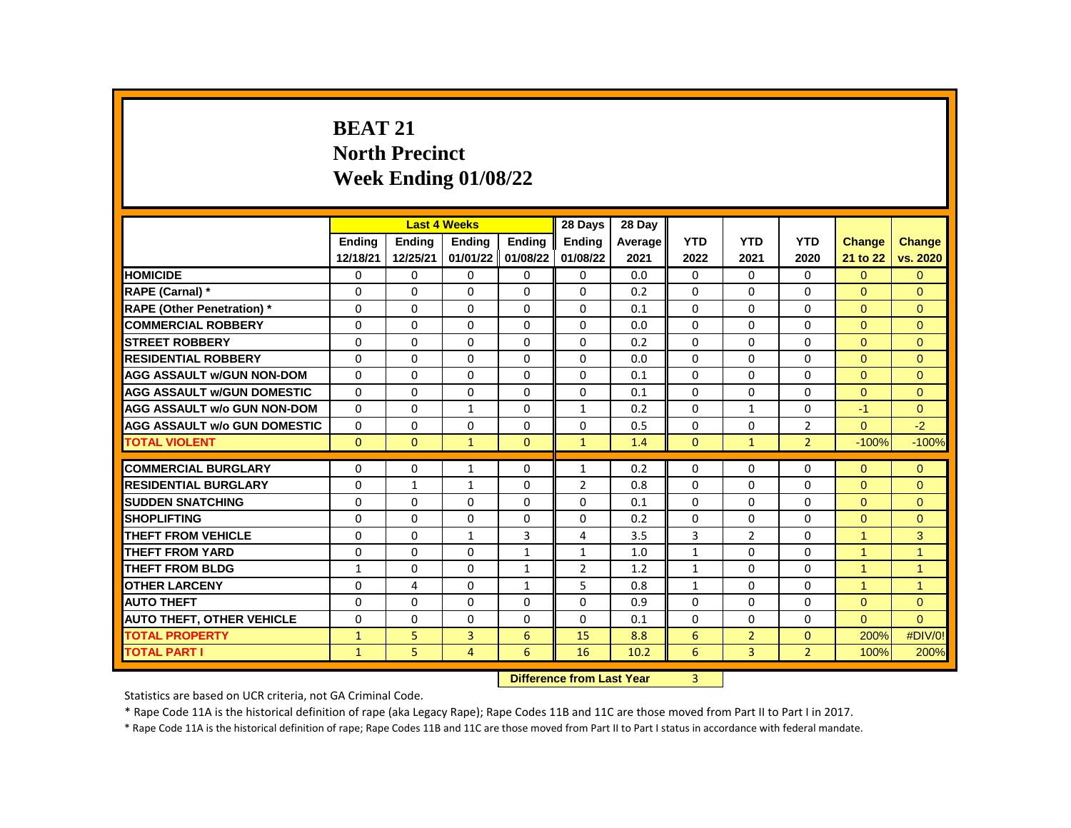# **BEAT 21 North Precinct Week Ending 01/08/22**

|                                     |              |              | <b>Last 4 Weeks</b> |                                  | 28 Days        | 28 Day  |              |                |                |                      |                |
|-------------------------------------|--------------|--------------|---------------------|----------------------------------|----------------|---------|--------------|----------------|----------------|----------------------|----------------|
|                                     | Ending       | Ending       | Ending              | Ending                           | Ending         | Average | <b>YTD</b>   | <b>YTD</b>     | <b>YTD</b>     | <b>Change</b>        | <b>Change</b>  |
|                                     | 12/18/21     | 12/25/21     |                     | 01/01/22 01/08/22                | 01/08/22       | 2021    | 2022         | 2021           | 2020           | 21 to 22             | vs. 2020       |
| <b>HOMICIDE</b>                     | 0            | 0            | 0                   | 0                                | 0              | 0.0     | 0            | 0              | 0              | $\Omega$             | $\Omega$       |
| RAPE (Carnal) *                     | 0            | $\Omega$     | $\Omega$            | $\Omega$                         | $\Omega$       | 0.2     | $\Omega$     | $\Omega$       | $\Omega$       | $\Omega$             | $\Omega$       |
| <b>RAPE (Other Penetration) *</b>   | 0            | $\Omega$     | $\Omega$            | $\Omega$                         | $\Omega$       | 0.1     | $\Omega$     | $\Omega$       | $\Omega$       | $\Omega$             | $\Omega$       |
| <b>COMMERCIAL ROBBERY</b>           | 0            | 0            | 0                   | $\mathbf{0}$                     | $\Omega$       | 0.0     | $\Omega$     | 0              | $\Omega$       | $\Omega$             | $\Omega$       |
| <b>STREET ROBBERY</b>               | 0            | 0            | 0                   | $\mathbf{0}$                     | $\Omega$       | 0.2     | $\Omega$     | 0              | 0              | $\Omega$             | $\Omega$       |
| <b>RESIDENTIAL ROBBERY</b>          | $\Omega$     | $\mathbf{0}$ | $\Omega$            | $\Omega$                         | $\Omega$       | 0.0     | $\Omega$     | $\Omega$       | $\Omega$       | $\Omega$             | $\Omega$       |
| <b>AGG ASSAULT w/GUN NON-DOM</b>    | $\Omega$     | 0            | 0                   | $\mathbf{0}$                     | 0              | 0.1     | $\Omega$     | 0              | $\Omega$       | $\Omega$             | $\mathbf{0}$   |
| <b>AGG ASSAULT W/GUN DOMESTIC</b>   | $\Omega$     | $\Omega$     | $\Omega$            | 0                                | $\Omega$       | 0.1     | $\Omega$     | $\Omega$       | $\Omega$       | $\Omega$             | $\Omega$       |
| <b>AGG ASSAULT w/o GUN NON-DOM</b>  | $\Omega$     | $\mathbf{0}$ | $\mathbf{1}$        | $\Omega$                         | $\mathbf{1}$   | 0.2     | $\Omega$     | $\mathbf{1}$   | $\Omega$       | $-1$                 | $\Omega$       |
| <b>AGG ASSAULT w/o GUN DOMESTIC</b> | $\Omega$     | $\mathbf{0}$ | $\Omega$            | $\mathbf{0}$                     | $\Omega$       | 0.5     | $\Omega$     | $\Omega$       | $\overline{2}$ | $\Omega$             | $-2$           |
| <b>TOTAL VIOLENT</b>                | $\Omega$     | $\mathbf{0}$ | $\mathbf{1}$        | $\mathbf{0}$                     | $\mathbf{1}$   | 1.4     | $\Omega$     | $\mathbf{1}$   | $\overline{2}$ | $-100%$              | $-100%$        |
|                                     |              |              |                     |                                  |                |         |              |                |                |                      |                |
| <b>COMMERCIAL BURGLARY</b>          | 0            | 0            | $\mathbf{1}$        | 0                                | $\mathbf{1}$   | 0.2     | 0            | 0              | 0              | $\Omega$             | $\mathbf{0}$   |
| <b>RESIDENTIAL BURGLARY</b>         | 0            | $\mathbf{1}$ | 1                   | 0                                | $\overline{2}$ | 0.8     | $\Omega$     | 0              | 0              | $\Omega$             | $\mathbf{0}$   |
| <b>SUDDEN SNATCHING</b>             | 0            | $\Omega$     | $\Omega$            | $\Omega$                         | $\Omega$       | 0.1     | $\Omega$     | $\Omega$       | $\Omega$       | $\Omega$             | $\Omega$       |
| <b>SHOPLIFTING</b>                  | 0            | 0            | $\Omega$            | 0                                | $\Omega$       | 0.2     | $\Omega$     | 0              | 0              | $\Omega$             | $\Omega$       |
| THEFT FROM VEHICLE                  | 0            | $\Omega$     | $\mathbf{1}$        | 3                                | $\overline{4}$ | 3.5     | 3            | $\overline{2}$ | $\Omega$       | 1                    | 3              |
| <b>THEFT FROM YARD</b>              | 0            | $\Omega$     | $\Omega$            | $\mathbf{1}$                     | $\mathbf{1}$   | 1.0     | $\mathbf{1}$ | $\Omega$       | $\Omega$       | $\overline{1}$       | $\overline{1}$ |
| <b>THEFT FROM BLDG</b>              | 1            | $\Omega$     | $\Omega$            | $\mathbf{1}$                     | $\overline{2}$ | 1.2     | $\mathbf{1}$ | $\Omega$       | $\Omega$       | 1                    | $\overline{1}$ |
| <b>OTHER LARCENY</b>                | 0            | 4            | 0                   | $\mathbf{1}$                     | 5              | 0.8     | $\mathbf{1}$ | 0              | 0              | $\blacktriangleleft$ | 1              |
| <b>AUTO THEFT</b>                   | $\Omega$     | $\Omega$     | $\Omega$            | $\Omega$                         | $\Omega$       | 0.9     | $\Omega$     | $\Omega$       | $\Omega$       | $\Omega$             | $\mathbf{0}$   |
| <b>AUTO THEFT, OTHER VEHICLE</b>    | 0            | 0            | $\Omega$            | 0                                | $\Omega$       | 0.1     | 0            | 0              | 0              | $\Omega$             | $\Omega$       |
| <b>TOTAL PROPERTY</b>               | $\mathbf{1}$ | 5            | 3                   | 6                                | 15             | 8.8     | 6            | $\overline{2}$ | $\Omega$       | 200%                 | #DIV/0!        |
| <b>TOTAL PART I</b>                 | $\mathbf{1}$ | 5            | 4                   | 6                                | 16             | 10.2    | 6            | 3              | $\overline{2}$ | 100%                 | 200%           |
|                                     |              |              |                     | <b>Construction Construction</b> |                | $\sim$  |              |                |                |                      |                |

**Difference from Last Year** 3 |

Statistics are based on UCR criteria, not GA Criminal Code.

\* Rape Code 11A is the historical definition of rape (aka Legacy Rape); Rape Codes 11B and 11C are those moved from Part II to Part I in 2017.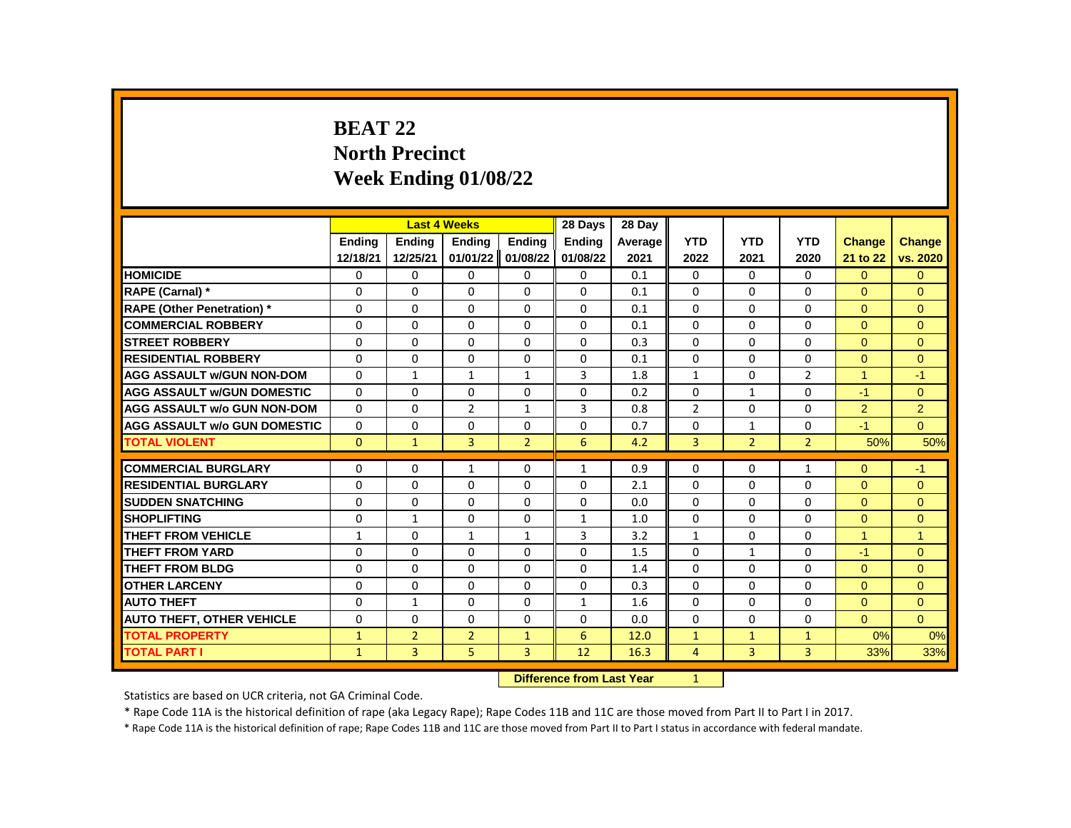# **BEAT 22 North Precinct Week Ending 01/08/22**

|                                     |               |                | <b>Last 4 Weeks</b> |                | 28 Days       | 28 Day  |                |                |                |                      |                |
|-------------------------------------|---------------|----------------|---------------------|----------------|---------------|---------|----------------|----------------|----------------|----------------------|----------------|
|                                     | <b>Endina</b> | <b>Endina</b>  | <b>Endina</b>       | <b>Endina</b>  | <b>Ending</b> | Average | <b>YTD</b>     | <b>YTD</b>     | <b>YTD</b>     | <b>Change</b>        | <b>Change</b>  |
|                                     | 12/18/21      | 12/25/21       | 01/01/22            | 01/08/22       | 01/08/22      | 2021    | 2022           | 2021           | 2020           | 21 to 22             | vs. 2020       |
| <b>HOMICIDE</b>                     | 0             | 0              | 0                   | 0              | 0             | 0.1     | 0              | $\mathbf{0}$   | $\mathbf{0}$   | $\mathbf{0}$         | $\mathbf{0}$   |
| RAPE (Carnal) *                     | 0             | $\Omega$       | 0                   | 0              | 0             | 0.1     | $\Omega$       | $\mathbf{0}$   | 0              | $\Omega$             | $\Omega$       |
| RAPE (Other Penetration) *          | $\Omega$      | $\Omega$       | $\Omega$            | $\Omega$       | $\Omega$      | 0.1     | $\Omega$       | $\Omega$       | $\Omega$       | $\Omega$             | $\Omega$       |
| <b>COMMERCIAL ROBBERY</b>           | $\Omega$      | $\Omega$       | $\Omega$            | 0              | $\Omega$      | 0.1     | $\Omega$       | $\mathbf{0}$   | 0              | $\Omega$             | $\Omega$       |
| <b>STREET ROBBERY</b>               | 0             | 0              | $\Omega$            | $\Omega$       | 0             | 0.3     | $\Omega$       | $\mathbf{0}$   | $\Omega$       | $\Omega$             | $\Omega$       |
| <b>RESIDENTIAL ROBBERY</b>          | $\Omega$      | $\Omega$       | $\Omega$            | $\Omega$       | $\Omega$      | 0.1     | $\Omega$       | $\Omega$       | $\Omega$       | $\overline{0}$       | $\mathbf{0}$   |
| <b>AGG ASSAULT w/GUN NON-DOM</b>    | $\Omega$      | $\mathbf{1}$   | $\mathbf{1}$        | $\mathbf{1}$   | 3             | 1.8     | $\mathbf{1}$   | $\Omega$       | $\overline{2}$ | $\blacktriangleleft$ | $-1$           |
| <b>AGG ASSAULT w/GUN DOMESTIC</b>   | $\Omega$      | $\Omega$       | $\Omega$            | $\Omega$       | 0             | 0.2     | $\Omega$       | $\mathbf{1}$   | $\Omega$       | $-1$                 | $\Omega$       |
| <b>AGG ASSAULT w/o GUN NON-DOM</b>  | $\Omega$      | $\Omega$       | $\overline{2}$      | $\mathbf{1}$   | 3             | 0.8     | $\overline{2}$ | $\Omega$       | 0              | $\overline{2}$       | $\overline{2}$ |
| <b>AGG ASSAULT w/o GUN DOMESTIC</b> | $\Omega$      | $\Omega$       | $\Omega$            | $\Omega$       | $\Omega$      | 0.7     | $\Omega$       | $\mathbf{1}$   | $\Omega$       | $-1$                 | $\Omega$       |
| <b>TOTAL VIOLENT</b>                | $\Omega$      | $\mathbf{1}$   | $\overline{3}$      | $\overline{2}$ | 6             | 4.2     | 3              | $\overline{2}$ | $\overline{2}$ | 50%                  | 50%            |
|                                     |               |                |                     |                |               |         |                |                |                |                      |                |
| <b>COMMERCIAL BURGLARY</b>          | 0             | 0              | $\mathbf{1}$        | 0              | $\mathbf{1}$  | 0.9     | 0              | 0              | $\mathbf{1}$   | $\Omega$             | $-1$           |
| <b>RESIDENTIAL BURGLARY</b>         | 0             | 0              | 0                   | 0              | 0             | 2.1     | 0              | 0              | 0              | $\Omega$             | $\Omega$       |
| <b>SUDDEN SNATCHING</b>             | 0             | $\Omega$       | $\Omega$            | $\Omega$       | 0             | 0.0     | $\Omega$       | $\mathbf{0}$   | $\Omega$       | $\Omega$             | $\mathbf{0}$   |
| <b>SHOPLIFTING</b>                  | 0             | $\mathbf{1}$   | $\Omega$            | $\Omega$       | $\mathbf{1}$  | 1.0     | $\Omega$       | $\Omega$       | $\Omega$       | $\Omega$             | $\mathbf{0}$   |
| THEFT FROM VEHICLE                  | $\mathbf{1}$  | 0              | 1                   | $\mathbf{1}$   | 3             | 3.2     | $\mathbf{1}$   | $\mathbf{0}$   | 0              | $\blacktriangleleft$ | $\overline{1}$ |
| <b>THEFT FROM YARD</b>              | $\Omega$      | $\Omega$       | $\Omega$            | $\Omega$       | $\Omega$      | 1.5     | $\Omega$       | $\mathbf{1}$   | $\Omega$       | $-1$                 | $\mathbf{0}$   |
| <b>THEFT FROM BLDG</b>              | $\Omega$      | $\Omega$       | $\Omega$            | $\Omega$       | $\Omega$      | 1.4     | $\Omega$       | $\Omega$       | $\Omega$       | $\Omega$             | $\Omega$       |
| <b>OTHER LARCENY</b>                | $\Omega$      | 0              | $\Omega$            | 0              | 0             | 0.3     | $\Omega$       | $\mathbf{0}$   | 0              | $\Omega$             | $\Omega$       |
| <b>AUTO THEFT</b>                   | $\Omega$      | $\mathbf{1}$   | $\Omega$            | $\Omega$       | 1             | 1.6     | $\Omega$       | $\Omega$       | $\Omega$       | $\overline{0}$       | $\mathbf{0}$   |
| <b>AUTO THEFT, OTHER VEHICLE</b>    | $\Omega$      | $\Omega$       | $\Omega$            | $\Omega$       | $\Omega$      | 0.0     | $\Omega$       | $\Omega$       | $\Omega$       | $\Omega$             | $\Omega$       |
| <b>TOTAL PROPERTY</b>               | $\mathbf{1}$  | $\overline{2}$ | $\overline{2}$      | $\mathbf{1}$   | 6             | 12.0    | $\mathbf{1}$   | $\mathbf{1}$   | $\mathbf{1}$   | 0%                   | 0%             |
| <b>TOTAL PART I</b>                 | $\mathbf{1}$  | $\overline{3}$ | 5                   | 3              | 12            | 16.3    | $\overline{4}$ | 3              | $\overline{3}$ | 33%                  | 33%            |
|                                     |               |                |                     |                |               |         |                |                |                |                      |                |

**Difference from Last Year** 1

Statistics are based on UCR criteria, not GA Criminal Code.

\* Rape Code 11A is the historical definition of rape (aka Legacy Rape); Rape Codes 11B and 11C are those moved from Part II to Part I in 2017.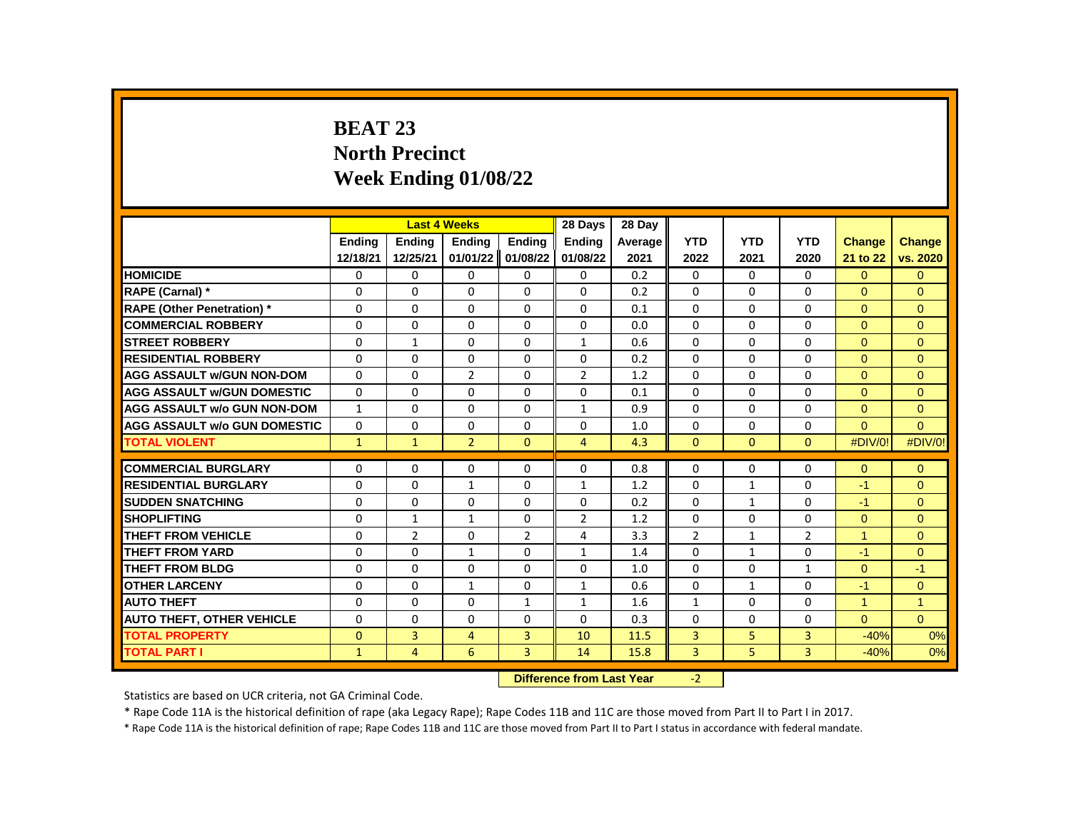# **BEAT 23 North Precinct Week Ending 01/08/22**

|                                     |               |                | <b>Last 4 Weeks</b> |                    | 28 Days                   | 28 Day  |                |              |                |               |                |
|-------------------------------------|---------------|----------------|---------------------|--------------------|---------------------------|---------|----------------|--------------|----------------|---------------|----------------|
|                                     | <b>Endina</b> | Ending         | Ending              | Ending             | Ending                    | Average | <b>YTD</b>     | <b>YTD</b>   | <b>YTD</b>     | <b>Change</b> | <b>Change</b>  |
|                                     | 12/18/21      | 12/25/21       | 01/01/22            | 01/08/22           | 01/08/22                  | 2021    | 2022           | 2021         | 2020           | 21 to 22      | vs. 2020       |
| <b>HOMICIDE</b>                     | 0             | 0              | 0                   | 0                  | 0                         | 0.2     | 0              | $\mathbf{0}$ | 0              | $\Omega$      | $\Omega$       |
| RAPE (Carnal) *                     | 0             | 0              | $\Omega$            | $\Omega$           | $\Omega$                  | 0.2     | $\Omega$       | $\mathbf{0}$ | 0              | $\Omega$      | $\Omega$       |
| <b>RAPE (Other Penetration)</b> *   | $\Omega$      | $\Omega$       | $\Omega$            | $\Omega$           | 0                         | 0.1     | $\Omega$       | $\Omega$     | $\Omega$       | $\Omega$      | $\Omega$       |
| <b>COMMERCIAL ROBBERY</b>           | 0             | 0              | 0                   | 0                  | 0                         | 0.0     | 0              | 0            | 0              | $\mathbf{0}$  | $\mathbf{0}$   |
| <b>STREET ROBBERY</b>               | $\Omega$      | $\mathbf{1}$   | $\Omega$            | $\Omega$           | $\mathbf{1}$              | 0.6     | $\Omega$       | $\Omega$     | $\Omega$       | $\Omega$      | $\Omega$       |
| <b>RESIDENTIAL ROBBERY</b>          | $\Omega$      | $\Omega$       | $\Omega$            | $\Omega$           | 0                         | 0.2     | $\Omega$       | $\Omega$     | $\Omega$       | $\Omega$      | $\Omega$       |
| <b>AGG ASSAULT w/GUN NON-DOM</b>    | $\Omega$      | $\Omega$       | $\overline{2}$      | $\Omega$           | $\overline{2}$            | 1.2     | $\Omega$       | $\Omega$     | $\Omega$       | $\Omega$      | $\mathbf{0}$   |
| <b>AGG ASSAULT w/GUN DOMESTIC</b>   | $\Omega$      | $\Omega$       | $\Omega$            | $\Omega$           | $\Omega$                  | 0.1     | $\Omega$       | $\Omega$     | $\Omega$       | $\Omega$      | $\Omega$       |
| <b>AGG ASSAULT w/o GUN NON-DOM</b>  | $\mathbf{1}$  | $\Omega$       | $\Omega$            | $\Omega$           | $\mathbf{1}$              | 0.9     | $\Omega$       | $\Omega$     | $\Omega$       | $\Omega$      | $\Omega$       |
| <b>AGG ASSAULT w/o GUN DOMESTIC</b> | 0             | 0              | 0                   | 0                  | 0                         | 1.0     | 0              | 0            | 0              | $\Omega$      | $\mathbf{0}$   |
| <b>TOTAL VIOLENT</b>                | $\mathbf{1}$  | $\mathbf{1}$   | $\overline{2}$      | $\Omega$           | $\overline{4}$            | 4.3     | $\Omega$       | $\mathbf{0}$ | $\Omega$       | #DIV/0!       | #DIV/0!        |
|                                     |               |                |                     |                    |                           |         |                |              |                |               |                |
| <b>COMMERCIAL BURGLARY</b>          | 0             | 0              | 0                   | 0                  | 0                         | 0.8     | $\Omega$       | 0            | 0              | $\Omega$      | $\mathbf{0}$   |
| <b>RESIDENTIAL BURGLARY</b>         | $\Omega$      | $\Omega$       | $\mathbf{1}$        | $\Omega$           | $\mathbf{1}$              | 1.2     | $\Omega$       | $\mathbf{1}$ | $\Omega$       | $-1$          | $\Omega$       |
| <b>SUDDEN SNATCHING</b>             | $\Omega$      | $\Omega$       | $\Omega$            | $\Omega$           | 0                         | 0.2     | $\Omega$       | $\mathbf{1}$ | $\Omega$       | $-1$          | $\Omega$       |
| <b>SHOPLIFTING</b>                  | 0             | 1              | 1                   | 0                  | $\overline{2}$            | 1.2     | 0              | 0            | 0              | $\mathbf{0}$  | $\mathbf{0}$   |
| <b>THEFT FROM VEHICLE</b>           | $\Omega$      | 2              | $\Omega$            | $\overline{2}$     | 4                         | 3.3     | $\overline{2}$ | $\mathbf{1}$ | $\overline{2}$ | $\mathbf{1}$  | $\mathbf{0}$   |
| <b>THEFT FROM YARD</b>              | $\Omega$      | $\Omega$       | $\mathbf{1}$        | $\Omega$           | $\mathbf{1}$              | 1.4     | $\Omega$       | $\mathbf{1}$ | $\Omega$       | $-1$          | $\Omega$       |
| <b>THEFT FROM BLDG</b>              | 0             | $\Omega$       | $\Omega$            | $\Omega$           | 0                         | 1.0     | 0              | 0            | $\mathbf{1}$   | $\Omega$      | $-1$           |
| <b>OTHER LARCENY</b>                | $\Omega$      | $\Omega$       | $\mathbf{1}$        | $\Omega$           | $\mathbf{1}$              | 0.6     | $\Omega$       | $\mathbf{1}$ | $\Omega$       | $-1$          | $\Omega$       |
| <b>AUTO THEFT</b>                   | $\Omega$      | $\Omega$       | $\Omega$            | $\mathbf{1}$       | $\mathbf{1}$              | 1.6     | $\mathbf{1}$   | $\Omega$     | $\Omega$       | $\mathbf{1}$  | $\overline{1}$ |
| <b>AUTO THEFT, OTHER VEHICLE</b>    | 0             | $\Omega$       | $\Omega$            | $\Omega$           | 0                         | 0.3     | $\Omega$       | $\mathbf{0}$ | 0              | $\Omega$      | $\Omega$       |
| <b>TOTAL PROPERTY</b>               | $\Omega$      | 3              | $\overline{4}$      | 3                  | 10                        | 11.5    | 3              | 5            | 3              | $-40%$        | 0%             |
| <b>TOTAL PART I</b>                 | $\mathbf{1}$  | $\overline{4}$ | 6                   | 3                  | 14                        | 15.8    | 3              | 5            | 3              | $-40%$        | 0%             |
|                                     |               |                |                     | <b>INTERNATION</b> | a a a dheann 1 anns Mainn |         |                |              |                |               |                |

**Difference from Last Year** -2

Statistics are based on UCR criteria, not GA Criminal Code.

\* Rape Code 11A is the historical definition of rape (aka Legacy Rape); Rape Codes 11B and 11C are those moved from Part II to Part I in 2017.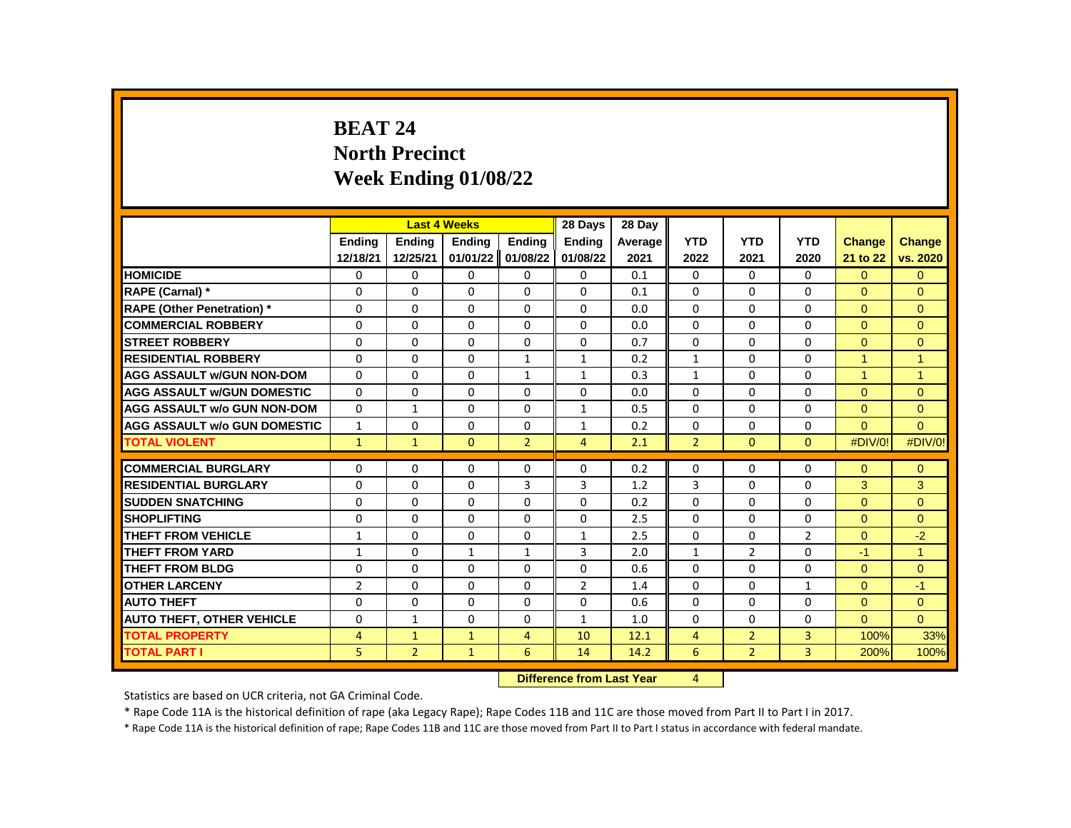# **BEAT 24 North Precinct Week Ending 01/08/22**

|                                     |                |                | <b>Last 4 Weeks</b> |                | 28 Days        | 28 Day  |                |                |                |                      |                |
|-------------------------------------|----------------|----------------|---------------------|----------------|----------------|---------|----------------|----------------|----------------|----------------------|----------------|
|                                     | <b>Endina</b>  | <b>Endina</b>  | <b>Endina</b>       | <b>Endina</b>  | <b>Ending</b>  | Average | <b>YTD</b>     | <b>YTD</b>     | <b>YTD</b>     | <b>Change</b>        | <b>Change</b>  |
|                                     | 12/18/21       | 12/25/21       | 01/01/22            | 01/08/22       | 01/08/22       | 2021    | 2022           | 2021           | 2020           | 21 to 22             | vs. 2020       |
| <b>HOMICIDE</b>                     | 0              | 0              | 0                   | 0              | 0              | 0.1     | 0              | $\mathbf{0}$   | $\mathbf{0}$   | $\mathbf{0}$         | $\mathbf{0}$   |
| RAPE (Carnal) *                     | 0              | $\Omega$       | 0                   | 0              | 0              | 0.1     | $\Omega$       | 0              | 0              | $\Omega$             | $\Omega$       |
| RAPE (Other Penetration) *          | $\Omega$       | $\Omega$       | $\Omega$            | $\Omega$       | $\Omega$       | 0.0     | $\Omega$       | $\Omega$       | $\Omega$       | $\Omega$             | $\Omega$       |
| <b>COMMERCIAL ROBBERY</b>           | $\Omega$       | 0              | $\Omega$            | 0              | 0              | 0.0     | $\Omega$       | $\mathbf{0}$   | 0              | $\Omega$             | $\Omega$       |
| <b>STREET ROBBERY</b>               | 0              | 0              | $\Omega$            | $\Omega$       | 0              | 0.7     | $\Omega$       | 0              | $\Omega$       | $\Omega$             | $\Omega$       |
| <b>RESIDENTIAL ROBBERY</b>          | $\Omega$       | $\Omega$       | $\Omega$            | $\mathbf{1}$   | 1              | 0.2     | $\mathbf{1}$   | $\Omega$       | $\Omega$       | $\mathbf{1}$         | $\mathbf{1}$   |
| <b>AGG ASSAULT w/GUN NON-DOM</b>    | $\Omega$       | $\Omega$       | $\Omega$            | $\mathbf{1}$   | $\mathbf{1}$   | 0.3     | $\mathbf{1}$   | $\Omega$       | $\Omega$       | $\blacktriangleleft$ | $\overline{1}$ |
| <b>AGG ASSAULT w/GUN DOMESTIC</b>   | $\Omega$       | $\Omega$       | $\Omega$            | $\Omega$       | 0              | 0.0     | $\Omega$       | $\Omega$       | $\Omega$       | $\Omega$             | $\Omega$       |
| <b>AGG ASSAULT w/o GUN NON-DOM</b>  | $\Omega$       | $\mathbf{1}$   | $\Omega$            | $\Omega$       | $\mathbf{1}$   | 0.5     | $\Omega$       | $\Omega$       | $\Omega$       | $\mathbf{0}$         | $\mathbf{0}$   |
| <b>AGG ASSAULT w/o GUN DOMESTIC</b> | $\mathbf{1}$   | $\Omega$       | $\Omega$            | $\Omega$       | $\mathbf{1}$   | 0.2     | $\Omega$       | $\Omega$       | $\Omega$       | $\Omega$             | $\Omega$       |
| <b>TOTAL VIOLENT</b>                | $\mathbf{1}$   | $\mathbf{1}$   | $\Omega$            | $\overline{2}$ | $\overline{4}$ | 2.1     | $\overline{2}$ | $\mathbf{0}$   | $\mathbf{0}$   | #DIV/0!              | #DIV/0!        |
|                                     |                |                |                     |                |                |         |                |                |                |                      |                |
| <b>COMMERCIAL BURGLARY</b>          | 0              | 0              | 0                   | 0              | 0              | 0.2     | 0              | 0              | $\Omega$       | $\Omega$             | $\Omega$       |
| <b>RESIDENTIAL BURGLARY</b>         | 0              | 0              | 0                   | 3              | 3              | 1.2     | 3              | 0              | 0              | 3                    | 3              |
| <b>SUDDEN SNATCHING</b>             | 0              | $\Omega$       | $\Omega$            | $\Omega$       | 0              | 0.2     | $\Omega$       | $\mathbf{0}$   | $\Omega$       | $\Omega$             | $\mathbf{0}$   |
| <b>SHOPLIFTING</b>                  | 0              | $\Omega$       | $\Omega$            | $\Omega$       | 0              | 2.5     | $\Omega$       | $\Omega$       | $\Omega$       | $\Omega$             | $\Omega$       |
| THEFT FROM VEHICLE                  | $\mathbf{1}$   | 0              | $\Omega$            | 0              | 1              | 2.5     | $\Omega$       | $\mathbf{0}$   | $\overline{2}$ | $\Omega$             | $-2$           |
| <b>THEFT FROM YARD</b>              | 1              | $\Omega$       | $\mathbf{1}$        | $\mathbf{1}$   | 3              | 2.0     | $\mathbf{1}$   | $\overline{2}$ | $\Omega$       | $-1$                 | $\overline{1}$ |
| <b>THEFT FROM BLDG</b>              | $\Omega$       | $\Omega$       | $\Omega$            | $\Omega$       | $\Omega$       | 0.6     | $\Omega$       | $\Omega$       | $\Omega$       | $\Omega$             | $\Omega$       |
| <b>OTHER LARCENY</b>                | $\overline{2}$ | 0              | $\Omega$            | 0              | $\overline{2}$ | 1.4     | $\Omega$       | $\mathbf{0}$   | $\mathbf{1}$   | $\Omega$             | $-1$           |
| <b>AUTO THEFT</b>                   | $\Omega$       | $\Omega$       | $\Omega$            | $\Omega$       | $\Omega$       | 0.6     | $\Omega$       | $\Omega$       | $\Omega$       | $\overline{0}$       | $\mathbf{0}$   |
| <b>AUTO THEFT, OTHER VEHICLE</b>    | $\Omega$       | $\mathbf{1}$   | $\Omega$            | $\Omega$       | 1              | 1.0     | $\Omega$       | $\Omega$       | $\Omega$       | $\Omega$             | $\Omega$       |
| <b>TOTAL PROPERTY</b>               | 4              | 1              | $\mathbf{1}$        | 4              | 10             | 12.1    | $\overline{4}$ | $\overline{2}$ | 3              | 100%                 | 33%            |
| <b>TOTAL PART I</b>                 | 5              | $\overline{2}$ | $\mathbf{1}$        | 6              | 14             | 14.2    | 6              | $\overline{2}$ | $\overline{3}$ | 200%                 | 100%           |
|                                     |                |                |                     |                |                |         |                |                |                |                      |                |

**Difference from Last Year** 4

Statistics are based on UCR criteria, not GA Criminal Code.

\* Rape Code 11A is the historical definition of rape (aka Legacy Rape); Rape Codes 11B and 11C are those moved from Part II to Part I in 2017.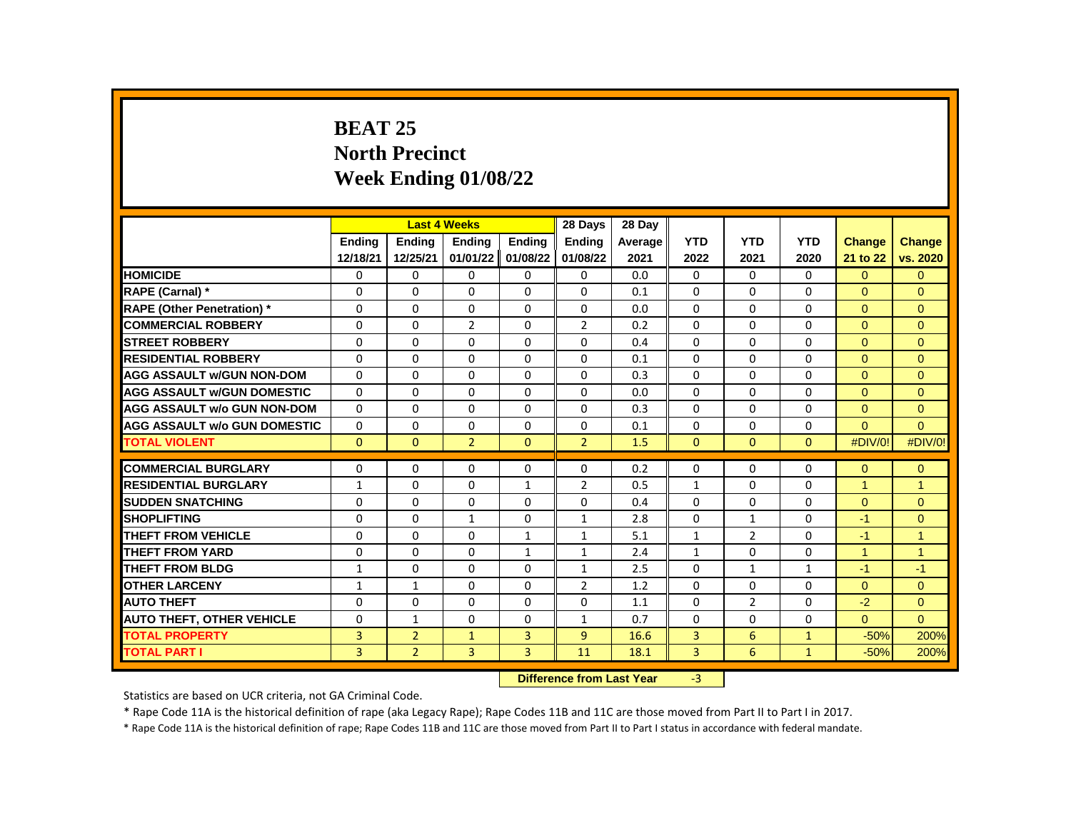# **BEAT 25 North Precinct Week Ending 01/08/22**

|                                     |               |                | <b>Last 4 Weeks</b> |                   | 28 Days        | 28 Day    |                |                |              |                      |                      |
|-------------------------------------|---------------|----------------|---------------------|-------------------|----------------|-----------|----------------|----------------|--------------|----------------------|----------------------|
|                                     | <b>Endina</b> | <b>Endina</b>  | <b>Endina</b>       | Ending            | <b>Endina</b>  | Average   | <b>YTD</b>     | <b>YTD</b>     | <b>YTD</b>   | <b>Change</b>        | <b>Change</b>        |
|                                     | 12/18/21      | 12/25/21       | 01/01/22            | 01/08/22          | 01/08/22       | 2021      | 2022           | 2021           | 2020         | 21 to 22             | vs. 2020             |
| <b>HOMICIDE</b>                     | 0             | 0              | 0                   | 0                 | $\mathbf 0$    | 0.0       | 0              | $\Omega$       | $\Omega$     | $\Omega$             | $\mathbf{0}$         |
| <b>RAPE (Carnal) *</b>              | $\Omega$      | $\Omega$       | $\Omega$            | $\Omega$          | $\Omega$       | 0.1       | $\Omega$       | $\Omega$       | $\Omega$     | $\Omega$             | $\Omega$             |
| <b>RAPE (Other Penetration) *</b>   | $\Omega$      | $\mathbf{0}$   | 0                   | $\mathbf{0}$      | $\Omega$       | 0.0       | $\Omega$       | $\Omega$       | $\Omega$     | $\Omega$             | $\Omega$             |
| <b>COMMERCIAL ROBBERY</b>           | $\Omega$      | $\mathbf{0}$   | $\overline{2}$      | $\mathbf{0}$      | $\overline{2}$ | 0.2       | $\Omega$       | $\Omega$       | $\Omega$     | $\Omega$             | $\Omega$             |
| <b>STREET ROBBERY</b>               | $\Omega$      | $\Omega$       | $\Omega$            | 0                 | $\Omega$       | 0.4       | $\Omega$       | $\Omega$       | $\Omega$     | $\Omega$             | $\Omega$             |
| <b>RESIDENTIAL ROBBERY</b>          | $\Omega$      | $\mathbf{0}$   | 0                   | $\mathbf{0}$      | $\Omega$       | 0.1       | $\Omega$       | $\Omega$       | $\Omega$     | $\Omega$             | $\Omega$             |
| <b>AGG ASSAULT w/GUN NON-DOM</b>    | $\Omega$      | $\mathbf{0}$   | $\Omega$            | $\mathbf{0}$      | $\Omega$       | 0.3       | $\Omega$       | $\Omega$       | $\Omega$     | $\Omega$             | $\Omega$             |
| <b>AGG ASSAULT WGUN DOMESTIC</b>    | $\Omega$      | $\Omega$       | $\Omega$            | $\Omega$          | $\Omega$       | 0.0       | $\Omega$       | $\Omega$       | $\Omega$     | $\Omega$             | $\Omega$             |
| <b>AGG ASSAULT w/o GUN NON-DOM</b>  | $\Omega$      | $\Omega$       | $\Omega$            | $\Omega$          | $\Omega$       | 0.3       | $\Omega$       | $\Omega$       | $\Omega$     | $\Omega$             | $\Omega$             |
| <b>AGG ASSAULT w/o GUN DOMESTIC</b> | $\Omega$      | 0              | 0                   | 0                 | 0              | 0.1       | $\Omega$       | $\Omega$       | $\Omega$     | $\Omega$             | $\Omega$             |
| <b>TOTAL VIOLENT</b>                | $\mathbf{0}$  | $\mathbf{0}$   | $\overline{2}$      | $\mathbf{0}$      | $\overline{2}$ | 1.5       | $\mathbf{0}$   | $\mathbf{0}$   | $\mathbf{0}$ | #DIV/0!              | #DIV/0!              |
|                                     |               |                |                     |                   |                |           |                |                |              |                      |                      |
| <b>COMMERCIAL BURGLARY</b>          | 0             | 0              | 0                   | 0                 | 0              | 0.2       | 0              | 0              | $\mathbf{0}$ | $\Omega$             | $\overline{0}$       |
| <b>RESIDENTIAL BURGLARY</b>         | $\mathbf{1}$  | 0              | $\Omega$            | $\mathbf{1}$      | $\overline{2}$ | 0.5       | $\mathbf{1}$   | $\Omega$       | $\Omega$     | $\blacktriangleleft$ | $\overline{1}$       |
| <b>SUDDEN SNATCHING</b>             | $\Omega$      | $\Omega$       | $\Omega$            | $\Omega$          | $\Omega$       | 0.4       | $\Omega$       | $\Omega$       | $\Omega$     | $\Omega$             | $\Omega$             |
| <b>SHOPLIFTING</b>                  | $\Omega$      | 0              | $\mathbf{1}$        | 0                 | $\mathbf{1}$   | 2.8       | $\Omega$       | $\mathbf{1}$   | $\Omega$     | $-1$                 | $\Omega$             |
| <b>THEFT FROM VEHICLE</b>           | 0             | $\mathbf{0}$   | 0                   | $\mathbf{1}$      | $\mathbf{1}$   | 5.1       | $\mathbf{1}$   | $\overline{2}$ | 0            | $-1$                 | $\blacktriangleleft$ |
| <b>THEFT FROM YARD</b>              | $\Omega$      | $\Omega$       | $\Omega$            | $\mathbf{1}$      | $\mathbf{1}$   | 2.4       | $\mathbf{1}$   | $\Omega$       | $\Omega$     | $\blacktriangleleft$ | $\overline{1}$       |
| <b>THEFT FROM BLDG</b>              | $\mathbf{1}$  | 0              | 0                   | 0                 | $\mathbf{1}$   | 2.5       | $\Omega$       | $\mathbf{1}$   | $\mathbf{1}$ | $-1$                 | $-1$                 |
| <b>OTHER LARCENY</b>                | $\mathbf{1}$  | $\mathbf{1}$   | $\Omega$            | $\Omega$          | $\overline{2}$ | 1.2       | $\Omega$       | $\Omega$       | $\Omega$     | $\Omega$             | $\Omega$             |
| <b>AUTO THEFT</b>                   | $\Omega$      | $\mathbf{0}$   | 0                   | $\mathbf{0}$      | $\Omega$       | 1.1       | $\Omega$       | $\overline{2}$ | $\Omega$     | $-2$                 | $\Omega$             |
| <b>AUTO THEFT, OTHER VEHICLE</b>    | 0             | $\mathbf{1}$   | 0                   | 0                 | $\mathbf{1}$   | 0.7       | $\Omega$       | 0              | $\mathbf{0}$ | $\Omega$             | $\Omega$             |
| <b>TOTAL PROPERTY</b>               | 3             | $\overline{2}$ | $\mathbf{1}$        | $\overline{3}$    | 9              | 16.6      | 3              | 6              | $\mathbf{1}$ | $-50%$               | 200%                 |
| <b>TOTAL PART I</b>                 | 3             | $\overline{2}$ | $\overline{3}$      | 3                 | 11             | 18.1      | $\overline{3}$ | 6              | $\mathbf{1}$ | $-50%$               | 200%                 |
|                                     |               |                |                     | <b>CONTRACTOR</b> |                | $-0.32 -$ | $\sim$         |                |              |                      |                      |

**Difference from Last Year** -3

Statistics are based on UCR criteria, not GA Criminal Code.

\* Rape Code 11A is the historical definition of rape (aka Legacy Rape); Rape Codes 11B and 11C are those moved from Part II to Part I in 2017.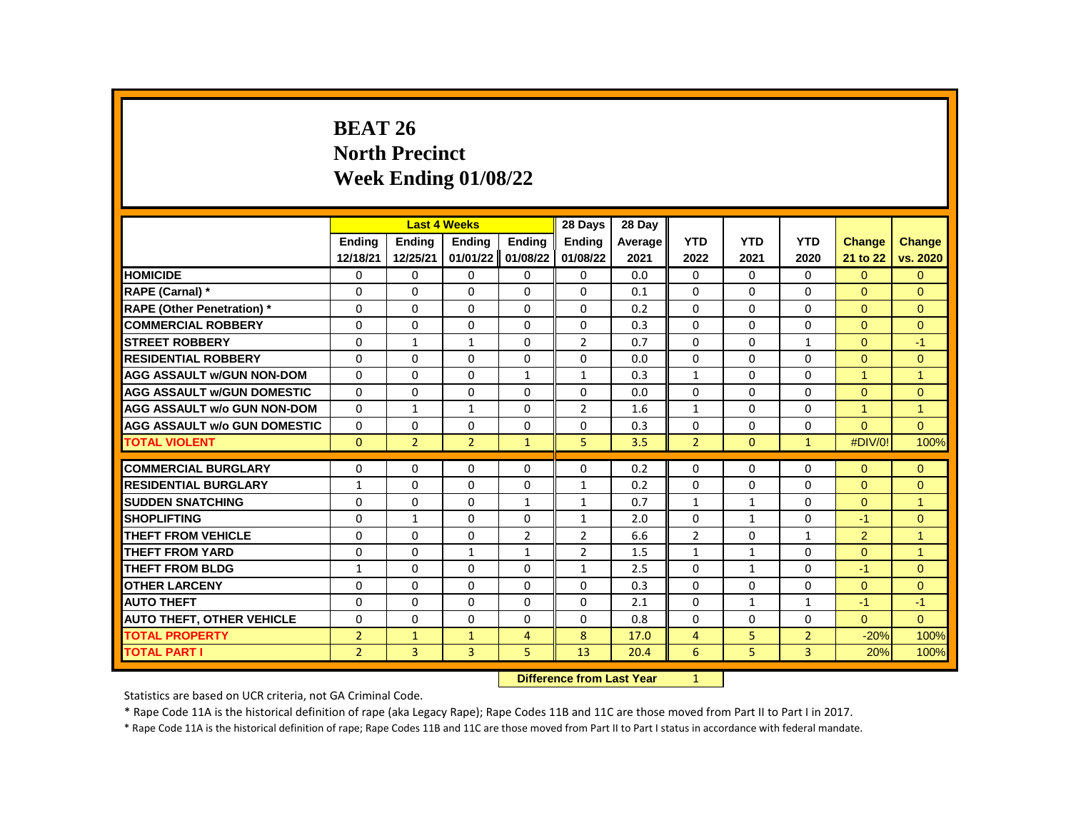## **BEAT 26 North Precinct Week Ending 01/08/22**

|                                     |                |                | <b>Last 4 Weeks</b> |                | 28 Days        | 28 Day  |                |              |                |                      |                |
|-------------------------------------|----------------|----------------|---------------------|----------------|----------------|---------|----------------|--------------|----------------|----------------------|----------------|
|                                     | <b>Endina</b>  | <b>Endina</b>  | <b>Endina</b>       | <b>Endina</b>  | <b>Ending</b>  | Average | <b>YTD</b>     | <b>YTD</b>   | <b>YTD</b>     | <b>Change</b>        | <b>Change</b>  |
|                                     | 12/18/21       | 12/25/21       | 01/01/22            | 01/08/22       | 01/08/22       | 2021    | 2022           | 2021         | 2020           | 21 to 22             | vs. 2020       |
| <b>HOMICIDE</b>                     | 0              | 0              | 0                   | 0              | 0              | 0.0     | 0              | $\mathbf{0}$ | $\mathbf{0}$   | $\mathbf{0}$         | $\mathbf{0}$   |
| RAPE (Carnal) *                     | 0              | $\Omega$       | 0                   | 0              | 0              | 0.1     | $\Omega$       | 0            | 0              | $\Omega$             | $\Omega$       |
| RAPE (Other Penetration) *          | $\Omega$       | $\Omega$       | $\Omega$            | $\Omega$       | $\Omega$       | 0.2     | $\Omega$       | $\Omega$     | $\Omega$       | $\Omega$             | $\mathbf{0}$   |
| <b>COMMERCIAL ROBBERY</b>           | $\Omega$       | $\Omega$       | $\Omega$            | 0              | $\Omega$       | 0.3     | $\Omega$       | $\mathbf{0}$ | $\Omega$       | $\Omega$             | $\Omega$       |
| <b>STREET ROBBERY</b>               | 0              | $\mathbf{1}$   | $\mathbf{1}$        | 0              | $\overline{2}$ | 0.7     | $\Omega$       | 0            | $\mathbf{1}$   | $\Omega$             | $-1$           |
| <b>RESIDENTIAL ROBBERY</b>          | $\Omega$       | $\Omega$       | $\Omega$            | $\Omega$       | $\Omega$       | 0.0     | $\Omega$       | $\Omega$     | $\Omega$       | $\overline{0}$       | $\mathbf{0}$   |
| <b>AGG ASSAULT w/GUN NON-DOM</b>    | $\Omega$       | $\Omega$       | $\Omega$            | $\mathbf{1}$   | $\mathbf{1}$   | 0.3     | $\mathbf{1}$   | $\Omega$     | $\Omega$       | $\blacktriangleleft$ | $\overline{1}$ |
| <b>AGG ASSAULT w/GUN DOMESTIC</b>   | $\Omega$       | $\Omega$       | $\Omega$            | $\Omega$       | 0              | 0.0     | 0              | $\Omega$     | $\Omega$       | $\Omega$             | $\Omega$       |
| <b>AGG ASSAULT w/o GUN NON-DOM</b>  | $\Omega$       | $\mathbf{1}$   | $\mathbf{1}$        | $\Omega$       | 2              | 1.6     | $\mathbf{1}$   | $\Omega$     | 0              | $\mathbf{1}$         | $\overline{1}$ |
| <b>AGG ASSAULT w/o GUN DOMESTIC</b> | $\Omega$       | $\Omega$       | $\Omega$            | $\Omega$       | $\Omega$       | 0.3     | $\Omega$       | $\Omega$     | $\Omega$       | $\Omega$             | $\Omega$       |
| <b>TOTAL VIOLENT</b>                | $\Omega$       | $\overline{2}$ | $\overline{2}$      | $\mathbf{1}$   | 5.             | 3.5     | $\overline{2}$ | $\mathbf{0}$ | $\mathbf{1}$   | #DIV/0!              | 100%           |
|                                     |                |                |                     |                |                |         |                |              |                |                      |                |
| <b>COMMERCIAL BURGLARY</b>          | 0              | 0              | $\Omega$            | 0              | 0              | 0.2     | 0              | 0            | $\Omega$       | $\Omega$             | $\Omega$       |
| <b>RESIDENTIAL BURGLARY</b>         | $\mathbf{1}$   | 0              | 0                   | 0              | $\mathbf{1}$   | 0.2     | 0              | 0            | 0              | $\Omega$             | $\Omega$       |
| <b>SUDDEN SNATCHING</b>             | 0              | $\Omega$       | $\Omega$            | $\mathbf{1}$   | $\mathbf{1}$   | 0.7     | $\mathbf{1}$   | $\mathbf{1}$ | 0              | $\Omega$             | $\overline{1}$ |
| <b>SHOPLIFTING</b>                  | 0              | $\mathbf{1}$   | $\Omega$            | $\Omega$       | $\mathbf{1}$   | 2.0     | $\Omega$       | $\mathbf{1}$ | $\Omega$       | $-1$                 | $\mathbf{0}$   |
| THEFT FROM VEHICLE                  | $\Omega$       | 0              | $\Omega$            | $\overline{2}$ | $\overline{2}$ | 6.6     | $\overline{2}$ | $\mathbf{0}$ | $\mathbf{1}$   | $\overline{2}$       | $\overline{1}$ |
| <b>THEFT FROM YARD</b>              | $\Omega$       | $\Omega$       | $\mathbf{1}$        | $\mathbf{1}$   | $\overline{2}$ | 1.5     | $\mathbf{1}$   | $\mathbf{1}$ | $\Omega$       | $\Omega$             | $\overline{1}$ |
| <b>THEFT FROM BLDG</b>              | $\mathbf{1}$   | $\Omega$       | $\Omega$            | $\Omega$       | $\mathbf{1}$   | 2.5     | $\Omega$       | $\mathbf{1}$ | $\Omega$       | $-1$                 | $\Omega$       |
| <b>OTHER LARCENY</b>                | $\Omega$       | 0              | $\Omega$            | 0              | 0              | 0.3     | $\Omega$       | $\Omega$     | 0              | $\Omega$             | $\Omega$       |
| <b>AUTO THEFT</b>                   | $\Omega$       | $\Omega$       | $\Omega$            | $\Omega$       | $\Omega$       | 2.1     | $\Omega$       | $\mathbf{1}$ | $\mathbf{1}$   | $-1$                 | $-1$           |
| <b>AUTO THEFT, OTHER VEHICLE</b>    | $\Omega$       | $\Omega$       | $\Omega$            | $\Omega$       | $\Omega$       | 0.8     | $\Omega$       | $\Omega$     | $\Omega$       | $\Omega$             | $\Omega$       |
| <b>TOTAL PROPERTY</b>               | $\overline{2}$ | 1              | $\mathbf{1}$        | 4              | 8              | 17.0    | $\overline{4}$ | 5            | $\overline{2}$ | $-20%$               | 100%           |
| <b>TOTAL PART I</b>                 | $\overline{2}$ | $\overline{3}$ | 3                   | 5              | 13             | 20.4    | 6              | 5            | $\overline{3}$ | 20%                  | 100%           |
|                                     |                |                |                     |                |                |         |                |              |                |                      |                |

**Difference from Last Year** 1

Statistics are based on UCR criteria, not GA Criminal Code.

\* Rape Code 11A is the historical definition of rape (aka Legacy Rape); Rape Codes 11B and 11C are those moved from Part II to Part I in 2017.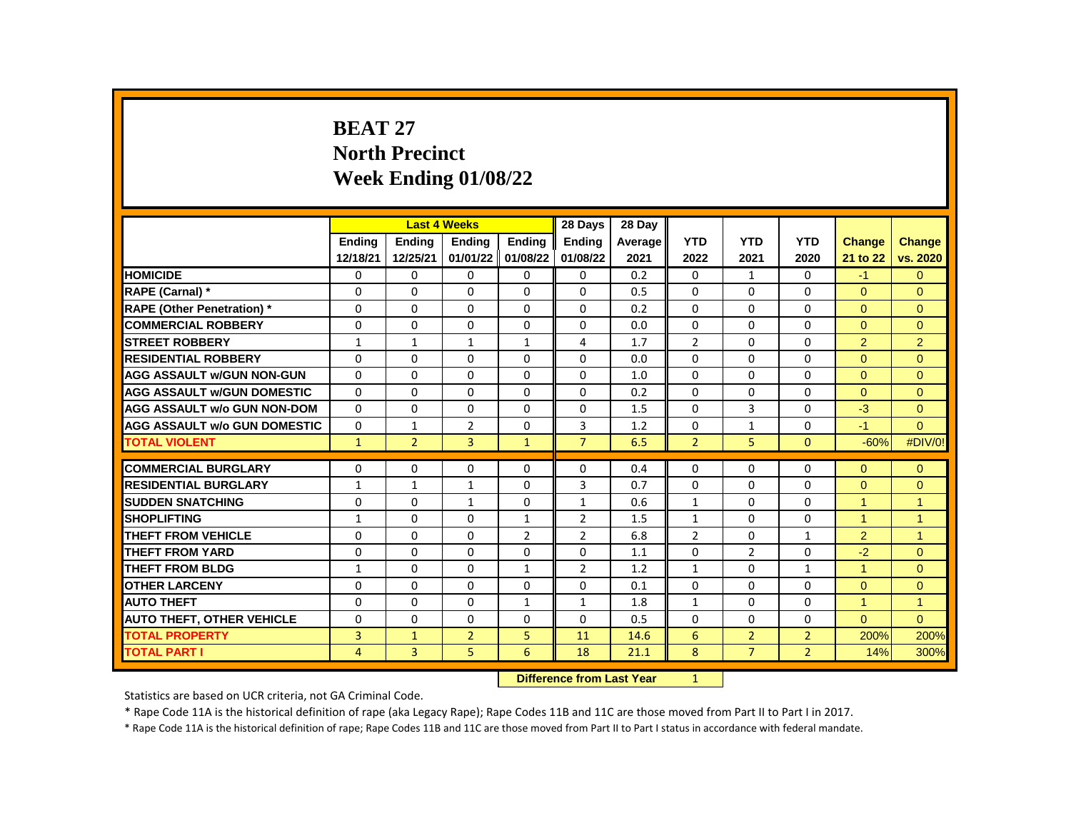# **BEAT 27 North Precinct Week Ending 01/08/22**

|                                     |                | <b>Last 4 Weeks</b> |                |                | 28 Days        | 28 Day  |                |                |                |                      |                |
|-------------------------------------|----------------|---------------------|----------------|----------------|----------------|---------|----------------|----------------|----------------|----------------------|----------------|
|                                     | <b>Endina</b>  | <b>Endina</b>       | <b>Endina</b>  | <b>Endina</b>  | <b>Endina</b>  | Average | <b>YTD</b>     | <b>YTD</b>     | <b>YTD</b>     | <b>Change</b>        | <b>Change</b>  |
|                                     | 12/18/21       | 12/25/21            | 01/01/22       | 01/08/22       | 01/08/22       | 2021    | 2022           | 2021           | 2020           | 21 to 22             | vs. 2020       |
| <b>HOMICIDE</b>                     | 0              | 0                   | 0              | 0              | 0              | 0.2     | 0              | $\mathbf{1}$   | 0              | $-1$                 | $\overline{0}$ |
| RAPE (Carnal) *                     | $\Omega$       | $\Omega$            | 0              | $\Omega$       | 0              | 0.5     | $\Omega$       | $\Omega$       | $\Omega$       | $\Omega$             | $\Omega$       |
| <b>RAPE (Other Penetration) *</b>   | $\Omega$       | $\Omega$            | $\Omega$       | $\Omega$       | $\Omega$       | 0.2     | $\Omega$       | $\Omega$       | $\Omega$       | $\Omega$             | $\Omega$       |
| <b>COMMERCIAL ROBBERY</b>           | 0              | 0                   | 0              | 0              | 0              | 0.0     | 0              | $\mathbf{0}$   | 0              | $\overline{0}$       | $\mathbf{0}$   |
| <b>STREET ROBBERY</b>               | $\mathbf{1}$   | $\mathbf{1}$        | $\mathbf{1}$   | $\mathbf{1}$   | 4              | 1.7     | $\overline{2}$ | 0              | $\Omega$       | $\overline{2}$       | $\overline{2}$ |
| <b>RESIDENTIAL ROBBERY</b>          | $\Omega$       | $\Omega$            | $\mathbf{0}$   | $\Omega$       | $\Omega$       | 0.0     | $\Omega$       | $\Omega$       | $\Omega$       | $\Omega$             | $\Omega$       |
| <b>AGG ASSAULT w/GUN NON-GUN</b>    | $\Omega$       | $\Omega$            | $\Omega$       | $\Omega$       | 0              | 1.0     | $\Omega$       | $\Omega$       | $\Omega$       | $\Omega$             | $\Omega$       |
| <b>AGG ASSAULT w/GUN DOMESTIC</b>   | $\Omega$       | 0                   | 0              | 0              | 0              | 0.2     | 0              | 0              | $\Omega$       | $\Omega$             | $\Omega$       |
| <b>AGG ASSAULT w/o GUN NON-DOM</b>  | $\Omega$       | 0                   | $\Omega$       | 0              | $\Omega$       | 1.5     | $\Omega$       | 3              | $\Omega$       | $-3$                 | $\mathbf{0}$   |
| <b>AGG ASSAULT w/o GUN DOMESTIC</b> | $\Omega$       | 1                   | $\overline{2}$ | 0              | 3              | 1.2     | 0              | $\mathbf{1}$   | $\Omega$       | $-1$                 | $\Omega$       |
| <b>TOTAL VIOLENT</b>                | $\mathbf{1}$   | $\overline{2}$      | 3              | $\mathbf{1}$   | $\overline{7}$ | 6.5     | $\overline{2}$ | 5              | $\mathbf{0}$   | $-60%$               | #DIV/0!        |
|                                     |                |                     |                |                |                |         |                |                |                |                      |                |
| <b>COMMERCIAL BURGLARY</b>          | 0              | 0                   | 0              | 0              | 0              | 0.4     | 0              | 0              | $\Omega$       | $\Omega$             | $\mathbf{0}$   |
| <b>RESIDENTIAL BURGLARY</b>         | $\mathbf{1}$   | $\mathbf{1}$        | $\mathbf{1}$   | 0              | 3              | 0.7     | 0              | 0              | $\Omega$       | $\Omega$             | $\Omega$       |
| <b>SUDDEN SNATCHING</b>             | $\Omega$       | $\Omega$            | $\mathbf{1}$   | $\Omega$       | $\mathbf{1}$   | 0.6     | $\mathbf{1}$   | $\Omega$       | $\Omega$       | $\overline{1}$       | 1              |
| <b>SHOPLIFTING</b>                  | $\mathbf{1}$   | 0                   | 0              | $\mathbf{1}$   | $\overline{2}$ | 1.5     | $\mathbf{1}$   | $\Omega$       | $\Omega$       | $\overline{1}$       | 1              |
| THEFT FROM VEHICLE                  | $\Omega$       | 0                   | $\Omega$       | $\overline{2}$ | $\overline{2}$ | 6.8     | $\overline{2}$ | 0              | $\mathbf{1}$   | $\overline{2}$       | 1              |
| <b>THEFT FROM YARD</b>              | $\Omega$       | $\Omega$            | $\Omega$       | $\Omega$       | $\Omega$       | 1.1     | $\Omega$       | $\overline{2}$ | $\Omega$       | $-2$                 | $\Omega$       |
| <b>THEFT FROM BLDG</b>              | 1              | $\Omega$            | $\Omega$       | $\mathbf{1}$   | $\mathfrak{p}$ | 1.2     | $\mathbf{1}$   | 0              | $\mathbf{1}$   | $\blacktriangleleft$ | $\Omega$       |
| <b>OTHER LARCENY</b>                | $\Omega$       | $\Omega$            | $\Omega$       | $\Omega$       | 0              | 0.1     | $\Omega$       | $\Omega$       | $\Omega$       | $\Omega$             | $\Omega$       |
| <b>AUTO THEFT</b>                   | $\Omega$       | $\Omega$            | $\Omega$       | $\mathbf{1}$   | $\mathbf{1}$   | 1.8     | $\mathbf{1}$   | $\Omega$       | $\Omega$       | $\mathbf{1}$         | $\overline{1}$ |
| <b>AUTO THEFT, OTHER VEHICLE</b>    | $\Omega$       | 0                   | $\Omega$       | 0              | $\Omega$       | 0.5     | $\Omega$       | 0              | $\Omega$       | $\Omega$             | $\Omega$       |
| <b>TOTAL PROPERTY</b>               | 3              | $\mathbf{1}$        | $\overline{2}$ | 5              | 11             | 14.6    | 6              | $\overline{2}$ | $\overline{2}$ | 200%                 | 200%           |
| <b>TOTAL PART I</b>                 | $\overline{4}$ | 3                   | 5              | 6              | 18             | 21.1    | 8              | $\overline{7}$ | $\overline{2}$ | 14%                  | 300%           |
|                                     |                |                     |                |                |                |         |                |                |                |                      |                |

**Difference from Last Year** 1

Statistics are based on UCR criteria, not GA Criminal Code.

\* Rape Code 11A is the historical definition of rape (aka Legacy Rape); Rape Codes 11B and 11C are those moved from Part II to Part I in 2017.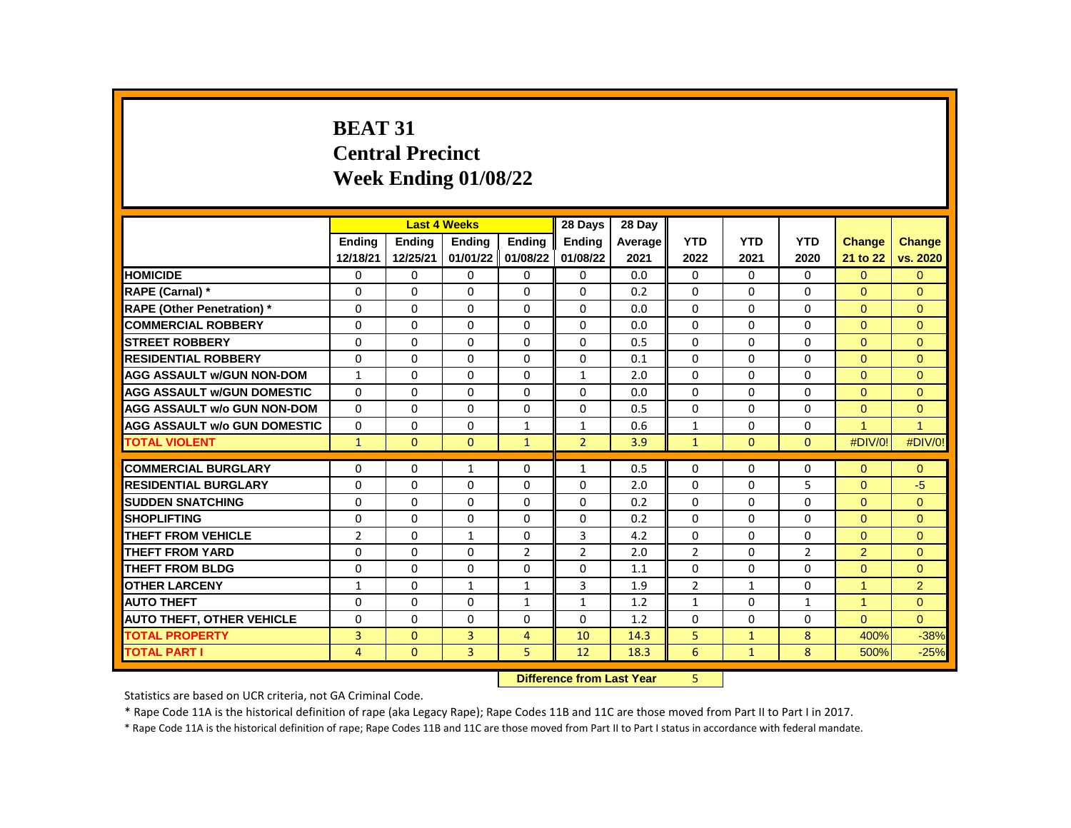# **BEAT 31 Central Precinct Week Ending 01/08/22**

|                                     |                | <b>Last 4 Weeks</b> |               |                | 28 Days        | 28 Day  |                |              |                |                      |                |
|-------------------------------------|----------------|---------------------|---------------|----------------|----------------|---------|----------------|--------------|----------------|----------------------|----------------|
|                                     | <b>Endina</b>  | <b>Endina</b>       | <b>Endina</b> | <b>Endina</b>  | <b>Endina</b>  | Average | <b>YTD</b>     | <b>YTD</b>   | <b>YTD</b>     | <b>Change</b>        | <b>Change</b>  |
|                                     | 12/18/21       | 12/25/21            | 01/01/22      | 01/08/22       | 01/08/22       | 2021    | 2022           | 2021         | 2020           | 21 to 22             | vs. 2020       |
| <b>HOMICIDE</b>                     | 0              | 0                   | 0             | 0              | 0              | 0.0     | 0              | $\mathbf{0}$ | $\mathbf{0}$   | $\overline{0}$       | $\mathbf{0}$   |
| RAPE (Carnal) *                     | 0              | 0                   | 0             | 0              | 0              | 0.2     | $\Omega$       | 0            | $\Omega$       | $\Omega$             | $\Omega$       |
| <b>RAPE (Other Penetration) *</b>   | $\Omega$       | $\mathbf 0$         | $\Omega$      | $\Omega$       | $\Omega$       | 0.0     | $\Omega$       | $\Omega$     | $\Omega$       | $\Omega$             | $\Omega$       |
| <b>COMMERCIAL ROBBERY</b>           | $\Omega$       | $\Omega$            | $\Omega$      | 0              | 0              | 0.0     | $\Omega$       | $\Omega$     | $\Omega$       | $\Omega$             | $\Omega$       |
| <b>STREET ROBBERY</b>               | 0              | 0                   | 0             | 0              | 0              | 0.5     | 0              | 0            | $\Omega$       | $\Omega$             | $\Omega$       |
| <b>RESIDENTIAL ROBBERY</b>          | $\Omega$       | 0                   | $\mathbf{0}$  | $\Omega$       | $\Omega$       | 0.1     | $\Omega$       | $\Omega$     | $\Omega$       | $\Omega$             | $\mathbf{0}$   |
| <b>AGG ASSAULT w/GUN NON-DOM</b>    | $\mathbf{1}$   | $\Omega$            | 0             | $\Omega$       | $\mathbf{1}$   | 2.0     | $\Omega$       | $\Omega$     | $\Omega$       | $\Omega$             | $\Omega$       |
| <b>AGG ASSAULT w/GUN DOMESTIC</b>   | $\Omega$       | $\Omega$            | $\Omega$      | $\Omega$       | $\Omega$       | 0.0     | $\Omega$       | $\mathbf{0}$ | $\Omega$       | $\Omega$             | $\Omega$       |
| <b>AGG ASSAULT w/o GUN NON-DOM</b>  | $\Omega$       | 0                   | $\Omega$      | 0              | 0              | 0.5     | $\Omega$       | $\Omega$     | $\Omega$       | $\Omega$             | $\mathbf{0}$   |
| <b>AGG ASSAULT w/o GUN DOMESTIC</b> | $\Omega$       | $\Omega$            | $\Omega$      | $\mathbf{1}$   | $\mathbf{1}$   | 0.6     | $\mathbf{1}$   | 0            | $\Omega$       | $\blacktriangleleft$ | $\overline{1}$ |
| <b>TOTAL VIOLENT</b>                | $\mathbf{1}$   | $\Omega$            | $\Omega$      | $\mathbf{1}$   | $\overline{2}$ | 3.9     | $\mathbf{1}$   | $\mathbf{0}$ | $\Omega$       | #DIV/0!              | #DIV/0!        |
|                                     |                |                     |               |                |                |         |                |              |                |                      |                |
| <b>COMMERCIAL BURGLARY</b>          | 0              | 0                   | $\mathbf{1}$  | 0              | 1              | 0.5     | 0              | 0            | 0              | $\Omega$             | $\Omega$       |
| <b>RESIDENTIAL BURGLARY</b>         | 0              | 0                   | 0             | 0              | 0              | 2.0     | 0              | 0            | 5              | $\Omega$             | $-5$           |
| <b>SUDDEN SNATCHING</b>             | $\Omega$       | 0                   | $\Omega$      | $\Omega$       | $\Omega$       | 0.2     | 0              | $\Omega$     | 0              | $\Omega$             | $\Omega$       |
| <b>SHOPLIFTING</b>                  | 0              | $\Omega$            | $\Omega$      | 0              | 0              | 0.2     | $\Omega$       | 0            | $\Omega$       | $\Omega$             | $\Omega$       |
| THEFT FROM VEHICLE                  | $\overline{2}$ | 0                   | $\mathbf{1}$  | 0              | 3              | 4.2     | $\Omega$       | $\mathbf{0}$ | 0              | $\Omega$             | $\Omega$       |
| <b>THEFT FROM YARD</b>              | $\Omega$       | $\Omega$            | $\Omega$      | $\overline{2}$ | $\overline{2}$ | 2.0     | $\overline{2}$ | $\Omega$     | $\overline{2}$ | $\overline{2}$       | $\Omega$       |
| <b>THEFT FROM BLDG</b>              | $\Omega$       | $\Omega$            | $\Omega$      | 0              | $\Omega$       | 1.1     | $\Omega$       | 0            | $\Omega$       | $\Omega$             | $\Omega$       |
| <b>OTHER LARCENY</b>                | $\mathbf{1}$   | $\Omega$            | $\mathbf{1}$  | $\mathbf{1}$   | 3              | 1.9     | $\overline{2}$ | $\mathbf{1}$ | $\Omega$       | 1                    | $\overline{2}$ |
| <b>AUTO THEFT</b>                   | 0              | 0                   | $\mathbf 0$   | $\mathbf{1}$   | $\mathbf{1}$   | 1.2     | $\mathbf{1}$   | $\Omega$     | $\mathbf{1}$   | $\mathbf{1}$         | $\mathbf{0}$   |
| <b>AUTO THEFT, OTHER VEHICLE</b>    | $\Omega$       | $\Omega$            | $\Omega$      | 0              | $\Omega$       | 1.2     | $\Omega$       | $\Omega$     | $\Omega$       | $\Omega$             | $\Omega$       |
| <b>TOTAL PROPERTY</b>               | 3              | $\mathbf{0}$        | 3             | 4              | 10             | 14.3    | 5              | $\mathbf{1}$ | 8              | 400%                 | $-38%$         |
| <b>TOTAL PART I</b>                 | $\overline{a}$ | $\mathbf{0}$        | 3             | 5              | 12             | 18.3    | 6              | $\mathbf{1}$ | 8              | 500%                 | $-25%$         |
|                                     |                |                     |               |                |                |         |                |              |                |                      |                |

 **Difference from Last Year** 5

Statistics are based on UCR criteria, not GA Criminal Code.

\* Rape Code 11A is the historical definition of rape (aka Legacy Rape); Rape Codes 11B and 11C are those moved from Part II to Part I in 2017.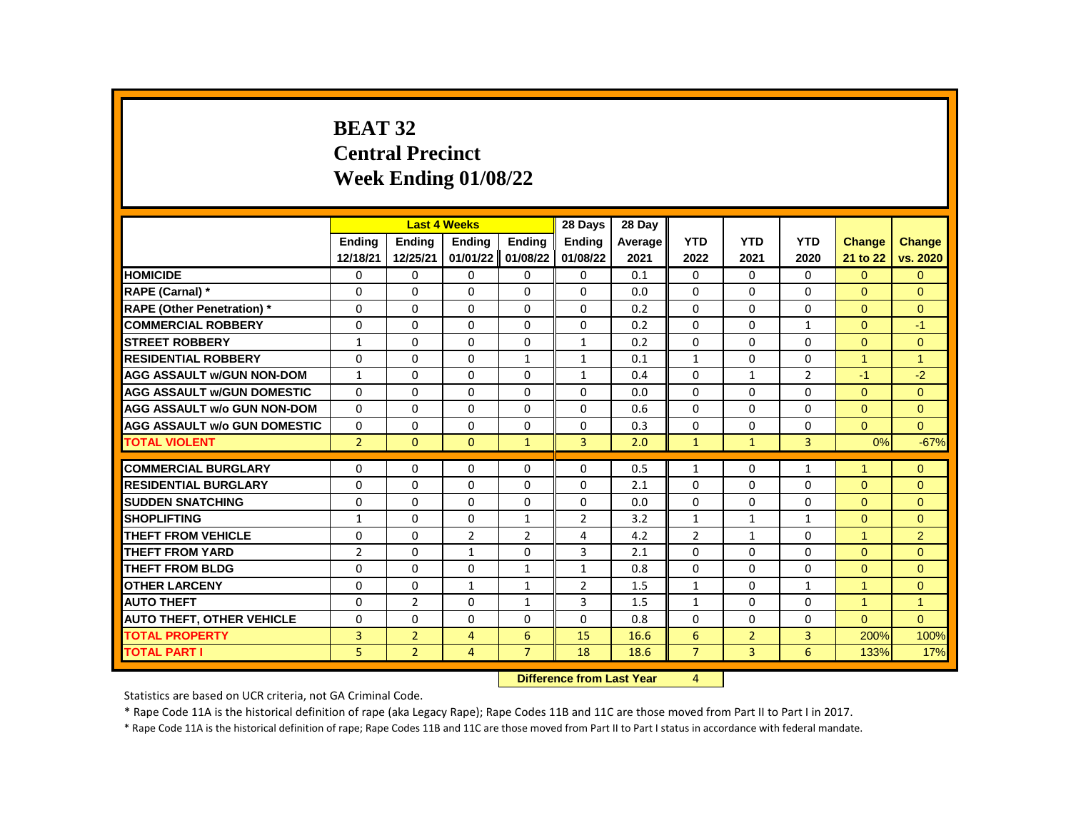# **BEAT 32 Central Precinct Week Ending 01/08/22**

|                                     |                |                | <b>Last 4 Weeks</b> |                | 28 Days        | 28 Day  |                |                |                |                |                |
|-------------------------------------|----------------|----------------|---------------------|----------------|----------------|---------|----------------|----------------|----------------|----------------|----------------|
|                                     | <b>Endina</b>  | <b>Endina</b>  | <b>Endina</b>       | <b>Endina</b>  | <b>Endina</b>  | Average | <b>YTD</b>     | <b>YTD</b>     | <b>YTD</b>     | Change         | <b>Change</b>  |
|                                     | 12/18/21       | 12/25/21       | 01/01/22            | 01/08/22       | 01/08/22       | 2021    | 2022           | 2021           | 2020           | 21 to 22       | vs. 2020       |
| <b>HOMICIDE</b>                     | 0              | 0              | 0                   | 0              | 0              | 0.1     | 0              | 0              | 0              | $\Omega$       | $\mathbf{0}$   |
| RAPE (Carnal) *                     | $\Omega$       | $\Omega$       | $\Omega$            | $\Omega$       | 0              | 0.0     | $\Omega$       | $\Omega$       | $\Omega$       | $\Omega$       | $\Omega$       |
| <b>RAPE (Other Penetration)</b> *   | $\Omega$       | $\Omega$       | $\Omega$            | $\Omega$       | $\Omega$       | 0.2     | $\Omega$       | $\Omega$       | $\Omega$       | $\Omega$       | $\Omega$       |
| <b>COMMERCIAL ROBBERY</b>           | 0              | 0              | 0                   | 0              | 0              | 0.2     | 0              | 0              | $\mathbf{1}$   | $\mathbf{0}$   | $-1$           |
| <b>STREET ROBBERY</b>               | 1              | 0              | 0                   | 0              | $\mathbf{1}$   | 0.2     | $\Omega$       | $\mathbf{0}$   | 0              | $\Omega$       | $\Omega$       |
| <b>RESIDENTIAL ROBBERY</b>          | $\Omega$       | $\Omega$       | $\Omega$            | $\mathbf{1}$   | $\mathbf{1}$   | 0.1     | $\mathbf{1}$   | $\Omega$       | $\Omega$       | $\mathbf{1}$   | $\overline{1}$ |
| <b>AGG ASSAULT w/GUN NON-DOM</b>    | $\mathbf{1}$   | $\Omega$       | $\Omega$            | $\Omega$       | $\mathbf{1}$   | 0.4     | $\Omega$       | $\mathbf{1}$   | $\overline{2}$ | $-1$           | $-2$           |
| <b>AGG ASSAULT w/GUN DOMESTIC</b>   | $\Omega$       | $\Omega$       | $\Omega$            | $\Omega$       | 0              | 0.0     | $\Omega$       | 0              | $\Omega$       | $\Omega$       | $\Omega$       |
| <b>AGG ASSAULT w/o GUN NON-DOM</b>  | $\Omega$       | $\Omega$       | $\Omega$            | $\Omega$       | $\Omega$       | 0.6     | $\Omega$       | $\Omega$       | $\Omega$       | $\Omega$       | $\mathbf{0}$   |
| <b>AGG ASSAULT w/o GUN DOMESTIC</b> | $\Omega$       | 0              | $\Omega$            | $\Omega$       | $\Omega$       | 0.3     | $\Omega$       | $\mathbf{0}$   | $\Omega$       | $\Omega$       | $\Omega$       |
| <b>TOTAL VIOLENT</b>                | $\overline{2}$ | $\mathbf{0}$   | $\mathbf{0}$        | $\mathbf{1}$   | 3              | 2.0     | $\mathbf{1}$   | $\mathbf{1}$   | $\overline{3}$ | 0%             | $-67%$         |
|                                     |                |                |                     |                |                |         |                |                |                |                |                |
| <b>COMMERCIAL BURGLARY</b>          | $\Omega$       | $\Omega$       | $\Omega$            | $\Omega$       | 0              | 0.5     | $\mathbf{1}$   | 0              | $\mathbf{1}$   | $\overline{1}$ | $\mathbf{0}$   |
| <b>RESIDENTIAL BURGLARY</b>         | $\Omega$       | 0              | $\Omega$            | 0              | 0              | 2.1     | 0              | 0              | $\Omega$       | $\Omega$       | $\mathbf{0}$   |
| <b>SUDDEN SNATCHING</b>             | $\Omega$       | $\Omega$       | $\Omega$            | $\Omega$       | $\Omega$       | 0.0     | $\Omega$       | $\Omega$       | $\Omega$       | $\Omega$       | $\Omega$       |
| <b>SHOPLIFTING</b>                  | $\mathbf{1}$   | $\Omega$       | $\Omega$            | $\mathbf{1}$   | $\overline{2}$ | 3.2     | $\mathbf{1}$   | $\mathbf{1}$   | $\mathbf{1}$   | $\Omega$       | $\Omega$       |
| THEFT FROM VEHICLE                  | $\Omega$       | $\Omega$       | $\overline{2}$      | $\overline{2}$ | 4              | 4.2     | $\overline{2}$ | $\mathbf{1}$   | $\Omega$       | $\overline{1}$ | $\overline{2}$ |
| <b>THEFT FROM YARD</b>              | $\overline{2}$ | $\Omega$       | $\mathbf{1}$        | $\Omega$       | 3              | 2.1     | $\Omega$       | $\Omega$       | $\Omega$       | $\Omega$       | $\Omega$       |
| <b>THEFT FROM BLDG</b>              | $\Omega$       | $\Omega$       | $\Omega$            | $\mathbf{1}$   | 1              | 0.8     | $\Omega$       | $\Omega$       | $\Omega$       | $\Omega$       | $\Omega$       |
| <b>OTHER LARCENY</b>                | $\Omega$       | $\Omega$       | $\mathbf{1}$        | $\mathbf{1}$   | $\overline{2}$ | 1.5     | $\mathbf{1}$   | 0              | $\mathbf{1}$   | $\mathbf{1}$   | $\Omega$       |
| <b>AUTO THEFT</b>                   | $\Omega$       | 2              | $\Omega$            | $\mathbf{1}$   | 3              | 1.5     | $\mathbf{1}$   | $\Omega$       | $\Omega$       | $\mathbf{1}$   | $\overline{1}$ |
| <b>AUTO THEFT, OTHER VEHICLE</b>    | $\Omega$       | $\Omega$       | $\Omega$            | $\Omega$       | 0              | 0.8     | $\Omega$       | $\Omega$       | $\Omega$       | $\Omega$       | $\Omega$       |
| <b>TOTAL PROPERTY</b>               | 3              | $\overline{2}$ | $\overline{4}$      | 6              | 15             | 16.6    | 6              | $\overline{2}$ | 3              | 200%           | 100%           |
| <b>TOTAL PART I</b>                 | 5              | $\overline{2}$ | $\overline{4}$      | $\overline{7}$ | 18             | 18.6    | $\overline{7}$ | 3              | 6              | 133%           | 17%            |
|                                     |                |                |                     |                |                |         |                |                |                |                |                |

**Difference from Last Year** 4

Statistics are based on UCR criteria, not GA Criminal Code.

\* Rape Code 11A is the historical definition of rape (aka Legacy Rape); Rape Codes 11B and 11C are those moved from Part II to Part I in 2017.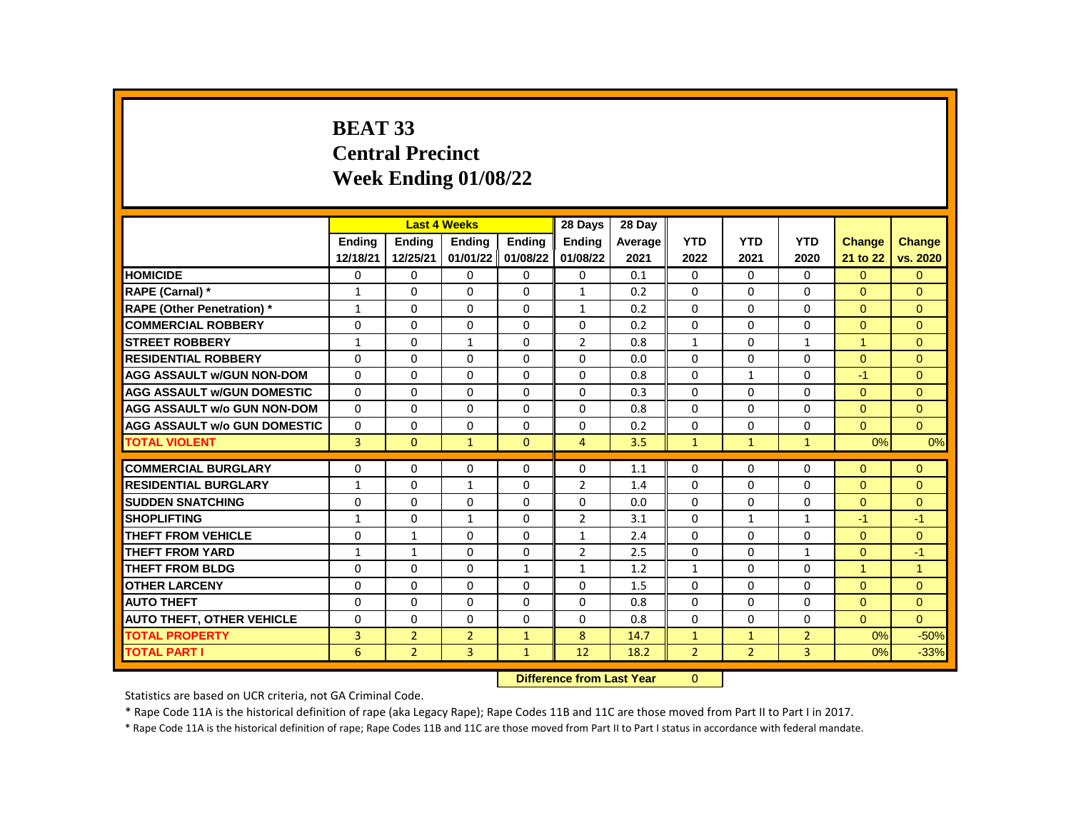## **BEAT 33 Central Precinct Week Ending 01/08/22**

|                                     |                | <b>Last 4 Weeks</b> |                |                   | 28 Days                                   | 28 Day  |                |                |                |                      |                |
|-------------------------------------|----------------|---------------------|----------------|-------------------|-------------------------------------------|---------|----------------|----------------|----------------|----------------------|----------------|
|                                     | Ending         | Ending              | Ending         | Ending            | <b>Ending</b>                             | Average | <b>YTD</b>     | <b>YTD</b>     | <b>YTD</b>     | <b>Change</b>        | <b>Change</b>  |
|                                     | 12/18/21       | 12/25/21            | 01/01/22       | 01/08/22          | 01/08/22                                  | 2021    | 2022           | 2021           | 2020           | 21 to 22             | vs. 2020       |
| <b>HOMICIDE</b>                     | 0              | $\mathbf{0}$        | 0              | 0                 | 0                                         | 0.1     | 0              | 0              | $\Omega$       | $\Omega$             | $\mathbf{0}$   |
| RAPE (Carnal) *                     | $\mathbf{1}$   | $\Omega$            | $\Omega$       | $\Omega$          | $\mathbf{1}$                              | 0.2     | $\Omega$       | $\Omega$       | $\Omega$       | $\Omega$             | $\Omega$       |
| <b>RAPE (Other Penetration) *</b>   | $\mathbf{1}$   | $\Omega$            | $\Omega$       | $\Omega$          | $\mathbf{1}$                              | 0.2     | $\Omega$       | $\Omega$       | $\Omega$       | $\Omega$             | $\Omega$       |
| <b>COMMERCIAL ROBBERY</b>           | $\Omega$       | $\Omega$            | $\Omega$       | 0                 | 0                                         | 0.2     | $\Omega$       | 0              | 0              | $\Omega$             | $\Omega$       |
| <b>STREET ROBBERY</b>               | $\mathbf{1}$   | 0                   | $\mathbf{1}$   | 0                 | $\overline{2}$                            | 0.8     | $\mathbf{1}$   | 0              | $\mathbf{1}$   | $\mathbf{1}$         | $\Omega$       |
| <b>RESIDENTIAL ROBBERY</b>          | $\Omega$       | $\Omega$            | $\Omega$       | $\Omega$          | 0                                         | 0.0     | $\Omega$       | $\Omega$       | $\Omega$       | $\Omega$             | $\mathbf{0}$   |
| <b>AGG ASSAULT w/GUN NON-DOM</b>    | 0              | 0                   | 0              | 0                 | 0                                         | 0.8     | 0              | $\mathbf{1}$   | 0              | $-1$                 | $\mathbf{0}$   |
| <b>AGG ASSAULT w/GUN DOMESTIC</b>   | $\Omega$       | $\Omega$            | $\Omega$       | 0                 | 0                                         | 0.3     | 0              | 0              | $\Omega$       | $\Omega$             | $\Omega$       |
| <b>AGG ASSAULT w/o GUN NON-DOM</b>  | $\Omega$       | $\Omega$            | $\Omega$       | $\Omega$          | $\Omega$                                  | 0.8     | $\Omega$       | $\Omega$       | $\Omega$       | $\Omega$             | $\Omega$       |
| <b>AGG ASSAULT w/o GUN DOMESTIC</b> | $\Omega$       | $\Omega$            | $\Omega$       | $\Omega$          | 0                                         | 0.2     | $\Omega$       | $\Omega$       | $\Omega$       | $\Omega$             | $\Omega$       |
| <b>TOTAL VIOLENT</b>                | $\overline{3}$ | $\Omega$            | $\mathbf{1}$   | $\Omega$          | $\overline{4}$                            | 3.5     | $\mathbf{1}$   | $\mathbf{1}$   | $\mathbf{1}$   | 0%                   | 0%             |
|                                     |                |                     |                |                   |                                           |         |                |                |                |                      |                |
| <b>COMMERCIAL BURGLARY</b>          | 0              | 0                   | 0              | 0                 | 0                                         | 1.1     | 0              | 0              | 0              | $\Omega$             | $\Omega$       |
| <b>RESIDENTIAL BURGLARY</b>         | $\mathbf{1}$   | 0                   | 1              | 0                 | $\overline{2}$                            | 1.4     | 0              | 0              | 0              | $\Omega$             | $\mathbf{0}$   |
| <b>SUDDEN SNATCHING</b>             | $\Omega$       | $\Omega$            | $\Omega$       | $\Omega$          | $\Omega$                                  | 0.0     | $\Omega$       | $\Omega$       | $\Omega$       | $\Omega$             | $\Omega$       |
| <b>SHOPLIFTING</b>                  | 1              | 0                   | 1              | 0                 | 2                                         | 3.1     | 0              | 1              | 1              | $-1$                 | $-1$           |
| THEFT FROM VEHICLE                  | $\Omega$       | $\mathbf{1}$        | $\Omega$       | 0                 | $\mathbf{1}$                              | 2.4     | $\mathbf 0$    | 0              | $\Omega$       | $\Omega$             | $\Omega$       |
| <b>THEFT FROM YARD</b>              | $\mathbf{1}$   | $\mathbf{1}$        | $\Omega$       | $\Omega$          | $\overline{2}$                            | 2.5     | $\Omega$       | $\Omega$       | $\mathbf{1}$   | $\Omega$             | $-1$           |
| <b>THEFT FROM BLDG</b>              | $\Omega$       | $\Omega$            | 0              | $\mathbf{1}$      | 1                                         | 1.2     | $\mathbf{1}$   | $\Omega$       | $\Omega$       | $\blacktriangleleft$ | $\overline{1}$ |
| <b>OTHER LARCENY</b>                | $\Omega$       | $\Omega$            | $\Omega$       | $\Omega$          | 0                                         | 1.5     | $\Omega$       | 0              | $\Omega$       | $\Omega$             | $\Omega$       |
| <b>AUTO THEFT</b>                   | $\Omega$       | $\Omega$            | $\Omega$       | $\Omega$          | $\Omega$                                  | 0.8     | $\Omega$       | $\Omega$       | $\Omega$       | $\Omega$             | $\Omega$       |
| <b>AUTO THEFT, OTHER VEHICLE</b>    | 0              | 0                   | 0              | 0                 | 0                                         | 0.8     | 0              | 0              | 0              | $\overline{0}$       | $\Omega$       |
| <b>TOTAL PROPERTY</b>               | 3              | $\overline{2}$      | $\overline{2}$ | $\mathbf{1}$      | 8                                         | 14.7    | 1              | $\mathbf{1}$   | $\overline{2}$ | 0%                   | $-50%$         |
| <b>TOTAL PART I</b>                 | 6              | $\overline{2}$      | 3              | $\mathbf{1}$      | 12                                        | 18.2    | $\overline{2}$ | $\overline{2}$ | 3              | 0%                   | $-33%$         |
|                                     |                |                     |                | <b>CONTRACTOR</b> | The company of the company of the company |         |                |                |                |                      |                |

**Difference from Last Year** 0

Statistics are based on UCR criteria, not GA Criminal Code.

\* Rape Code 11A is the historical definition of rape (aka Legacy Rape); Rape Codes 11B and 11C are those moved from Part II to Part I in 2017.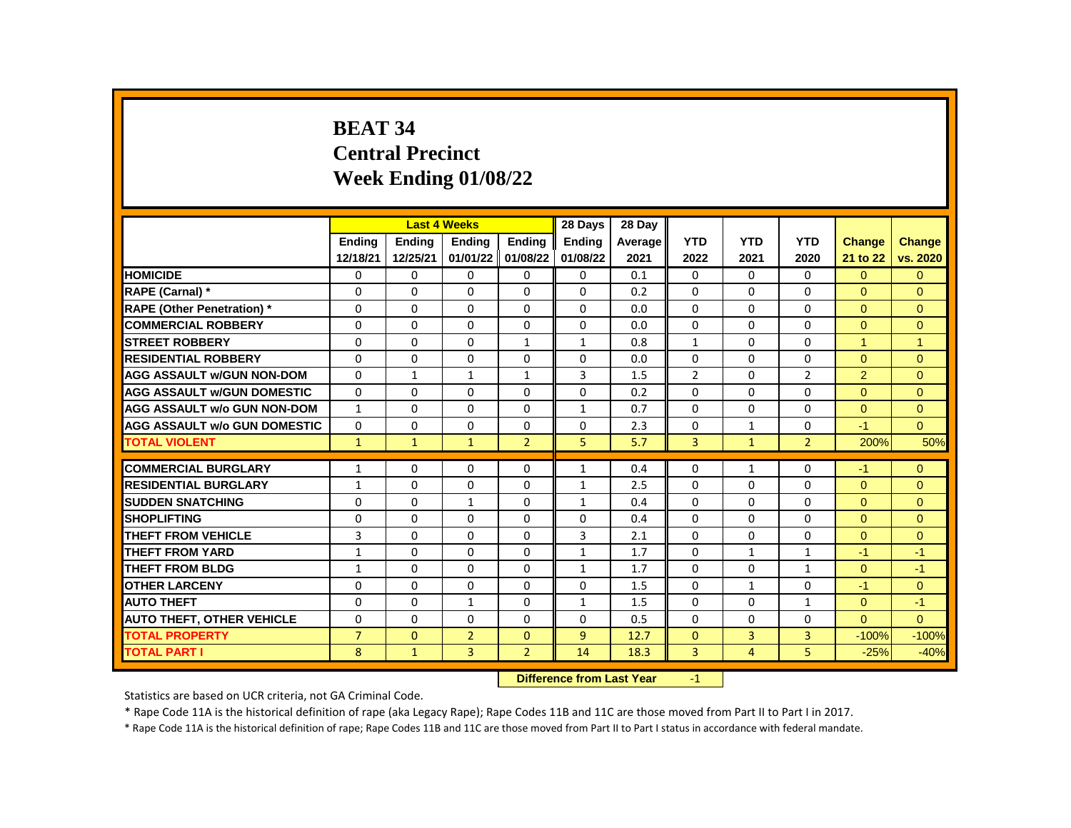## **BEAT 34 Central Precinct Week Ending 01/08/22**

|                                     |                | <b>Last 4 Weeks</b> |                |                | 28 Days       | 28 Day  |                |                |                |                |                |
|-------------------------------------|----------------|---------------------|----------------|----------------|---------------|---------|----------------|----------------|----------------|----------------|----------------|
|                                     | <b>Endina</b>  | <b>Endina</b>       | <b>Endina</b>  | <b>Endina</b>  | <b>Ending</b> | Average | <b>YTD</b>     | <b>YTD</b>     | <b>YTD</b>     | <b>Change</b>  | <b>Change</b>  |
|                                     | 12/18/21       | 12/25/21            | 01/01/22       | 01/08/22       | 01/08/22      | 2021    | 2022           | 2021           | 2020           | 21 to 22       | vs. 2020       |
| <b>HOMICIDE</b>                     | 0              | 0                   | 0              | 0              | 0             | 0.1     | $\mathbf{0}$   | 0              | 0              | $\overline{0}$ | $\overline{0}$ |
| RAPE (Carnal) *                     | 0              | 0                   | $\Omega$       | 0              | $\Omega$      | 0.2     | $\Omega$       | 0              | $\Omega$       | $\Omega$       | $\Omega$       |
| <b>RAPE (Other Penetration) *</b>   | $\Omega$       | $\Omega$            | 0              | $\Omega$       | $\Omega$      | 0.0     | $\Omega$       | $\Omega$       | $\mathbf 0$    | $\Omega$       | $\Omega$       |
| <b>COMMERCIAL ROBBERY</b>           | 0              | $\Omega$            | $\Omega$       | $\Omega$       | $\Omega$      | 0.0     | $\Omega$       | 0              | $\Omega$       | $\Omega$       | $\Omega$       |
| <b>STREET ROBBERY</b>               | $\Omega$       | 0                   | $\Omega$       | $\mathbf{1}$   | 1             | 0.8     | $\mathbf{1}$   | 0              | $\Omega$       | 1              | 1              |
| <b>RESIDENTIAL ROBBERY</b>          | $\Omega$       | $\Omega$            | $\Omega$       | $\Omega$       | $\Omega$      | 0.0     | $\Omega$       | $\Omega$       | $\mathbf 0$    | $\Omega$       | $\overline{0}$ |
| <b>AGG ASSAULT w/GUN NON-DOM</b>    | $\Omega$       | $\mathbf{1}$        | $\mathbf{1}$   | $\mathbf{1}$   | 3             | 1.5     | $\overline{2}$ | $\Omega$       | $\overline{2}$ | 2              | $\Omega$       |
| <b>AGG ASSAULT w/GUN DOMESTIC</b>   | $\Omega$       | $\Omega$            | $\Omega$       | $\Omega$       | $\Omega$      | 0.2     | $\Omega$       | $\Omega$       | $\Omega$       | $\Omega$       | $\Omega$       |
| <b>AGG ASSAULT w/o GUN NON-DOM</b>  | $\mathbf{1}$   | 0                   | $\Omega$       | 0              | $\mathbf{1}$  | 0.7     | $\Omega$       | 0              | 0              | $\mathbf{0}$   | $\overline{0}$ |
| <b>AGG ASSAULT w/o GUN DOMESTIC</b> | $\Omega$       | $\Omega$            | $\Omega$       | $\Omega$       | $\Omega$      | 2.3     | $\Omega$       | $\mathbf{1}$   | $\Omega$       | $-1$           | $\Omega$       |
| <b>TOTAL VIOLENT</b>                | $\mathbf{1}$   | $\mathbf{1}$        | $\mathbf{1}$   | $\overline{2}$ | 5             | 5.7     | 3              | $\mathbf{1}$   | $\overline{2}$ | 200%           | 50%            |
|                                     |                |                     |                |                |               |         |                |                |                |                |                |
| <b>COMMERCIAL BURGLARY</b>          | $\mathbf{1}$   | 0                   | 0              | 0              | $\mathbf{1}$  | 0.4     | $\Omega$       | $\mathbf{1}$   | 0              | $-1$           | $\Omega$       |
| <b>RESIDENTIAL BURGLARY</b>         | $\mathbf{1}$   | 0                   | 0              | 0              | $\mathbf{1}$  | 2.5     | 0              | 0              | 0              | $\Omega$       | $\Omega$       |
| <b>SUDDEN SNATCHING</b>             | $\Omega$       | $\Omega$            | $\mathbf{1}$   | $\Omega$       | $\mathbf{1}$  | 0.4     | $\Omega$       | $\Omega$       | $\Omega$       | $\Omega$       | $\Omega$       |
| <b>SHOPLIFTING</b>                  | 0              | $\Omega$            | 0              | $\Omega$       | $\Omega$      | 0.4     | $\Omega$       | 0              | $\Omega$       | $\Omega$       | $\Omega$       |
| THEFT FROM VEHICLE                  | 3              | 0                   | $\Omega$       | 0              | 3             | 2.1     | $\Omega$       | 0              | $\Omega$       | $\Omega$       | $\Omega$       |
| <b>THEFT FROM YARD</b>              | $\mathbf{1}$   | $\Omega$            | $\Omega$       | $\Omega$       | $\mathbf{1}$  | 1.7     | $\Omega$       | $\mathbf{1}$   | $\mathbf{1}$   | $-1$           | $-1$           |
| <b>THEFT FROM BLDG</b>              | $\mathbf{1}$   | $\Omega$            | $\Omega$       | $\Omega$       | $\mathbf{1}$  | 1.7     | $\Omega$       | $\Omega$       | 1              | $\Omega$       | $-1$           |
| <b>OTHER LARCENY</b>                | $\Omega$       | $\Omega$            | $\Omega$       | $\Omega$       | $\Omega$      | 1.5     | $\Omega$       | $\mathbf{1}$   | $\Omega$       | $-1$           | $\Omega$       |
| <b>AUTO THEFT</b>                   | $\Omega$       | 0                   | $\mathbf{1}$   | 0              | $\mathbf{1}$  | 1.5     | $\Omega$       | 0              | $\mathbf{1}$   | $\mathbf{0}$   | $-1$           |
| <b>AUTO THEFT, OTHER VEHICLE</b>    | $\Omega$       | $\Omega$            | 0              | $\Omega$       | $\Omega$      | 0.5     | $\Omega$       | $\Omega$       | $\Omega$       | $\Omega$       | $\Omega$       |
| <b>TOTAL PROPERTY</b>               | $\overline{7}$ | $\Omega$            | $\overline{2}$ | $\Omega$       | 9             | 12.7    | $\Omega$       | 3              | 3              | $-100%$        | $-100%$        |
| <b>TOTAL PART I</b>                 | 8              | $\mathbf{1}$        | 3              | $\overline{2}$ | 14            | 18.3    | 3              | $\overline{4}$ | 5              | $-25%$         | $-40%$         |
|                                     |                |                     |                |                |               |         |                |                |                |                |                |

**Difference from Last Year** -1

Statistics are based on UCR criteria, not GA Criminal Code.

\* Rape Code 11A is the historical definition of rape (aka Legacy Rape); Rape Codes 11B and 11C are those moved from Part II to Part I in 2017.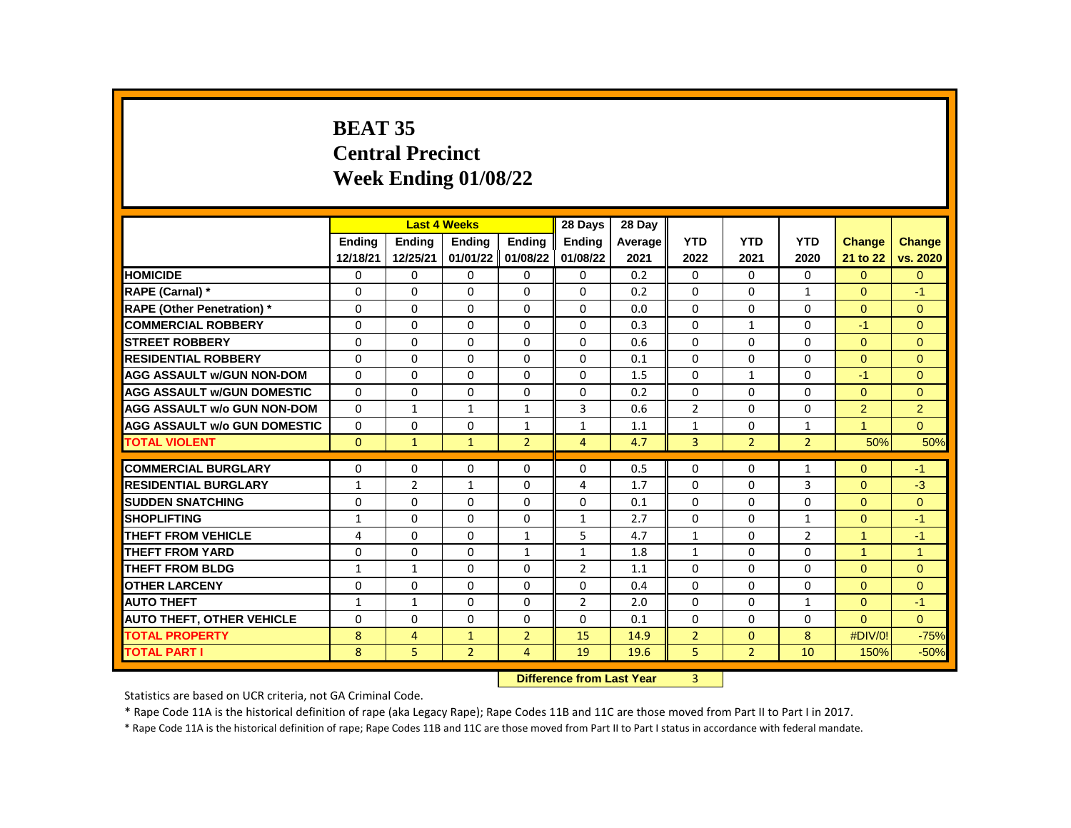## **BEAT 35 Central Precinct Week Ending 01/08/22**

|                                     |              | <b>Last 4 Weeks</b> |                |                    | 28 Days                           | 28 Day  |                |                |                |                |                |
|-------------------------------------|--------------|---------------------|----------------|--------------------|-----------------------------------|---------|----------------|----------------|----------------|----------------|----------------|
|                                     | Ending       | Ending              | Ending         | Ending             | Ending                            | Average | <b>YTD</b>     | <b>YTD</b>     | <b>YTD</b>     | <b>Change</b>  | <b>Change</b>  |
|                                     | 12/18/21     | 12/25/21            | 01/01/22       | 01/08/22           | 01/08/22                          | 2021    | 2022           | 2021           | 2020           | 21 to 22       | vs. 2020       |
| <b>HOMICIDE</b>                     | 0            | 0                   | $\Omega$       | 0                  | 0                                 | 0.2     | 0              | $\Omega$       | $\Omega$       | $\Omega$       | $\Omega$       |
| RAPE (Carnal) *                     | $\Omega$     | $\Omega$            | $\Omega$       | $\Omega$           | $\Omega$                          | 0.2     | $\Omega$       | $\Omega$       | $\mathbf{1}$   | $\Omega$       | $-1$           |
| <b>RAPE (Other Penetration) *</b>   | $\Omega$     | $\Omega$            | $\Omega$       | $\Omega$           | $\Omega$                          | 0.0     | $\Omega$       | $\Omega$       | $\Omega$       | $\Omega$       | $\Omega$       |
| <b>COMMERCIAL ROBBERY</b>           | $\Omega$     | $\Omega$            | $\Omega$       | 0                  | 0                                 | 0.3     | $\Omega$       | $\mathbf{1}$   | 0              | $-1$           | $\Omega$       |
| <b>STREET ROBBERY</b>               | 0            | 0                   | 0              | 0                  | 0                                 | 0.6     | 0              | $\mathbf{0}$   | $\Omega$       | $\Omega$       | $\Omega$       |
| <b>RESIDENTIAL ROBBERY</b>          | $\Omega$     | 0                   | $\Omega$       | 0                  | $\Omega$                          | 0.1     | $\Omega$       | $\Omega$       | $\Omega$       | $\Omega$       | $\Omega$       |
| <b>AGG ASSAULT w/GUN NON-DOM</b>    | $\Omega$     | 0                   | 0              | 0                  | 0                                 | 1.5     | 0              | $\mathbf{1}$   | 0              | $-1$           | $\mathbf{0}$   |
| <b>AGG ASSAULT w/GUN DOMESTIC</b>   | $\Omega$     | 0                   | 0              | 0                  | 0                                 | 0.2     | 0              | $\Omega$       | $\Omega$       | $\Omega$       | $\Omega$       |
| <b>AGG ASSAULT w/o GUN NON-DOM</b>  | $\Omega$     | $\mathbf{1}$        | $\mathbf{1}$   | $\mathbf{1}$       | 3                                 | 0.6     | $\overline{2}$ | $\Omega$       | $\Omega$       | $\overline{2}$ | $\overline{2}$ |
| <b>AGG ASSAULT w/o GUN DOMESTIC</b> | $\Omega$     | $\Omega$            | $\Omega$       | $\mathbf{1}$       | $\mathbf{1}$                      | 1.1     | $\mathbf{1}$   | 0              | $\mathbf{1}$   | $\mathbf{1}$   | $\Omega$       |
| <b>TOTAL VIOLENT</b>                | $\Omega$     | $\mathbf{1}$        | $\mathbf{1}$   | $\overline{2}$     | $\overline{4}$                    | 4.7     | 3              | $\overline{2}$ | $\overline{2}$ | 50%            | 50%            |
|                                     |              |                     |                |                    |                                   |         |                |                |                |                |                |
| <b>COMMERCIAL BURGLARY</b>          | 0            | 0                   | 0              | 0                  | 0                                 | 0.5     | 0              | 0              | $\mathbf{1}$   | $\Omega$       | $-1$           |
| <b>RESIDENTIAL BURGLARY</b>         | $\mathbf{1}$ | $\overline{2}$      | 1              | 0                  | 4                                 | 1.7     | 0              | 0              | 3              | $\Omega$       | $-3$           |
| <b>SUDDEN SNATCHING</b>             | $\Omega$     | $\Omega$            | $\Omega$       | $\Omega$           | $\Omega$                          | 0.1     | $\Omega$       | $\Omega$       | $\Omega$       | $\Omega$       | $\Omega$       |
| <b>SHOPLIFTING</b>                  | $\mathbf{1}$ | 0                   | 0              | 0                  | 1                                 | 2.7     | $\Omega$       | 0              | $\mathbf{1}$   | $\Omega$       | $-1$           |
| THEFT FROM VEHICLE                  | 4            | 0                   | $\Omega$       | $\mathbf{1}$       | 5                                 | 4.7     | $\mathbf{1}$   | $\mathbf{0}$   | $\overline{2}$ | 1              | $-1$           |
| <b>THEFT FROM YARD</b>              | $\Omega$     | $\Omega$            | $\Omega$       | $\mathbf{1}$       | $\mathbf{1}$                      | 1.8     | $\mathbf{1}$   | $\Omega$       | $\Omega$       | $\mathbf{1}$   | $\overline{1}$ |
| <b>THEFT FROM BLDG</b>              | $\mathbf{1}$ | $\mathbf{1}$        | 0              | 0                  | $\overline{2}$                    | 1.1     | $\Omega$       | 0              | $\Omega$       | $\Omega$       | $\mathbf{0}$   |
| <b>OTHER LARCENY</b>                | $\Omega$     | $\Omega$            | $\Omega$       | $\Omega$           | 0                                 | 0.4     | $\Omega$       | $\mathbf{0}$   | 0              | $\Omega$       | $\Omega$       |
| <b>AUTO THEFT</b>                   | $\mathbf{1}$ | $\mathbf{1}$        | $\Omega$       | $\Omega$           | $\overline{2}$                    | 2.0     | $\Omega$       | $\Omega$       | $\mathbf{1}$   | $\Omega$       | $-1$           |
| <b>AUTO THEFT, OTHER VEHICLE</b>    | $\Omega$     | 0                   | 0              | 0                  | 0                                 | 0.1     | 0              | 0              | 0              | $\Omega$       | $\Omega$       |
| <b>TOTAL PROPERTY</b>               | 8            | 4                   | $\mathbf{1}$   | $\overline{2}$     | 15                                | 14.9    | $\overline{2}$ | $\Omega$       | 8              | #DIV/0!        | $-75%$         |
| <b>TOTAL PART I</b>                 | 8            | 5                   | $\overline{2}$ | 4                  | 19                                | 19.6    | 5              | $\overline{2}$ | 10             | 150%           | $-50%$         |
|                                     |              |                     |                | <b>CARLO CARDS</b> | The company of the company with a |         | $\sim$         |                |                |                |                |

**Difference from Last Year** 3

Statistics are based on UCR criteria, not GA Criminal Code.

\* Rape Code 11A is the historical definition of rape (aka Legacy Rape); Rape Codes 11B and 11C are those moved from Part II to Part I in 2017.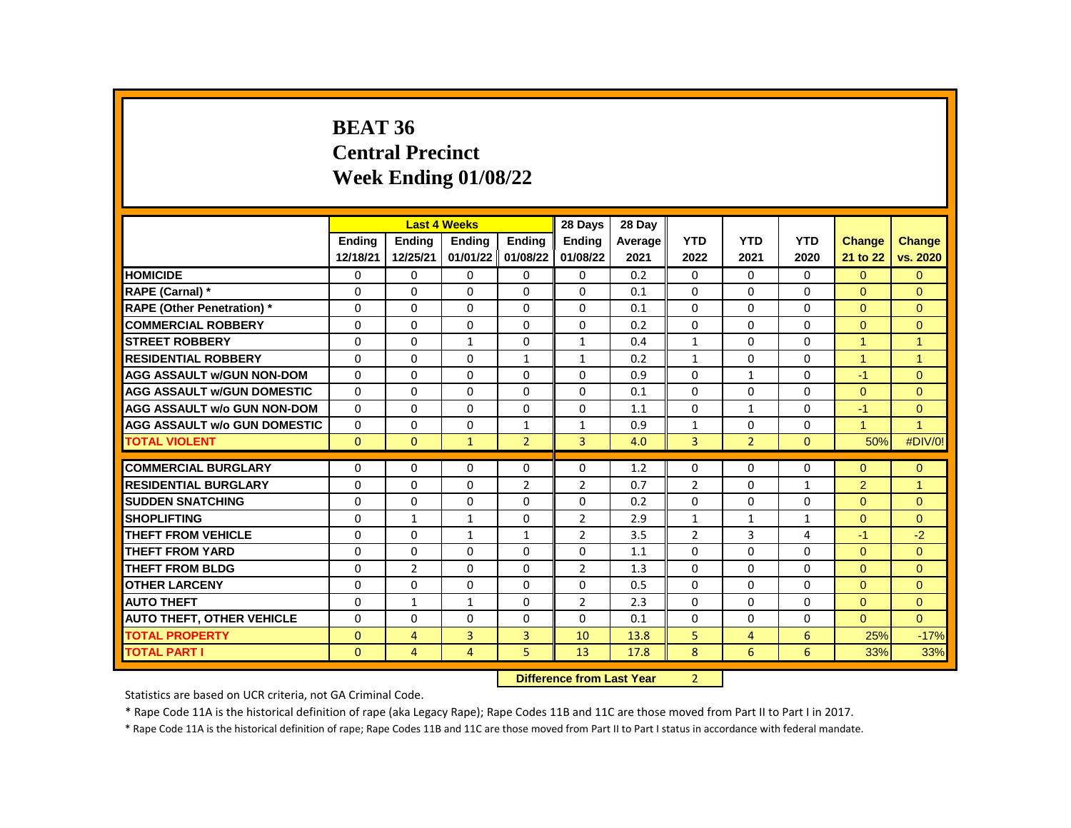#### **BEAT 36 Central Precinct Week Ending 01/08/22**

|                                     |              | <b>Last 4 Weeks</b> |                   |                | 28 Days                                                                                                                                                                                                                        | 28 Day  |                |                |              |                      |                      |
|-------------------------------------|--------------|---------------------|-------------------|----------------|--------------------------------------------------------------------------------------------------------------------------------------------------------------------------------------------------------------------------------|---------|----------------|----------------|--------------|----------------------|----------------------|
|                                     | Ending       | Ending              | Ending            | Ending         | <b>Endina</b>                                                                                                                                                                                                                  | Average | <b>YTD</b>     | <b>YTD</b>     | <b>YTD</b>   | <b>Change</b>        | <b>Change</b>        |
|                                     | 12/18/21     | 12/25/21            | 01/01/22 01/08/22 |                | 01/08/22                                                                                                                                                                                                                       | 2021    | 2022           | 2021           | 2020         | 21 to 22             | vs. 2020             |
| <b>HOMICIDE</b>                     | $\Omega$     | 0                   | 0                 | 0              | 0                                                                                                                                                                                                                              | 0.2     | 0              | $\mathbf{0}$   | $\mathbf{0}$ | $\Omega$             | $\Omega$             |
| RAPE (Carnal) *                     | $\Omega$     | $\Omega$            | $\Omega$          | $\Omega$       | $\Omega$                                                                                                                                                                                                                       | 0.1     | $\Omega$       | $\Omega$       | $\Omega$     | $\Omega$             | $\Omega$             |
| <b>RAPE (Other Penetration) *</b>   | $\Omega$     | $\Omega$            | $\Omega$          | $\Omega$       | $\Omega$                                                                                                                                                                                                                       | 0.1     | $\Omega$       | $\Omega$       | $\Omega$     | $\Omega$             | $\Omega$             |
| <b>COMMERCIAL ROBBERY</b>           | $\Omega$     | 0                   | 0                 | $\mathbf{0}$   | 0                                                                                                                                                                                                                              | 0.2     | $\Omega$       | 0              | 0            | $\mathbf{0}$         | $\mathbf{0}$         |
| <b>STREET ROBBERY</b>               | $\Omega$     | $\Omega$            | $\mathbf{1}$      | $\mathbf{0}$   | $\mathbf{1}$                                                                                                                                                                                                                   | 0.4     | $\mathbf{1}$   | $\Omega$       | $\Omega$     | $\blacktriangleleft$ | $\blacktriangleleft$ |
| <b>RESIDENTIAL ROBBERY</b>          | $\Omega$     | $\Omega$            | $\Omega$          | $\mathbf{1}$   | $\mathbf{1}$                                                                                                                                                                                                                   | 0.2     | $\mathbf{1}$   | $\Omega$       | $\Omega$     | $\overline{1}$       | $\blacktriangleleft$ |
| <b>AGG ASSAULT w/GUN NON-DOM</b>    | $\Omega$     | 0                   | $\Omega$          | $\mathbf{0}$   | $\Omega$                                                                                                                                                                                                                       | 0.9     | $\Omega$       | $\mathbf{1}$   | $\Omega$     | $-1$                 | $\Omega$             |
| <b>AGG ASSAULT w/GUN DOMESTIC</b>   | $\Omega$     | $\Omega$            | $\Omega$          | $\mathbf{0}$   | $\Omega$                                                                                                                                                                                                                       | 0.1     | $\Omega$       | $\Omega$       | $\Omega$     | $\Omega$             | $\Omega$             |
| <b>AGG ASSAULT w/o GUN NON-DOM</b>  | $\Omega$     | $\Omega$            | $\Omega$          | $\Omega$       | $\Omega$                                                                                                                                                                                                                       | 1.1     | $\Omega$       | $\mathbf{1}$   | $\Omega$     | $-1$                 | $\Omega$             |
| <b>AGG ASSAULT w/o GUN DOMESTIC</b> | 0            | 0                   | 0                 | $\mathbf{1}$   | $\mathbf{1}$                                                                                                                                                                                                                   | 0.9     | $\mathbf{1}$   | 0              | 0            | $\blacktriangleleft$ | $\blacktriangleleft$ |
| <b>TOTAL VIOLENT</b>                | $\mathbf{0}$ | $\mathbf{0}$        | $\mathbf{1}$      | $\overline{2}$ | $\overline{3}$                                                                                                                                                                                                                 | 4.0     | 3              | $\overline{2}$ | $\Omega$     | 50%                  | #DIV/0!              |
|                                     |              |                     |                   |                |                                                                                                                                                                                                                                |         |                |                |              |                      |                      |
| <b>COMMERCIAL BURGLARY</b>          | 0            | $\Omega$            | 0                 | $\mathbf{0}$   | $\Omega$                                                                                                                                                                                                                       | 1.2     | $\Omega$       | $\mathbf{0}$   | $\Omega$     | $\Omega$             | $\mathbf{0}$         |
| <b>RESIDENTIAL BURGLARY</b>         | $\Omega$     | $\Omega$            | $\Omega$          | $\overline{2}$ | $\overline{2}$                                                                                                                                                                                                                 | 0.7     | 2              | $\Omega$       | $\mathbf{1}$ | 2                    | $\overline{1}$       |
| <b>SUDDEN SNATCHING</b>             | $\Omega$     | $\Omega$            | $\Omega$          | 0              | $\Omega$                                                                                                                                                                                                                       | 0.2     | $\Omega$       | $\Omega$       | $\Omega$     | $\Omega$             | $\Omega$             |
| <b>SHOPLIFTING</b>                  | $\Omega$     | 1                   | $\mathbf{1}$      | 0              | $\overline{2}$                                                                                                                                                                                                                 | 2.9     | $\mathbf{1}$   | $\mathbf{1}$   | $\mathbf{1}$ | $\mathbf{0}$         | $\Omega$             |
| <b>THEFT FROM VEHICLE</b>           | $\Omega$     | 0                   | 1                 | $\mathbf{1}$   | $\overline{2}$                                                                                                                                                                                                                 | 3.5     | $\overline{2}$ | 3              | 4            | -1                   | $-2$                 |
| <b>THEFT FROM YARD</b>              | $\Omega$     | $\Omega$            | $\Omega$          | $\Omega$       | $\Omega$                                                                                                                                                                                                                       | 1.1     | $\Omega$       | $\Omega$       | $\Omega$     | $\Omega$             | $\Omega$             |
| <b>THEFT FROM BLDG</b>              | $\Omega$     | $\overline{2}$      | $\Omega$          | 0              | $\overline{2}$                                                                                                                                                                                                                 | 1.3     | $\Omega$       | 0              | 0            | $\Omega$             | $\Omega$             |
| <b>OTHER LARCENY</b>                | $\Omega$     | 0                   | $\Omega$          | $\mathbf{0}$   | $\Omega$                                                                                                                                                                                                                       | 0.5     | $\Omega$       | $\Omega$       | $\Omega$     | $\Omega$             | $\Omega$             |
| <b>AUTO THEFT</b>                   | $\Omega$     | $\mathbf{1}$        | $\mathbf{1}$      | $\Omega$       | $\overline{2}$                                                                                                                                                                                                                 | 2.3     | $\Omega$       | $\Omega$       | $\Omega$     | $\Omega$             | $\Omega$             |
| <b>AUTO THEFT, OTHER VEHICLE</b>    | 0            | 0                   | 0                 | $\mathbf{0}$   | 0                                                                                                                                                                                                                              | 0.1     | 0              | 0              | 0            | $\Omega$             | $\Omega$             |
| <b>TOTAL PROPERTY</b>               | $\mathbf{0}$ | 4                   | 3                 | 3              | 10                                                                                                                                                                                                                             | 13.8    | 5              | 4              | 6            | 25%                  | $-17%$               |
| <b>TOTAL PART I</b>                 | $\mathbf{0}$ | 4                   | 4                 | 5              | 13                                                                                                                                                                                                                             | 17.8    | 8              | 6              | 6            | 33%                  | 33%                  |
|                                     |              |                     |                   | <b>PARKER</b>  | and the company of the company of the company of the company of the company of the company of the company of the company of the company of the company of the company of the company of the company of the company of the comp |         | $\sim$         |                |              |                      |                      |

**Difference from Last Year** 2

Statistics are based on UCR criteria, not GA Criminal Code.

\* Rape Code 11A is the historical definition of rape (aka Legacy Rape); Rape Codes 11B and 11C are those moved from Part II to Part I in 2017.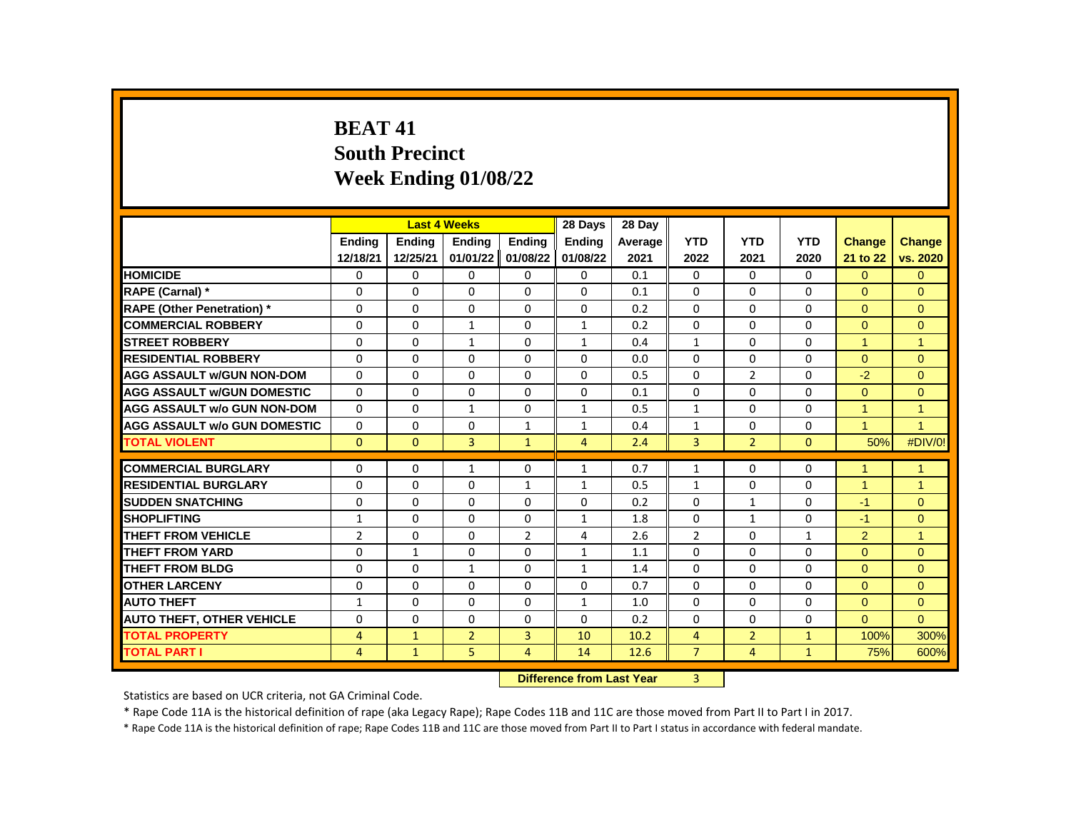# **BEAT 41 South Precinct Week Ending 01/08/22**

|                                     |                |              | <b>Last 4 Weeks</b> |                   | 28 Days        | 28 Day                                     |                |                |              |                      |                      |
|-------------------------------------|----------------|--------------|---------------------|-------------------|----------------|--------------------------------------------|----------------|----------------|--------------|----------------------|----------------------|
|                                     | <b>Endina</b>  | Ending       | Ending              | Ending            | <b>Endina</b>  | Average                                    | <b>YTD</b>     | <b>YTD</b>     | <b>YTD</b>   | <b>Change</b>        | <b>Change</b>        |
|                                     | 12/18/21       | 12/25/21     | 01/01/22            | 01/08/22          | 01/08/22       | 2021                                       | 2022           | 2021           | 2020         | 21 to 22             | vs. 2020             |
| <b>HOMICIDE</b>                     | 0              | 0            | 0                   | 0                 | $\mathbf 0$    | 0.1                                        | 0              | $\Omega$       | $\Omega$     | $\Omega$             | $\mathbf{0}$         |
| <b>RAPE (Carnal) *</b>              | $\Omega$       | $\Omega$     | $\Omega$            | $\Omega$          | $\Omega$       | 0.1                                        | $\Omega$       | $\Omega$       | $\Omega$     | $\Omega$             | $\Omega$             |
| <b>RAPE (Other Penetration) *</b>   | $\Omega$       | $\mathbf{0}$ | 0                   | $\mathbf{0}$      | $\Omega$       | 0.2                                        | $\Omega$       | $\Omega$       | $\Omega$     | $\Omega$             | $\Omega$             |
| <b>COMMERCIAL ROBBERY</b>           | $\Omega$       | $\mathbf{0}$ | $\mathbf{1}$        | 0                 | $\mathbf{1}$   | 0.2                                        | $\Omega$       | $\Omega$       | $\Omega$     | $\Omega$             | $\Omega$             |
| <b>STREET ROBBERY</b>               | $\Omega$       | $\Omega$     | $\mathbf{1}$        | 0                 | $\mathbf{1}$   | 0.4                                        | $\mathbf{1}$   | $\Omega$       | $\Omega$     | $\blacktriangleleft$ | $\blacktriangleleft$ |
| <b>RESIDENTIAL ROBBERY</b>          | $\Omega$       | $\mathbf{0}$ | 0                   | $\mathbf{0}$      | $\Omega$       | 0.0                                        | $\Omega$       | $\Omega$       | $\Omega$     | $\Omega$             | $\Omega$             |
| <b>AGG ASSAULT w/GUN NON-DOM</b>    | $\Omega$       | $\mathbf{0}$ | $\Omega$            | $\mathbf{0}$      | $\Omega$       | 0.5                                        | $\Omega$       | $\overline{2}$ | $\Omega$     | $-2$                 | $\Omega$             |
| <b>AGG ASSAULT W/GUN DOMESTIC</b>   | $\Omega$       | $\Omega$     | $\Omega$            | $\Omega$          | $\Omega$       | 0.1                                        | $\Omega$       | $\Omega$       | $\Omega$     | $\Omega$             | $\Omega$             |
| <b>AGG ASSAULT w/o GUN NON-DOM</b>  | $\Omega$       | $\Omega$     | $\mathbf{1}$        | $\Omega$          | $\mathbf{1}$   | 0.5                                        | $\mathbf{1}$   | $\Omega$       | $\Omega$     | $\blacktriangleleft$ | $\overline{1}$       |
| <b>AGG ASSAULT w/o GUN DOMESTIC</b> | 0              | 0            | 0                   | $\mathbf{1}$      | $\mathbf{1}$   | 0.4                                        | $\mathbf{1}$   | $\Omega$       | $\Omega$     | $\blacktriangleleft$ | $\overline{1}$       |
| <b>TOTAL VIOLENT</b>                | $\mathbf{0}$   | $\mathbf{0}$ | $\overline{3}$      | $\mathbf{1}$      | $\overline{4}$ | 2.4                                        | $\overline{3}$ | $\overline{2}$ | $\mathbf{0}$ | 50%                  | #DIV/0!              |
|                                     |                |              |                     |                   |                |                                            |                |                |              |                      |                      |
| <b>COMMERCIAL BURGLARY</b>          | 0              | 0            | $\mathbf{1}$        | 0                 | $\mathbf{1}$   | 0.7                                        | $\mathbf{1}$   | 0              | $\mathbf{0}$ | $\overline{1}$       | $\blacktriangleleft$ |
| <b>RESIDENTIAL BURGLARY</b>         | $\Omega$       | 0            | $\Omega$            | $\mathbf{1}$      | 1              | 0.5                                        | $\mathbf{1}$   | $\Omega$       | $\Omega$     | $\blacktriangleleft$ | $\overline{1}$       |
| <b>SUDDEN SNATCHING</b>             | $\Omega$       | $\Omega$     | $\Omega$            | $\Omega$          | $\Omega$       | 0.2                                        | $\Omega$       | $\mathbf{1}$   | $\Omega$     | $-1$                 | $\Omega$             |
| <b>SHOPLIFTING</b>                  | $\mathbf{1}$   | 0            | 0                   | 0                 | $\mathbf{1}$   | 1.8                                        | $\Omega$       | $\mathbf{1}$   | $\Omega$     | $-1$                 | $\Omega$             |
| <b>THEFT FROM VEHICLE</b>           | $\overline{2}$ | $\mathbf{0}$ | 0                   | $\overline{2}$    | 4              | 2.6                                        | $\overline{2}$ | $\mathbf{0}$   | $\mathbf{1}$ | $\overline{2}$       | $\blacktriangleleft$ |
| <b>THEFT FROM YARD</b>              | $\Omega$       | $\mathbf{1}$ | $\Omega$            | $\Omega$          | $\mathbf{1}$   | 1.1                                        | $\Omega$       | $\Omega$       | $\Omega$     | $\Omega$             | $\Omega$             |
| <b>THEFT FROM BLDG</b>              | $\Omega$       | 0            | $\mathbf{1}$        | 0                 | $\mathbf{1}$   | 1.4                                        | $\Omega$       | $\Omega$       | $\Omega$     | $\Omega$             | $\Omega$             |
| <b>OTHER LARCENY</b>                | $\Omega$       | $\Omega$     | $\Omega$            | $\Omega$          | $\Omega$       | 0.7                                        | $\Omega$       | $\Omega$       | $\Omega$     | $\Omega$             | $\Omega$             |
| <b>AUTO THEFT</b>                   | $\mathbf{1}$   | $\mathbf{0}$ | 0                   | $\mathbf{0}$      | $\mathbf{1}$   | 1.0                                        | $\Omega$       | $\Omega$       | $\Omega$     | $\Omega$             | $\Omega$             |
| <b>AUTO THEFT, OTHER VEHICLE</b>    | 0              | 0            | 0                   | 0                 | 0              | 0.2                                        | $\Omega$       | $\Omega$       | $\mathbf{0}$ | $\Omega$             | $\Omega$             |
| <b>TOTAL PROPERTY</b>               | 4              | $\mathbf{1}$ | $\overline{2}$      | $\overline{3}$    | 10             | 10.2                                       | $\overline{4}$ | $\overline{2}$ | $\mathbf{1}$ | 100%                 | 300%                 |
| <b>TOTAL PART I</b>                 | 4              | $\mathbf{1}$ | 5                   | $\overline{4}$    | 14             | 12.6                                       | $\overline{7}$ | $\overline{4}$ | $\mathbf{1}$ | 75%                  | 600%                 |
|                                     |                |              |                     | <b>CONTRACTOR</b> |                | <b>Contract Contract Contract Contract</b> | $\sim$         |                |              |                      |                      |

**Difference from Last Year** 3

Statistics are based on UCR criteria, not GA Criminal Code.

\* Rape Code 11A is the historical definition of rape (aka Legacy Rape); Rape Codes 11B and 11C are those moved from Part II to Part I in 2017.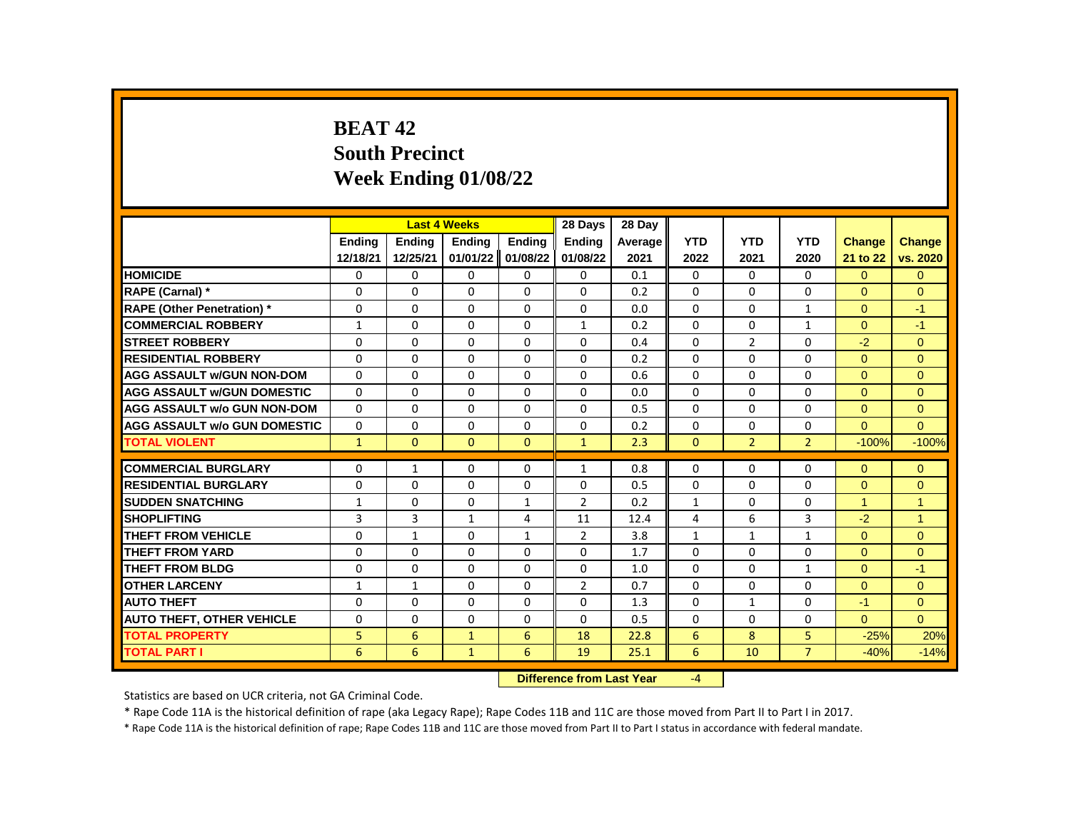# **BEAT 42 South Precinct Week Ending 01/08/22**

|                                     |               | <b>Last 4 Weeks</b> |               |               | 28 Days        | 28 Day  |              |                |                |                      |                |
|-------------------------------------|---------------|---------------------|---------------|---------------|----------------|---------|--------------|----------------|----------------|----------------------|----------------|
|                                     | <b>Endina</b> | <b>Endina</b>       | <b>Endina</b> | <b>Endina</b> | <b>Endina</b>  | Average | <b>YTD</b>   | <b>YTD</b>     | <b>YTD</b>     | <b>Change</b>        | <b>Change</b>  |
|                                     | 12/18/21      | 12/25/21            | 01/01/22      | 01/08/22      | 01/08/22       | 2021    | 2022         | 2021           | 2020           | 21 to 22             | vs. 2020       |
| <b>HOMICIDE</b>                     | 0             | 0                   | 0             | 0             | 0              | 0.1     | 0            | $\mathbf{0}$   | $\mathbf{0}$   | $\mathbf{0}$         | $\mathbf{0}$   |
| RAPE (Carnal) *                     | $\Omega$      | $\Omega$            | $\Omega$      | $\Omega$      | $\Omega$       | 0.2     | $\Omega$     | 0              | $\Omega$       | $\Omega$             | $\Omega$       |
| <b>RAPE (Other Penetration) *</b>   | $\Omega$      | $\Omega$            | $\Omega$      | $\Omega$      | $\Omega$       | 0.0     | $\Omega$     | $\Omega$       | $\mathbf{1}$   | $\Omega$             | $-1$           |
| <b>COMMERCIAL ROBBERY</b>           | $\mathbf{1}$  | 0                   | $\Omega$      | 0             | $\mathbf{1}$   | 0.2     | $\Omega$     | 0              | $\mathbf{1}$   | $\Omega$             | $-1$           |
| <b>STREET ROBBERY</b>               | $\Omega$      | 0                   | $\Omega$      | 0             | 0              | 0.4     | $\Omega$     | $\overline{2}$ | $\Omega$       | $-2$                 | $\Omega$       |
| <b>RESIDENTIAL ROBBERY</b>          | $\Omega$      | $\Omega$            | $\Omega$      | $\Omega$      | $\Omega$       | 0.2     | $\Omega$     | $\Omega$       | $\Omega$       | $\Omega$             | $\mathbf{0}$   |
| <b>AGG ASSAULT W/GUN NON-DOM</b>    | $\Omega$      | 0                   | $\Omega$      | 0             | $\Omega$       | 0.6     | $\Omega$     | $\Omega$       | $\Omega$       | $\Omega$             | $\Omega$       |
| <b>AGG ASSAULT W/GUN DOMESTIC</b>   | $\Omega$      | $\Omega$            | $\Omega$      | $\Omega$      | $\Omega$       | 0.0     | $\Omega$     | $\Omega$       | $\Omega$       | $\Omega$             | $\Omega$       |
| <b>AGG ASSAULT w/o GUN NON-DOM</b>  | $\Omega$      | $\Omega$            | $\Omega$      | $\Omega$      | $\Omega$       | 0.5     | $\Omega$     | $\Omega$       | $\Omega$       | $\mathbf{0}$         | $\mathbf{0}$   |
| <b>AGG ASSAULT w/o GUN DOMESTIC</b> | $\Omega$      | $\Omega$            | $\Omega$      | $\Omega$      | $\Omega$       | 0.2     | $\Omega$     | $\Omega$       | $\Omega$       | $\Omega$             | $\Omega$       |
| <b>TOTAL VIOLENT</b>                | $\mathbf{1}$  | $\mathbf{0}$        | $\Omega$      | $\Omega$      | $\mathbf{1}$   | 2.3     | $\mathbf{0}$ | $\overline{2}$ | $\overline{2}$ | $-100%$              | $-100%$        |
|                                     |               |                     |               |               |                |         |              |                |                |                      |                |
| <b>COMMERCIAL BURGLARY</b>          | 0             | $\mathbf{1}$        | 0             | 0             | $\mathbf{1}$   | 0.8     | $\Omega$     | 0              | $\Omega$       | $\Omega$             | $\Omega$       |
| <b>RESIDENTIAL BURGLARY</b>         | $\Omega$      | 0                   | 0             | 0             | 0              | 0.5     | 0            | 0              | 0              | $\Omega$             | $\Omega$       |
| <b>SUDDEN SNATCHING</b>             | $\mathbf{1}$  | 0                   | 0             | $\mathbf{1}$  | $\overline{2}$ | 0.2     | $\mathbf{1}$ | 0              | $\Omega$       | $\blacktriangleleft$ | $\overline{1}$ |
| <b>SHOPLIFTING</b>                  | 3             | 3                   | $\mathbf{1}$  | 4             | 11             | 12.4    | 4            | 6              | $\overline{3}$ | $-2$                 | $\overline{1}$ |
| <b>THEFT FROM VEHICLE</b>           | $\Omega$      | $\mathbf{1}$        | 0             | $\mathbf{1}$  | $\overline{2}$ | 3.8     | $\mathbf{1}$ | $\mathbf{1}$   | $\mathbf{1}$   | $\Omega$             | $\mathbf{0}$   |
| <b>THEFT FROM YARD</b>              | $\Omega$      | $\Omega$            | $\Omega$      | $\Omega$      | $\Omega$       | 1.7     | $\Omega$     | $\Omega$       | $\Omega$       | $\Omega$             | $\mathbf{0}$   |
| <b>THEFT FROM BLDG</b>              | $\Omega$      | $\Omega$            | $\Omega$      | 0             | $\Omega$       | 1.0     | $\Omega$     | $\Omega$       | $\mathbf{1}$   | $\Omega$             | $-1$           |
| <b>OTHER LARCENY</b>                | $\mathbf{1}$  | $\mathbf{1}$        | $\Omega$      | 0             | $\overline{2}$ | 0.7     | $\Omega$     | 0              | $\Omega$       | $\Omega$             | $\Omega$       |
| <b>AUTO THEFT</b>                   | $\Omega$      | $\Omega$            | $\Omega$      | $\Omega$      | $\Omega$       | 1.3     | $\Omega$     | $\mathbf{1}$   | $\Omega$       | $-1$                 | $\mathbf{0}$   |
| <b>AUTO THEFT, OTHER VEHICLE</b>    | $\Omega$      | $\Omega$            | $\Omega$      | $\Omega$      | $\Omega$       | 0.5     | $\Omega$     | $\Omega$       | $\Omega$       | $\Omega$             | $\Omega$       |
| <b>TOTAL PROPERTY</b>               | 5             | 6                   | $\mathbf{1}$  | 6             | 18             | 22.8    | 6            | 8              | 5              | $-25%$               | 20%            |
| <b>TOTAL PART I</b>                 | 6             | 6                   | $\mathbf{1}$  | 6             | 19             | 25.1    | 6            | 10             | $\overline{7}$ | $-40%$               | $-14%$         |
|                                     |               |                     |               |               |                |         |              |                |                |                      |                |

**Difference from Last Year** -4

Statistics are based on UCR criteria, not GA Criminal Code.

\* Rape Code 11A is the historical definition of rape (aka Legacy Rape); Rape Codes 11B and 11C are those moved from Part II to Part I in 2017.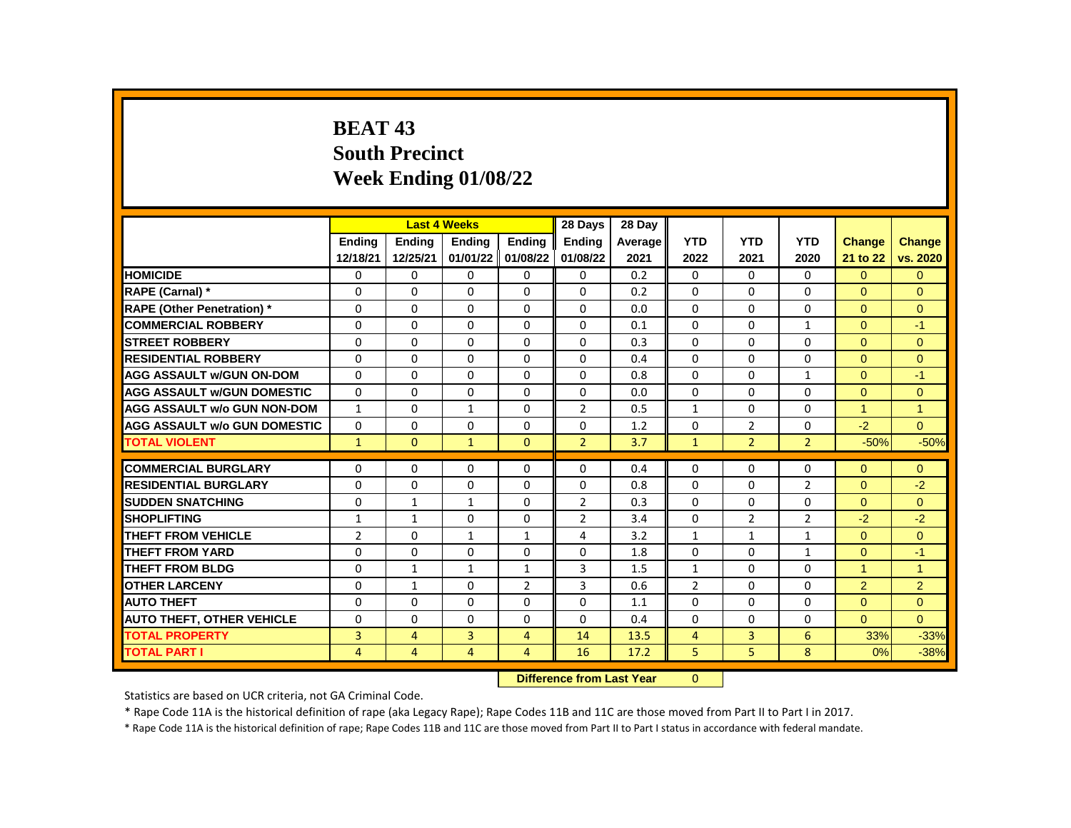# **BEAT 43 South Precinct Week Ending 01/08/22**

|                                     |                |                | <b>Last 4 Weeks</b> |                | 28 Days        | 28 Day  |                |                |                |                |                |
|-------------------------------------|----------------|----------------|---------------------|----------------|----------------|---------|----------------|----------------|----------------|----------------|----------------|
|                                     | <b>Endina</b>  | <b>Endina</b>  | <b>Endina</b>       | <b>Endina</b>  | <b>Endina</b>  | Average | <b>YTD</b>     | <b>YTD</b>     | <b>YTD</b>     | <b>Change</b>  | <b>Change</b>  |
|                                     | 12/18/21       | 12/25/21       | 01/01/22 01/08/22   |                | 01/08/22       | 2021    | 2022           | 2021           | 2020           | 21 to 22       | vs. 2020       |
| <b>HOMICIDE</b>                     | 0              | 0              | 0                   | 0              | 0              | 0.2     | 0              | 0              | 0              | $\overline{0}$ | $\mathbf{0}$   |
| RAPE (Carnal) *                     | $\Omega$       | $\Omega$       | $\Omega$            | 0              | $\Omega$       | 0.2     | $\Omega$       | $\Omega$       | $\Omega$       | $\Omega$       | $\Omega$       |
| <b>RAPE (Other Penetration) *</b>   | 0              | $\Omega$       | $\Omega$            | $\Omega$       | $\Omega$       | 0.0     | $\Omega$       | $\Omega$       | $\Omega$       | $\Omega$       | $\Omega$       |
| <b>COMMERCIAL ROBBERY</b>           | 0              | $\Omega$       | $\Omega$            | $\Omega$       | $\Omega$       | 0.1     | $\Omega$       | $\Omega$       | $\mathbf{1}$   | $\Omega$       | $-1$           |
| <b>STREET ROBBERY</b>               | 0              | $\Omega$       | $\Omega$            | $\Omega$       | $\Omega$       | 0.3     | $\Omega$       | $\Omega$       | $\Omega$       | $\Omega$       | $\Omega$       |
| <b>RESIDENTIAL ROBBERY</b>          | $\Omega$       | $\mathbf{0}$   | $\Omega$            | $\mathbf{0}$   | $\Omega$       | 0.4     | $\Omega$       | $\Omega$       | $\Omega$       | $\Omega$       | $\Omega$       |
| <b>AGG ASSAULT w/GUN ON-DOM</b>     | $\Omega$       | $\Omega$       | $\Omega$            | $\Omega$       | $\Omega$       | 0.8     | $\Omega$       | $\Omega$       | $\mathbf{1}$   | $\Omega$       | $-1$           |
| <b>AGG ASSAULT W/GUN DOMESTIC</b>   | 0              | 0              | $\Omega$            | $\mathbf{0}$   | 0              | 0.0     | $\Omega$       | 0              | 0              | $\Omega$       | $\Omega$       |
| <b>AGG ASSAULT w/o GUN NON-DOM</b>  | $\mathbf{1}$   | 0              | $\mathbf{1}$        | $\mathbf{0}$   | $\overline{2}$ | 0.5     | $\mathbf{1}$   | 0              | 0              | $\mathbf{1}$   | $\mathbf{1}$   |
| <b>AGG ASSAULT w/o GUN DOMESTIC</b> | $\Omega$       | 0              | $\Omega$            | 0              | $\Omega$       | 1.2     | $\Omega$       | $\overline{2}$ | $\Omega$       | $-2$           | $\Omega$       |
| <b>TOTAL VIOLENT</b>                | $\mathbf{1}$   | $\mathbf{0}$   | $\mathbf{1}$        | $\mathbf{0}$   | $\overline{2}$ | 3.7     | $\mathbf{1}$   | $\overline{2}$ | $\overline{2}$ | $-50%$         | $-50%$         |
|                                     |                |                |                     |                |                |         |                |                |                |                |                |
| <b>COMMERCIAL BURGLARY</b>          | 0              | $\Omega$       | $\Omega$            | $\Omega$       | $\Omega$       | 0.4     | $\Omega$       | $\Omega$       | $\Omega$       | $\Omega$       | $\mathbf{0}$   |
| <b>RESIDENTIAL BURGLARY</b>         | 0              | 0              | 0                   | 0              | 0              | 0.8     | 0              | 0              | $\overline{2}$ | $\Omega$       | $-2$           |
| <b>SUDDEN SNATCHING</b>             | 0              | $\mathbf{1}$   | $\mathbf{1}$        | $\Omega$       | $\overline{2}$ | 0.3     | $\Omega$       | $\Omega$       | $\Omega$       | $\Omega$       | $\Omega$       |
| <b>SHOPLIFTING</b>                  | $\mathbf{1}$   | $\mathbf{1}$   | $\Omega$            | 0              | $\overline{2}$ | 3.4     | 0              | $\overline{2}$ | $\overline{2}$ | $-2$           | $-2$           |
| <b>THEFT FROM VEHICLE</b>           | $\overline{2}$ | $\Omega$       | $\mathbf{1}$        | $\mathbf{1}$   | 4              | 3.2     | $\mathbf{1}$   | $\mathbf{1}$   | $\mathbf{1}$   | $\Omega$       | $\Omega$       |
| <b>THEFT FROM YARD</b>              | 0              | $\Omega$       | $\Omega$            | $\Omega$       | $\Omega$       | 1.8     | $\Omega$       | $\Omega$       | $\mathbf{1}$   | $\Omega$       | $-1$           |
| <b>THEFT FROM BLDG</b>              | 0              | $\mathbf{1}$   | $\mathbf{1}$        | $\mathbf{1}$   | 3              | 1.5     | $\mathbf{1}$   | 0              | $\Omega$       | 1              | 1              |
| <b>OTHER LARCENY</b>                | 0              | $\mathbf{1}$   | $\Omega$            | $\overline{2}$ | 3              | 0.6     | $\overline{2}$ | $\Omega$       | $\Omega$       | 2              | $\overline{2}$ |
| <b>AUTO THEFT</b>                   | $\Omega$       | $\Omega$       | $\Omega$            | $\Omega$       | $\Omega$       | 1.1     | $\Omega$       | $\Omega$       | $\Omega$       | $\Omega$       | $\Omega$       |
| <b>AUTO THEFT, OTHER VEHICLE</b>    | $\Omega$       | $\Omega$       | $\Omega$            | 0              | $\Omega$       | 0.4     | $\Omega$       | $\Omega$       | $\Omega$       | $\Omega$       | $\Omega$       |
| <b>TOTAL PROPERTY</b>               | 3              | $\overline{4}$ | 3                   | 4              | 14             | 13.5    | $\overline{4}$ | 3              | 6              | 33%            | $-33%$         |
| <b>TOTAL PART I</b>                 | 4              | $\overline{4}$ | $\overline{4}$      | 4              | 16             | 17.2    | 5              | 5              | 8              | 0%             | $-38%$         |
|                                     |                |                |                     |                |                |         |                |                |                |                |                |

**Difference from Last Year** 0

Statistics are based on UCR criteria, not GA Criminal Code.

\* Rape Code 11A is the historical definition of rape (aka Legacy Rape); Rape Codes 11B and 11C are those moved from Part II to Part I in 2017.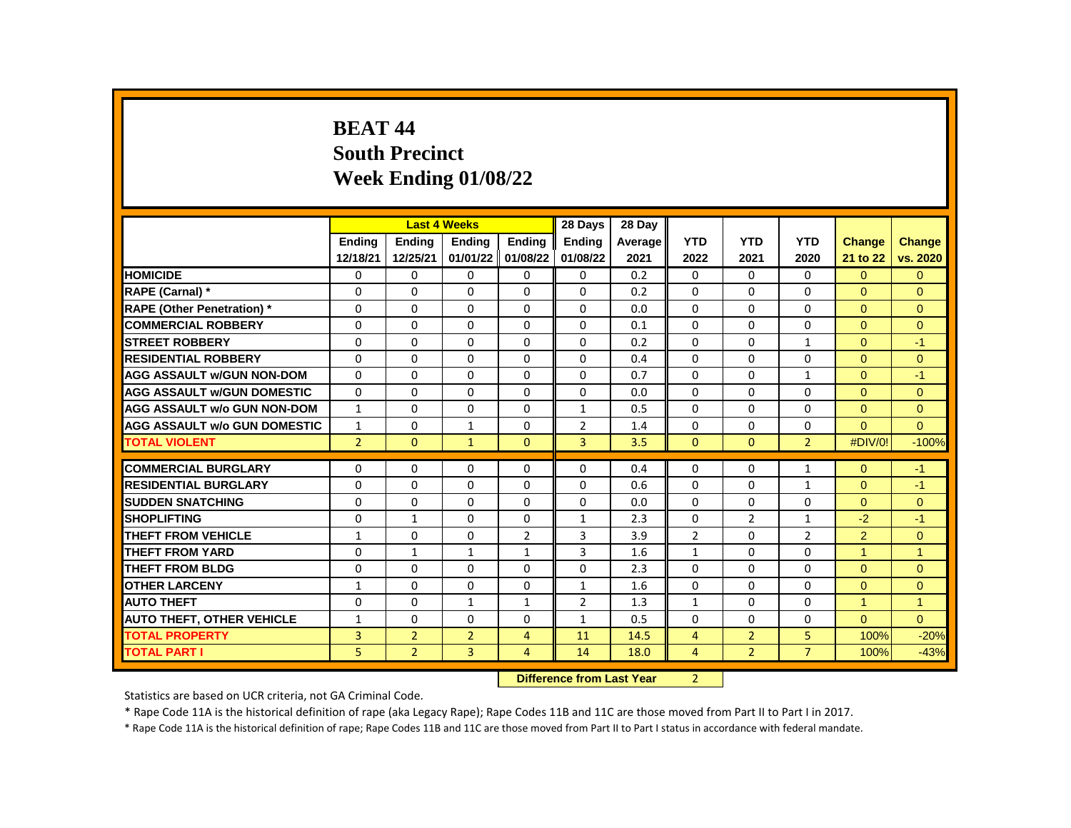## **BEAT 44 South Precinct Week Ending 01/08/22**

|                                     |                |                | <b>Last 4 Weeks</b> |                | 28 Days        | 28 Day  |                |                |                |                |                |
|-------------------------------------|----------------|----------------|---------------------|----------------|----------------|---------|----------------|----------------|----------------|----------------|----------------|
|                                     | <b>Endina</b>  | <b>Endina</b>  | <b>Endina</b>       | <b>Endina</b>  | <b>Endina</b>  | Average | <b>YTD</b>     | <b>YTD</b>     | <b>YTD</b>     | <b>Change</b>  | <b>Change</b>  |
|                                     | 12/18/21       | 12/25/21       | 01/01/22 01/08/22   |                | 01/08/22       | 2021    | 2022           | 2021           | 2020           | 21 to 22       | vs. 2020       |
| <b>HOMICIDE</b>                     | 0              | 0              | 0                   | 0              | 0              | 0.2     | 0              | 0              | 0              | $\overline{0}$ | $\mathbf{0}$   |
| RAPE (Carnal) *                     | $\Omega$       | $\Omega$       | $\Omega$            | 0              | $\Omega$       | 0.2     | $\Omega$       | $\Omega$       | $\Omega$       | $\Omega$       | $\Omega$       |
| <b>RAPE (Other Penetration) *</b>   | 0              | $\Omega$       | $\Omega$            | $\Omega$       | $\Omega$       | 0.0     | $\Omega$       | $\Omega$       | $\Omega$       | $\Omega$       | $\Omega$       |
| <b>COMMERCIAL ROBBERY</b>           | 0              | $\Omega$       | $\Omega$            | $\Omega$       | $\Omega$       | 0.1     | $\Omega$       | $\Omega$       | $\Omega$       | $\Omega$       | $\Omega$       |
| <b>STREET ROBBERY</b>               | 0              | $\Omega$       | $\Omega$            | $\Omega$       | $\Omega$       | 0.2     | $\Omega$       | $\Omega$       | $\mathbf{1}$   | $\Omega$       | $-1$           |
| <b>RESIDENTIAL ROBBERY</b>          | $\Omega$       | $\mathbf{0}$   | $\Omega$            | $\mathbf{0}$   | $\Omega$       | 0.4     | $\Omega$       | $\Omega$       | $\Omega$       | $\Omega$       | $\Omega$       |
| <b>AGG ASSAULT w/GUN NON-DOM</b>    | $\Omega$       | $\Omega$       | $\Omega$            | $\Omega$       | $\Omega$       | 0.7     | $\Omega$       | $\Omega$       | $\mathbf{1}$   | $\Omega$       | $-1$           |
| <b>AGG ASSAULT W/GUN DOMESTIC</b>   | 0              | 0              | $\Omega$            | $\mathbf{0}$   | 0              | 0.0     | $\Omega$       | 0              | 0              | $\Omega$       | $\Omega$       |
| <b>AGG ASSAULT w/o GUN NON-DOM</b>  | $\mathbf{1}$   | 0              | 0                   | $\mathbf{0}$   | $\mathbf{1}$   | 0.5     | $\mathbf{0}$   | 0              | 0              | $\mathbf{0}$   | $\mathbf{0}$   |
| <b>AGG ASSAULT w/o GUN DOMESTIC</b> | $\mathbf{1}$   | 0              | $\mathbf{1}$        | 0              | $\overline{2}$ | 1.4     | $\Omega$       | 0              | $\Omega$       | $\Omega$       | $\Omega$       |
| <b>TOTAL VIOLENT</b>                | $\overline{2}$ | $\mathbf{0}$   | $\mathbf{1}$        | $\mathbf{0}$   | $\overline{3}$ | 3.5     | $\mathbf{0}$   | $\mathbf{0}$   | $\overline{2}$ | #DIV/0!        | $-100%$        |
|                                     |                |                |                     |                |                |         |                |                |                |                |                |
| <b>COMMERCIAL BURGLARY</b>          | 0              | $\Omega$       | $\Omega$            | $\Omega$       | $\Omega$       | 0.4     | $\Omega$       | 0              | $\mathbf{1}$   | $\Omega$       | $-1$           |
| <b>RESIDENTIAL BURGLARY</b>         | 0              | 0              | 0                   | 0              | 0              | 0.6     | 0              | 0              | $\mathbf{1}$   | $\Omega$       | $-1$           |
| <b>SUDDEN SNATCHING</b>             | 0              | $\Omega$       | $\Omega$            | $\Omega$       | $\Omega$       | 0.0     | $\Omega$       | $\Omega$       | $\Omega$       | $\Omega$       | $\Omega$       |
| <b>SHOPLIFTING</b>                  | 0              | $\mathbf{1}$   | $\Omega$            | 0              | $\mathbf{1}$   | 2.3     | 0              | $\overline{2}$ | $\mathbf{1}$   | $-2$           | $-1$           |
| <b>THEFT FROM VEHICLE</b>           | $\mathbf{1}$   | 0              | 0                   | $\overline{2}$ | 3              | 3.9     | $\overline{2}$ | 0              | $\overline{2}$ | $\overline{2}$ | $\mathbf{0}$   |
| <b>THEFT FROM YARD</b>              | 0              | $\mathbf{1}$   | $\mathbf{1}$        | $\mathbf{1}$   | 3              | 1.6     | $\mathbf{1}$   | $\Omega$       | $\Omega$       | $\mathbf{1}$   | $\overline{1}$ |
| <b>THEFT FROM BLDG</b>              | 0              | $\Omega$       | $\Omega$            | 0              | $\Omega$       | 2.3     | $\Omega$       | 0              | $\Omega$       | $\Omega$       | $\Omega$       |
| <b>OTHER LARCENY</b>                | $\mathbf{1}$   | $\Omega$       | $\Omega$            | $\Omega$       | $\mathbf{1}$   | 1.6     | $\Omega$       | $\Omega$       | $\Omega$       | $\Omega$       | $\Omega$       |
| <b>AUTO THEFT</b>                   | $\Omega$       | $\Omega$       | $\mathbf{1}$        | $\mathbf{1}$   | $\overline{2}$ | 1.3     | $\mathbf{1}$   | $\Omega$       | $\Omega$       | $\mathbf{1}$   | $\overline{1}$ |
| <b>AUTO THEFT, OTHER VEHICLE</b>    | $\mathbf{1}$   | $\Omega$       | $\Omega$            | 0              | $\mathbf{1}$   | 0.5     | $\Omega$       | $\Omega$       | $\Omega$       | $\Omega$       | $\Omega$       |
| <b>TOTAL PROPERTY</b>               | 3              | $\overline{2}$ | $\overline{2}$      | 4              | 11             | 14.5    | $\overline{4}$ | $\overline{2}$ | 5              | 100%           | $-20%$         |
| <b>TOTAL PART I</b>                 | 5              | $\overline{2}$ | 3                   | 4              | 14             | 18.0    | 4              | $\overline{2}$ | $\overline{7}$ | 100%           | $-43%$         |
|                                     |                |                |                     |                |                |         |                |                |                |                |                |

**Difference from Last Year** 2

Statistics are based on UCR criteria, not GA Criminal Code.

\* Rape Code 11A is the historical definition of rape (aka Legacy Rape); Rape Codes 11B and 11C are those moved from Part II to Part I in 2017.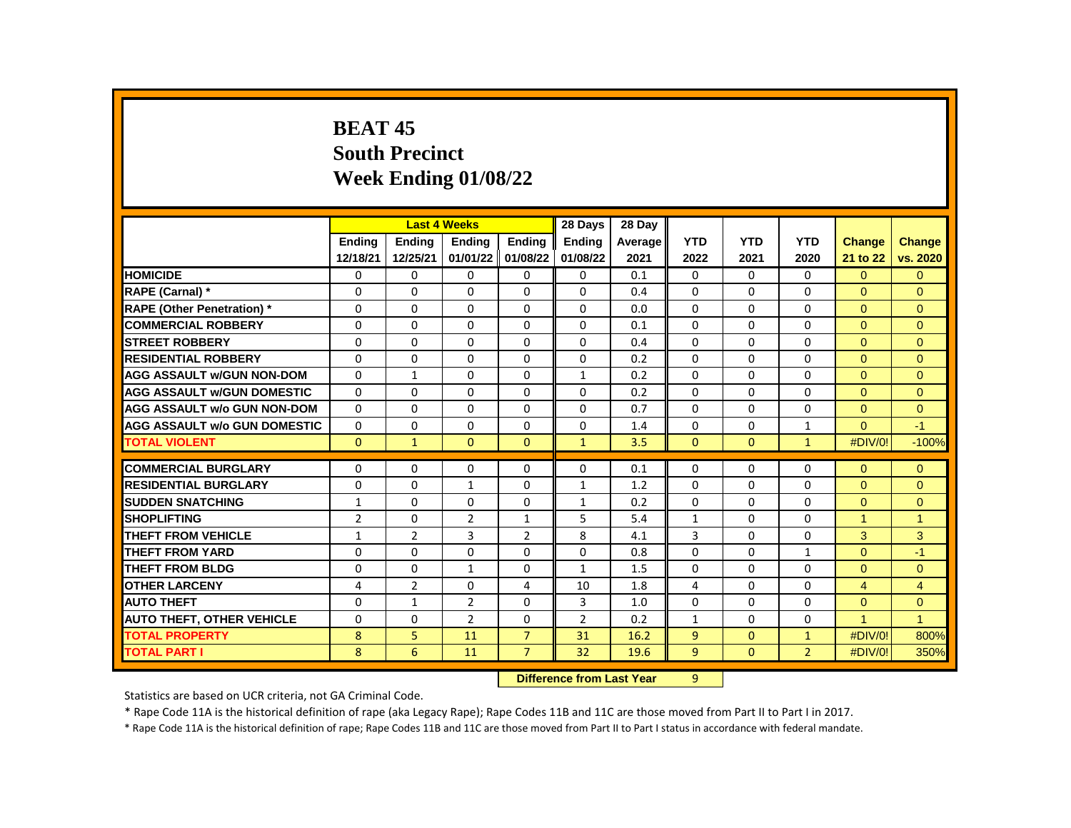# **BEAT 45 South Precinct Week Ending 01/08/22**

|                                     |                |                | <b>Last 4 Weeks</b> |                | 28 Days       | 28 Day  |              |              |                |                |                |
|-------------------------------------|----------------|----------------|---------------------|----------------|---------------|---------|--------------|--------------|----------------|----------------|----------------|
|                                     | <b>Endina</b>  | <b>Endina</b>  | <b>Endina</b>       | <b>Endina</b>  | <b>Ending</b> | Average | <b>YTD</b>   | <b>YTD</b>   | <b>YTD</b>     | Change         | <b>Change</b>  |
|                                     | 12/18/21       | 12/25/21       | 01/01/22 01/08/22   |                | 01/08/22      | 2021    | 2022         | 2021         | 2020           | 21 to 22       | vs. 2020       |
| <b>HOMICIDE</b>                     | 0              | 0              | 0                   | $\mathbf{0}$   | $\mathbf{0}$  | 0.1     | $\mathbf{0}$ | 0            | 0              | $\overline{0}$ | $\Omega$       |
| RAPE (Carnal) *                     | 0              | $\Omega$       | $\Omega$            | $\Omega$       | $\Omega$      | 0.4     | $\Omega$     | 0            | $\Omega$       | $\Omega$       | $\Omega$       |
| <b>RAPE (Other Penetration) *</b>   | $\Omega$       | $\mathbf{0}$   | $\Omega$            | $\mathbf{0}$   | 0             | 0.0     | $\Omega$     | $\mathbf{0}$ | $\Omega$       | $\Omega$       | $\Omega$       |
| <b>COMMERCIAL ROBBERY</b>           | 0              | 0              | $\Omega$            | $\mathbf{0}$   | 0             | 0.1     | $\Omega$     | 0            | 0              | $\Omega$       | $\Omega$       |
| <b>STREET ROBBERY</b>               | 0              | 0              | 0                   | $\mathbf{0}$   | 0             | 0.4     | $\Omega$     | 0            | 0              | $\Omega$       | $\Omega$       |
| <b>RESIDENTIAL ROBBERY</b>          | 0              | 0              | $\Omega$            | $\mathbf{0}$   | $\Omega$      | 0.2     | $\Omega$     | 0            | $\Omega$       | $\Omega$       | $\Omega$       |
| <b>AGG ASSAULT w/GUN NON-DOM</b>    | 0              | $\mathbf{1}$   | $\Omega$            | $\mathbf{0}$   | $\mathbf{1}$  | 0.2     | $\Omega$     | 0            | $\Omega$       | $\Omega$       | $\Omega$       |
| <b>AGG ASSAULT W/GUN DOMESTIC</b>   | 0              | 0              | 0                   | $\mathbf{0}$   | 0             | 0.2     | $\Omega$     | 0            | 0              | $\Omega$       | $\Omega$       |
| <b>AGG ASSAULT w/o GUN NON-DOM</b>  | $\Omega$       | 0              | 0                   | $\mathbf{0}$   | 0             | 0.7     | $\mathbf{0}$ | 0            | 0              | $\Omega$       | $\Omega$       |
| <b>AGG ASSAULT w/o GUN DOMESTIC</b> | 0              | 0              | 0                   | 0              | 0             | 1.4     | 0            | 0            | $\mathbf{1}$   | $\Omega$       | $-1$           |
| <b>TOTAL VIOLENT</b>                | $\Omega$       | $\mathbf{1}$   | $\Omega$            | $\mathbf{0}$   | $\mathbf{1}$  | 3.5     | $\mathbf{0}$ | $\mathbf{0}$ | $\mathbf{1}$   | #DIV/0!        | $-100%$        |
|                                     |                |                |                     |                |               |         |              |              |                |                |                |
| <b>COMMERCIAL BURGLARY</b>          | 0              | $\Omega$       | $\Omega$            | 0              | $\Omega$      | 0.1     | $\Omega$     | $\Omega$     | $\Omega$       | $\Omega$       | $\mathbf{0}$   |
| <b>RESIDENTIAL BURGLARY</b>         | 0              | 0              | 1                   | 0              | 1             | 1.2     | $\Omega$     | 0            | $\Omega$       | $\Omega$       | $\Omega$       |
| <b>SUDDEN SNATCHING</b>             | 1              | 0              | 0                   | $\mathbf{0}$   | $\mathbf{1}$  | 0.2     | $\Omega$     | 0            | 0              | $\Omega$       | $\mathbf{0}$   |
| <b>SHOPLIFTING</b>                  | $\overline{2}$ | $\Omega$       | $\overline{2}$      | $\mathbf{1}$   | 5             | 5.4     | $\mathbf{1}$ | $\Omega$     | $\Omega$       | 1              | $\overline{1}$ |
| <b>THEFT FROM VEHICLE</b>           | 1              | $\overline{2}$ | 3                   | $\overline{2}$ | 8             | 4.1     | 3            | 0            | 0              | 3              | 3              |
| <b>THEFT FROM YARD</b>              | 0              | $\Omega$       | $\Omega$            | $\Omega$       | $\Omega$      | 0.8     | $\Omega$     | 0            | $\mathbf{1}$   | $\Omega$       | $-1$           |
| <b>THEFT FROM BLDG</b>              | 0              | $\Omega$       | $\mathbf{1}$        | 0              | $\mathbf{1}$  | 1.5     | $\Omega$     | $\Omega$     | $\Omega$       | $\Omega$       | $\Omega$       |
| <b>OTHER LARCENY</b>                | 4              | $\overline{2}$ | $\Omega$            | 4              | 10            | 1.8     | 4            | $\Omega$     | $\Omega$       | $\overline{4}$ | 4              |
| <b>AUTO THEFT</b>                   | $\Omega$       | $\mathbf{1}$   | $\overline{2}$      | $\Omega$       | 3             | 1.0     | $\Omega$     | $\Omega$     | $\Omega$       | $\Omega$       | $\Omega$       |
| <b>AUTO THEFT, OTHER VEHICLE</b>    | $\Omega$       | $\Omega$       | $\mathfrak{p}$      | $\Omega$       | $\mathcal{P}$ | 0.2     | $\mathbf{1}$ | $\Omega$     | $\Omega$       | $\overline{1}$ | $\overline{1}$ |
| <b>TOTAL PROPERTY</b>               | 8              | 5              | 11                  | $\overline{7}$ | 31            | 16.2    | 9            | $\Omega$     | $\mathbf{1}$   | #DIV/0!        | 800%           |
| <b>TOTAL PART I</b>                 | 8              | 6              | 11                  | $\overline{7}$ | 32            | 19.6    | 9            | $\Omega$     | $\overline{2}$ | #DIV/0!        | 350%           |

**Difference from Last Year** 9

Statistics are based on UCR criteria, not GA Criminal Code.

\* Rape Code 11A is the historical definition of rape (aka Legacy Rape); Rape Codes 11B and 11C are those moved from Part II to Part I in 2017.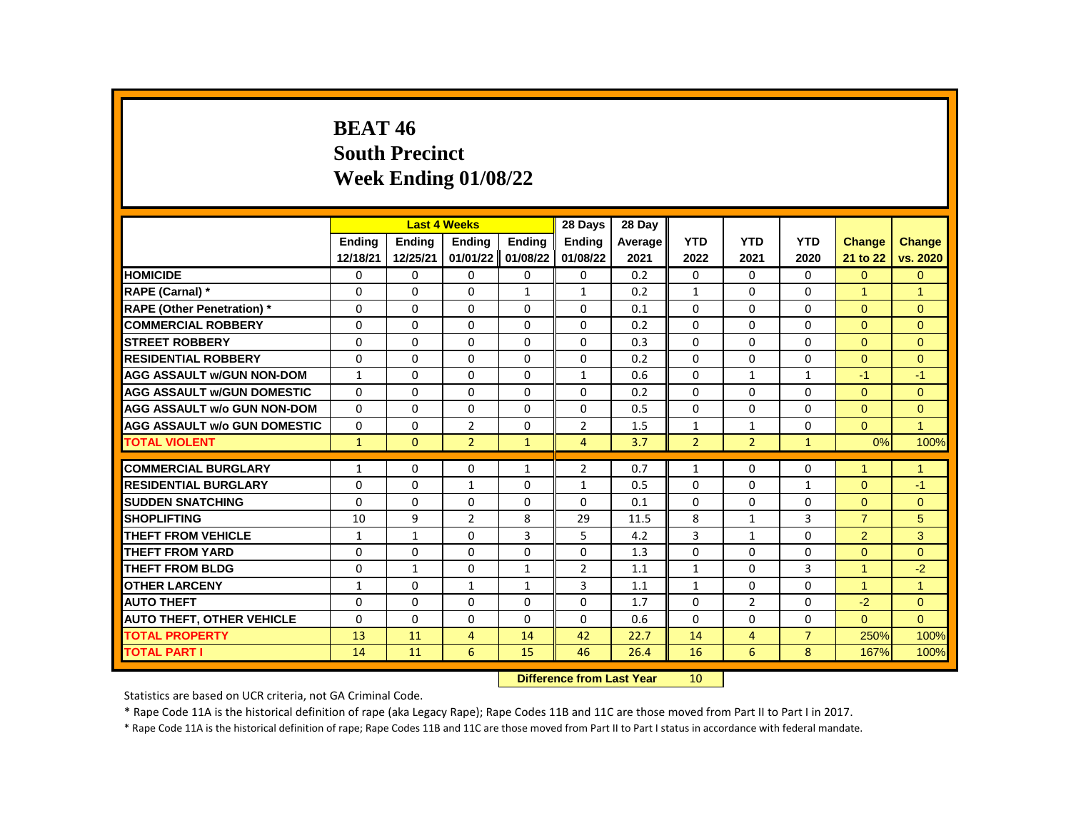# **BEAT 46 South Precinct Week Ending 01/08/22**

|                                     |              |               | <b>Last 4 Weeks</b> |              | 28 Days        | 28 Day  |                |                |                |                      |                |
|-------------------------------------|--------------|---------------|---------------------|--------------|----------------|---------|----------------|----------------|----------------|----------------------|----------------|
|                                     | Ending       | <b>Ending</b> | Ending              | Ending       | <b>Ending</b>  | Average | <b>YTD</b>     | <b>YTD</b>     | <b>YTD</b>     | <b>Change</b>        | <b>Change</b>  |
|                                     | 12/18/21     | 12/25/21      | 01/01/22            | 01/08/22     | 01/08/22       | 2021    | 2022           | 2021           | 2020           | 21 to 22             | vs. 2020       |
| <b>HOMICIDE</b>                     | 0            | 0             | 0                   | 0            | 0              | 0.2     | 0              | $\mathbf{0}$   | $\mathbf{0}$   | $\Omega$             | $\mathbf{0}$   |
| RAPE (Carnal) *                     | $\Omega$     | $\Omega$      | $\Omega$            | $\mathbf{1}$ | $\mathbf{1}$   | 0.2     | $\mathbf{1}$   | $\Omega$       | $\Omega$       | $\blacktriangleleft$ | $\overline{1}$ |
| <b>RAPE (Other Penetration)</b> *   | $\Omega$     | $\Omega$      | $\Omega$            | $\Omega$     | $\Omega$       | 0.1     | $\Omega$       | $\Omega$       | $\Omega$       | $\Omega$             | $\mathbf{0}$   |
| <b>COMMERCIAL ROBBERY</b>           | $\Omega$     | 0             | $\Omega$            | 0            | 0              | 0.2     | $\Omega$       | 0              | 0              | $\mathbf{0}$         | $\mathbf{0}$   |
| <b>STREET ROBBERY</b>               | 0            | $\Omega$      | $\Omega$            | $\Omega$     | $\Omega$       | 0.3     | $\Omega$       | $\Omega$       | $\Omega$       | $\Omega$             | $\Omega$       |
| <b>RESIDENTIAL ROBBERY</b>          | $\Omega$     | $\Omega$      | $\Omega$            | $\Omega$     | $\Omega$       | 0.2     | $\Omega$       | $\Omega$       | $\Omega$       | $\Omega$             | $\Omega$       |
| <b>AGG ASSAULT w/GUN NON-DOM</b>    | $\mathbf{1}$ | $\Omega$      | $\Omega$            | $\Omega$     | $\mathbf{1}$   | 0.6     | $\Omega$       | $\mathbf{1}$   | $\mathbf{1}$   | $-1$                 | $-1$           |
| <b>AGG ASSAULT w/GUN DOMESTIC</b>   | $\Omega$     | 0             | $\Omega$            | $\Omega$     | 0              | 0.2     | $\Omega$       | $\Omega$       | $\Omega$       | $\Omega$             | $\mathbf{0}$   |
| <b>AGG ASSAULT w/o GUN NON-DOM</b>  | $\Omega$     | $\Omega$      | $\Omega$            | $\Omega$     | $\Omega$       | 0.5     | $\Omega$       | $\Omega$       | $\Omega$       | $\Omega$             | $\overline{0}$ |
| <b>AGG ASSAULT w/o GUN DOMESTIC</b> | $\Omega$     | $\Omega$      | $\overline{2}$      | $\Omega$     | $\overline{2}$ | 1.5     | $\mathbf{1}$   | $\mathbf{1}$   | $\Omega$       | $\Omega$             | $\overline{1}$ |
| <b>TOTAL VIOLENT</b>                | $\mathbf{1}$ | $\Omega$      | $\overline{2}$      | $\mathbf{1}$ | $\overline{4}$ | 3.7     | $\overline{2}$ | $\overline{2}$ | $\mathbf{1}$   | 0%                   | 100%           |
|                                     |              |               |                     |              |                |         |                |                |                |                      |                |
| <b>COMMERCIAL BURGLARY</b>          | $\mathbf{1}$ | 0             | 0                   | $\mathbf{1}$ | $\overline{2}$ | 0.7     | $\mathbf{1}$   | 0              | 0              | $\blacktriangleleft$ | $\mathbf{1}$   |
| <b>RESIDENTIAL BURGLARY</b>         | $\Omega$     | $\Omega$      | 1                   | $\Omega$     | 1              | 0.5     | $\Omega$       | $\Omega$       | $\mathbf{1}$   | $\Omega$             | $-1$           |
| <b>SUDDEN SNATCHING</b>             | $\Omega$     | $\Omega$      | $\mathbf 0$         | $\Omega$     | $\Omega$       | 0.1     | $\Omega$       | $\Omega$       | $\Omega$       | $\Omega$             | $\Omega$       |
| <b>SHOPLIFTING</b>                  | 10           | 9             | $\overline{2}$      | 8            | 29             | 11.5    | 8              | $\mathbf{1}$   | 3              | $\overline{7}$       | 5              |
| THEFT FROM VEHICLE                  | $\mathbf{1}$ | $\mathbf{1}$  | $\Omega$            | 3            | 5              | 4.2     | 3              | $\mathbf{1}$   | $\Omega$       | $\overline{2}$       | 3              |
| <b>THEFT FROM YARD</b>              | $\Omega$     | $\Omega$      | $\Omega$            | $\Omega$     | 0              | 1.3     | $\Omega$       | $\Omega$       | $\Omega$       | $\Omega$             | $\Omega$       |
| <b>THEFT FROM BLDG</b>              | 0            | $\mathbf{1}$  | 0                   | $\mathbf{1}$ | $\overline{2}$ | 1.1     | $\mathbf{1}$   | 0              | 3              | $\blacktriangleleft$ | $-2$           |
| <b>OTHER LARCENY</b>                | $\mathbf{1}$ | $\Omega$      | $\mathbf{1}$        | $\mathbf{1}$ | 3              | 1.1     | $\mathbf{1}$   | $\Omega$       | $\Omega$       | $\mathbf{1}$         | $\overline{1}$ |
| <b>AUTO THEFT</b>                   | $\Omega$     | $\Omega$      | $\Omega$            | $\Omega$     | $\Omega$       | 1.7     | $\Omega$       | $\overline{2}$ | $\Omega$       | $-2$                 | $\Omega$       |
| <b>AUTO THEFT, OTHER VEHICLE</b>    | 0            | 0             | $\Omega$            | 0            | 0              | 0.6     | $\Omega$       | 0              | 0              | $\Omega$             | $\Omega$       |
| <b>TOTAL PROPERTY</b>               | 13           | 11            | $\overline{4}$      | 14           | 42             | 22.7    | 14             | 4              | $\overline{7}$ | 250%                 | 100%           |
| <b>TOTAL PART I</b>                 | 14           | 11            | 6                   | 15           | 46             | 26.4    | 16             | 6              | 8              | 167%                 | 100%           |
|                                     |              |               |                     |              |                |         | $\sqrt{2}$     |                |                |                      |                |

**Difference from Last Year** 10

Statistics are based on UCR criteria, not GA Criminal Code.

\* Rape Code 11A is the historical definition of rape (aka Legacy Rape); Rape Codes 11B and 11C are those moved from Part II to Part I in 2017.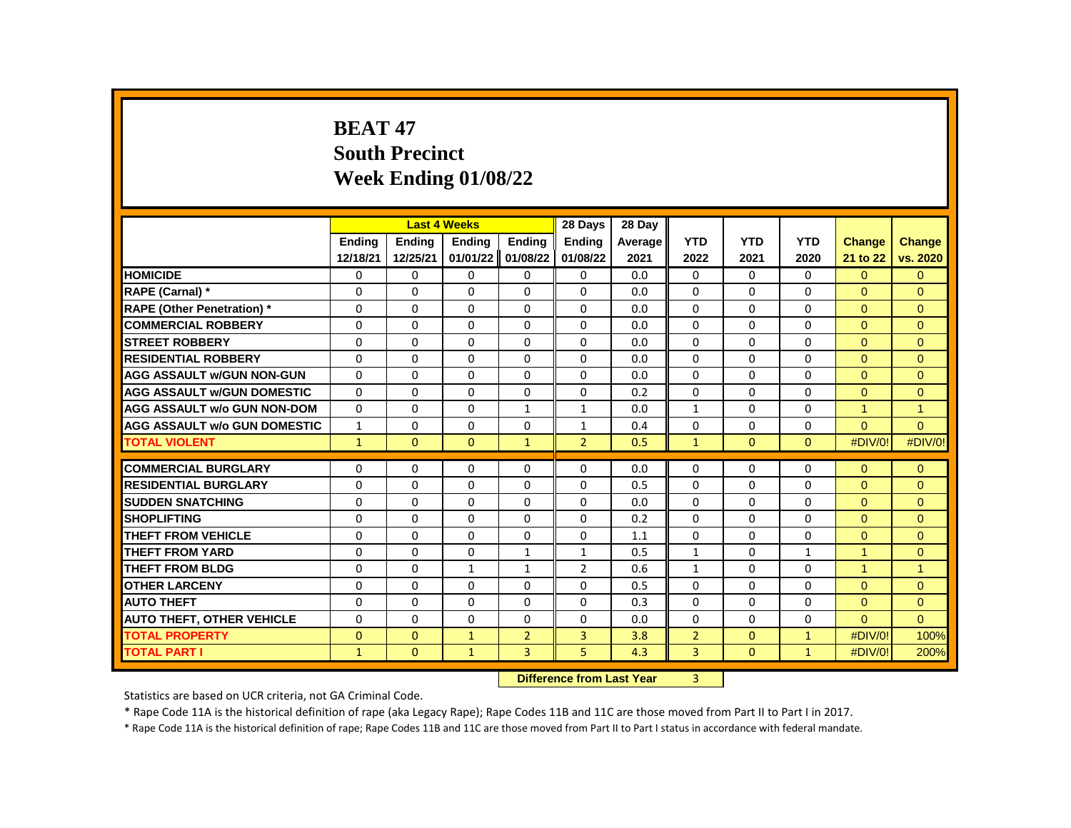# **BEAT 47 South Precinct Week Ending 01/08/22**

|                                     |               |               | <b>Last 4 Weeks</b> |                | 28 Days        | 28 Day  |                |              |              |              |                |
|-------------------------------------|---------------|---------------|---------------------|----------------|----------------|---------|----------------|--------------|--------------|--------------|----------------|
|                                     | <b>Endina</b> | <b>Endina</b> | <b>Endina</b>       | <b>Endina</b>  | <b>Endina</b>  | Average | <b>YTD</b>     | <b>YTD</b>   | <b>YTD</b>   | Change       | <b>Change</b>  |
|                                     | 12/18/21      | 12/25/21      | 01/01/22            | 01/08/22       | 01/08/22       | 2021    | 2022           | 2021         | 2020         | 21 to 22     | vs. 2020       |
| <b>HOMICIDE</b>                     | 0             | 0             | 0                   | 0              | 0              | 0.0     | 0              | 0            | 0            | $\Omega$     | $\mathbf{0}$   |
| RAPE (Carnal) *                     | $\Omega$      | $\Omega$      | $\Omega$            | $\Omega$       | 0              | 0.0     | $\Omega$       | $\Omega$     | $\Omega$     | $\Omega$     | $\Omega$       |
| <b>RAPE (Other Penetration)</b> *   | $\Omega$      | $\Omega$      | $\Omega$            | $\Omega$       | $\Omega$       | 0.0     | $\Omega$       | $\Omega$     | $\Omega$     | $\Omega$     | $\Omega$       |
| <b>COMMERCIAL ROBBERY</b>           | 0             | 0             | 0                   | 0              | 0              | 0.0     | 0              | 0            | 0            | $\mathbf{0}$ | $\mathbf{0}$   |
| <b>STREET ROBBERY</b>               | 0             | 0             | 0                   | 0              | 0              | 0.0     | $\Omega$       | $\mathbf{0}$ | 0            | $\Omega$     | $\Omega$       |
| <b>RESIDENTIAL ROBBERY</b>          | $\Omega$      | $\Omega$      | $\Omega$            | $\Omega$       | $\Omega$       | 0.0     | $\Omega$       | $\Omega$     | $\Omega$     | $\Omega$     | $\Omega$       |
| <b>AGG ASSAULT w/GUN NON-GUN</b>    | $\Omega$      | $\Omega$      | $\Omega$            | $\Omega$       | $\Omega$       | 0.0     | $\Omega$       | $\Omega$     | $\Omega$     | $\Omega$     | $\Omega$       |
| <b>AGG ASSAULT w/GUN DOMESTIC</b>   | $\Omega$      | $\Omega$      | $\Omega$            | $\Omega$       | 0              | 0.2     | 0              | 0            | $\Omega$     | $\Omega$     | $\Omega$       |
| <b>AGG ASSAULT w/o GUN NON-DOM</b>  | $\Omega$      | $\Omega$      | $\Omega$            | $\mathbf{1}$   | 1              | 0.0     | $\mathbf{1}$   | $\Omega$     | $\Omega$     | $\mathbf{1}$ | $\overline{1}$ |
| <b>AGG ASSAULT w/o GUN DOMESTIC</b> | $\mathbf{1}$  | 0             | $\Omega$            | $\Omega$       | 1              | 0.4     | $\Omega$       | $\mathbf{0}$ | $\Omega$     | $\Omega$     | $\Omega$       |
| <b>TOTAL VIOLENT</b>                | $\mathbf{1}$  | $\mathbf{0}$  | $\mathbf{0}$        | $\mathbf{1}$   | $\overline{2}$ | 0.5     | $\mathbf{1}$   | $\mathbf{0}$ | $\mathbf{0}$ | #DIV/0!      | #DIV/0!        |
|                                     |               |               |                     |                |                |         |                |              |              |              |                |
| <b>COMMERCIAL BURGLARY</b>          | $\Omega$      | $\Omega$      | $\Omega$            | $\Omega$       | 0              | 0.0     | 0              | 0            | $\Omega$     | $\Omega$     | $\mathbf{0}$   |
| <b>RESIDENTIAL BURGLARY</b>         | $\Omega$      | 0             | $\Omega$            | 0              | 0              | 0.5     | 0              | 0            | $\Omega$     | $\Omega$     | $\mathbf{0}$   |
| <b>SUDDEN SNATCHING</b>             | $\Omega$      | $\Omega$      | $\Omega$            | $\Omega$       | $\Omega$       | 0.0     | $\Omega$       | $\Omega$     | $\Omega$     | $\Omega$     | $\Omega$       |
| <b>SHOPLIFTING</b>                  | $\Omega$      | $\Omega$      | $\Omega$            | $\Omega$       | $\Omega$       | 0.2     | $\Omega$       | $\Omega$     | $\Omega$     | $\Omega$     | $\Omega$       |
| THEFT FROM VEHICLE                  | $\Omega$      | $\Omega$      | $\Omega$            | 0              | 0              | 1.1     | 0              | 0            | $\Omega$     | $\Omega$     | $\Omega$       |
| <b>THEFT FROM YARD</b>              | $\Omega$      | $\Omega$      | $\Omega$            | $\mathbf{1}$   | $\mathbf{1}$   | 0.5     | $\mathbf{1}$   | $\Omega$     | $\mathbf{1}$ | $\mathbf{1}$ | $\Omega$       |
| <b>THEFT FROM BLDG</b>              | $\Omega$      | $\Omega$      | $\mathbf{1}$        | $\mathbf{1}$   | $\overline{2}$ | 0.6     | $\mathbf{1}$   | $\Omega$     | $\Omega$     | $\mathbf{1}$ | $\overline{1}$ |
| <b>OTHER LARCENY</b>                | $\Omega$      | $\Omega$      | $\Omega$            | $\Omega$       | 0              | 0.5     | $\Omega$       | 0            | $\Omega$     | $\Omega$     | $\Omega$       |
| <b>AUTO THEFT</b>                   | $\Omega$      | $\Omega$      | $\Omega$            | $\Omega$       | $\Omega$       | 0.3     | $\Omega$       | $\Omega$     | $\Omega$     | $\Omega$     | $\mathbf{0}$   |
| <b>AUTO THEFT, OTHER VEHICLE</b>    | $\Omega$      | $\Omega$      | $\Omega$            | $\Omega$       | $\Omega$       | 0.0     | $\Omega$       | $\Omega$     | $\Omega$     | $\Omega$     | $\Omega$       |
| <b>TOTAL PROPERTY</b>               | $\Omega$      | $\Omega$      | $\mathbf{1}$        | $\overline{2}$ | 3              | 3.8     | $\overline{2}$ | $\Omega$     | $\mathbf{1}$ | #DIV/0!      | 100%           |
| <b>TOTAL PART I</b>                 | $\mathbf{1}$  | $\mathbf{0}$  | $\mathbf{1}$        | 3              | 5              | 4.3     | 3              | $\mathbf{0}$ | $\mathbf{1}$ | #DIV/0!      | 200%           |
|                                     |               |               |                     |                |                |         |                |              |              |              |                |

**Difference from Last Year** 3

Statistics are based on UCR criteria, not GA Criminal Code.

\* Rape Code 11A is the historical definition of rape (aka Legacy Rape); Rape Codes 11B and 11C are those moved from Part II to Part I in 2017.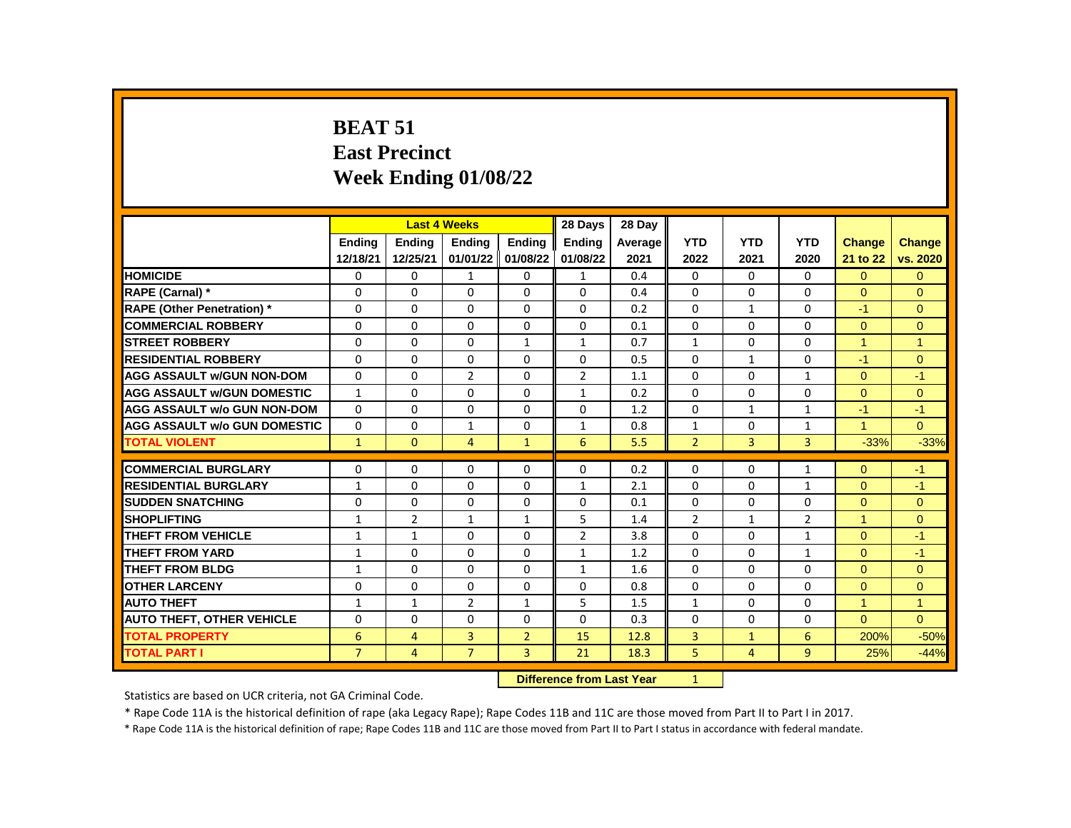#### **BEAT 51 East Precinct Week Ending 01/08/22**

|                                     |                |                | <b>Last 4 Weeks</b> |                | 28 Days        | 28 Day  |                |              |                |               |                |
|-------------------------------------|----------------|----------------|---------------------|----------------|----------------|---------|----------------|--------------|----------------|---------------|----------------|
|                                     | <b>Endina</b>  | <b>Endina</b>  | <b>Endina</b>       | <b>Endina</b>  | <b>Endina</b>  | Average | <b>YTD</b>     | <b>YTD</b>   | <b>YTD</b>     | <b>Change</b> | <b>Change</b>  |
|                                     | 12/18/21       | 12/25/21       | 01/01/22            | 01/08/22       | 01/08/22       | 2021    | 2022           | 2021         | 2020           | 21 to 22      | vs. 2020       |
| <b>HOMICIDE</b>                     | 0              | 0              | 1                   | 0              | 1              | 0.4     | 0              | 0            | 0              | $\Omega$      | $\mathbf{0}$   |
| RAPE (Carnal) *                     | $\Omega$       | $\Omega$       | 0                   | $\Omega$       | $\Omega$       | 0.4     | $\Omega$       | $\Omega$     | $\Omega$       | $\Omega$      | $\Omega$       |
| <b>RAPE (Other Penetration) *</b>   | $\Omega$       | $\Omega$       | $\Omega$            | $\Omega$       | $\Omega$       | 0.2     | $\Omega$       | $\mathbf{1}$ | $\Omega$       | $-1$          | $\Omega$       |
| <b>COMMERCIAL ROBBERY</b>           | 0              | 0              | $\Omega$            | 0              | 0              | 0.1     | $\Omega$       | $\mathbf{0}$ | 0              | $\mathbf{0}$  | $\mathbf{0}$   |
| <b>STREET ROBBERY</b>               | 0              | $\Omega$       | 0                   | $\mathbf{1}$   | $\mathbf{1}$   | 0.7     | $\mathbf{1}$   | 0            | $\Omega$       | $\mathbf{1}$  | $\overline{1}$ |
| <b>RESIDENTIAL ROBBERY</b>          | $\Omega$       | $\Omega$       | $\Omega$            | $\Omega$       | $\Omega$       | 0.5     | $\Omega$       | $\mathbf{1}$ | $\Omega$       | $-1$          | $\Omega$       |
| <b>AGG ASSAULT w/GUN NON-DOM</b>    | $\Omega$       | $\Omega$       | $\overline{2}$      | $\Omega$       | $\overline{2}$ | 1.1     | $\Omega$       | $\Omega$     | $\mathbf{1}$   | $\Omega$      | $-1$           |
| <b>AGG ASSAULT w/GUN DOMESTIC</b>   | $\mathbf{1}$   | $\Omega$       | 0                   | $\Omega$       | $\mathbf{1}$   | 0.2     | 0              | 0            | $\Omega$       | $\Omega$      | $\Omega$       |
| <b>AGG ASSAULT w/o GUN NON-DOM</b>  | $\Omega$       | $\Omega$       | $\mathbf{0}$        | $\Omega$       | $\Omega$       | 1.2     | $\Omega$       | $\mathbf{1}$ | $\mathbf{1}$   | $-1$          | $-1$           |
| <b>AGG ASSAULT w/o GUN DOMESTIC</b> | $\Omega$       | $\Omega$       | $\mathbf{1}$        | 0              | $\mathbf{1}$   | 0.8     | $\mathbf{1}$   | 0            | $\mathbf{1}$   | $\mathbf{1}$  | $\Omega$       |
| <b>TOTAL VIOLENT</b>                | $\mathbf{1}$   | $\mathbf{0}$   | 4                   | $\mathbf{1}$   | 6              | 5.5     | $\overline{2}$ | 3            | $\overline{3}$ | $-33%$        | $-33%$         |
|                                     |                |                |                     |                |                |         |                |              |                |               |                |
| <b>COMMERCIAL BURGLARY</b>          | 0              | 0              | 0                   | 0              | 0              | 0.2     | 0              | 0            | $\mathbf{1}$   | $\Omega$      | $-1$           |
| <b>RESIDENTIAL BURGLARY</b>         | $\mathbf{1}$   | 0              | 0                   | 0              | $\mathbf{1}$   | 2.1     | 0              | 0            | $\mathbf{1}$   | $\Omega$      | $-1$           |
| <b>SUDDEN SNATCHING</b>             | $\Omega$       | $\Omega$       | $\Omega$            | $\Omega$       | 0              | 0.1     | $\Omega$       | $\Omega$     | $\Omega$       | $\Omega$      | $\Omega$       |
| <b>SHOPLIFTING</b>                  | $\mathbf{1}$   | $\overline{2}$ | $\mathbf{1}$        | $\mathbf{1}$   | 5              | 1.4     | $\overline{2}$ | $\mathbf{1}$ | $\overline{2}$ | $\mathbf{1}$  | $\Omega$       |
| <b>THEFT FROM VEHICLE</b>           | $\mathbf{1}$   | $\mathbf{1}$   | $\Omega$            | $\Omega$       | $\overline{2}$ | 3.8     | $\Omega$       | $\Omega$     | $\mathbf{1}$   | $\Omega$      | $-1$           |
| <b>THEFT FROM YARD</b>              | $\mathbf{1}$   | $\Omega$       | $\Omega$            | $\Omega$       | $\mathbf{1}$   | 1.2     | $\Omega$       | $\Omega$     | $\mathbf{1}$   | $\Omega$      | $-1$           |
| <b>THEFT FROM BLDG</b>              | $\mathbf{1}$   | $\Omega$       | $\Omega$            | $\Omega$       | $\mathbf{1}$   | 1.6     | 0              | 0            | $\Omega$       | $\Omega$      | $\Omega$       |
| <b>OTHER LARCENY</b>                | $\Omega$       | $\Omega$       | $\Omega$            | $\Omega$       | 0              | 0.8     | $\Omega$       | 0            | $\Omega$       | $\Omega$      | $\Omega$       |
| <b>AUTO THEFT</b>                   | $\mathbf{1}$   | $\mathbf{1}$   | $\overline{2}$      | $\mathbf{1}$   | 5              | 1.5     | $\mathbf{1}$   | $\mathbf{0}$ | 0              | $\mathbf{1}$  | $\overline{1}$ |
| <b>AUTO THEFT, OTHER VEHICLE</b>    | $\Omega$       | 0              | 0                   | 0              | 0              | 0.3     | $\Omega$       | 0            | 0              | $\Omega$      | $\Omega$       |
| <b>TOTAL PROPERTY</b>               | 6              | 4              | 3                   | $\overline{2}$ | 15             | 12.8    | 3              | $\mathbf{1}$ | 6              | 200%          | $-50%$         |
| <b>TOTAL PART I</b>                 | $\overline{7}$ | $\overline{4}$ | $\overline{7}$      | 3              | 21             | 18.3    | 5              | 4            | 9              | 25%           | $-44%$         |
|                                     |                |                |                     |                |                |         |                |              |                |               |                |

**Difference from Last Year** 1

Statistics are based on UCR criteria, not GA Criminal Code.

\* Rape Code 11A is the historical definition of rape (aka Legacy Rape); Rape Codes 11B and 11C are those moved from Part II to Part I in 2017.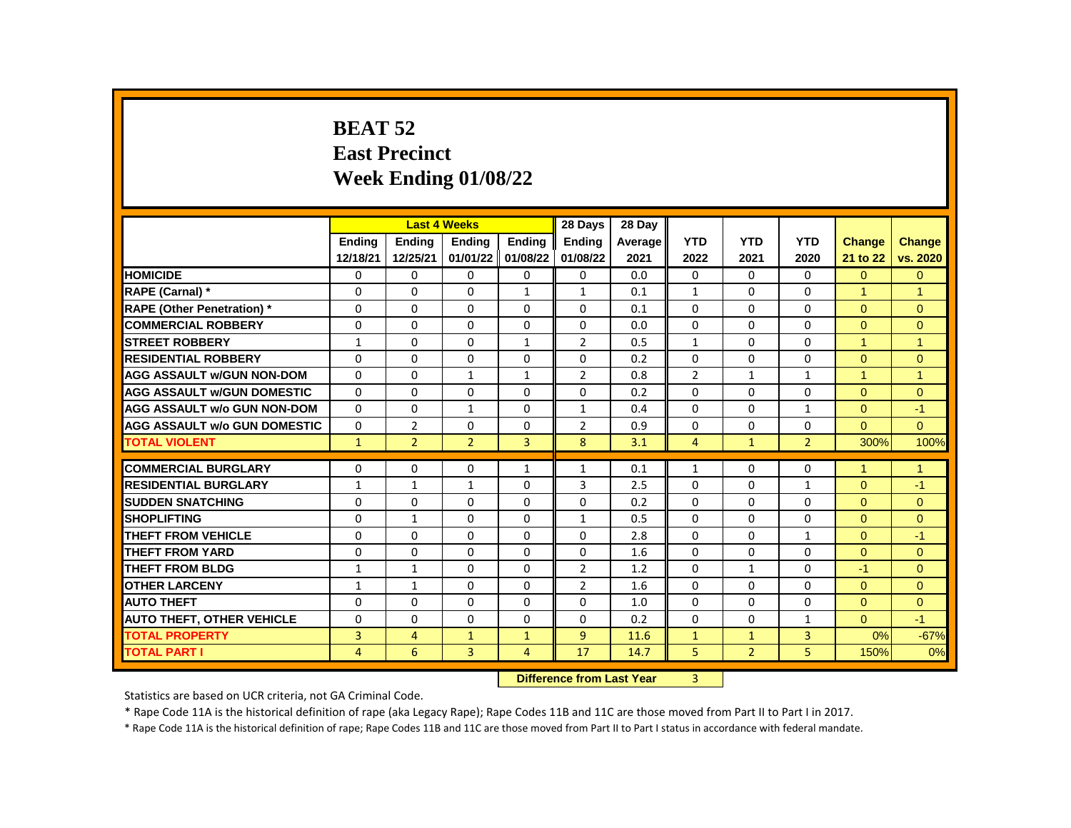## **BEAT 52 East Precinct Week Ending 01/08/22**

|                                     |                |                | <b>Last 4 Weeks</b> |               | 28 Days        | 28 Day  |                |                |                |               |                      |
|-------------------------------------|----------------|----------------|---------------------|---------------|----------------|---------|----------------|----------------|----------------|---------------|----------------------|
|                                     | Ending         | Ending         | Ending              | Ending        | Ending         | Average | <b>YTD</b>     | <b>YTD</b>     | <b>YTD</b>     | <b>Change</b> | <b>Change</b>        |
|                                     | 12/18/21       | 12/25/21       | 01/01/22            | 01/08/22      | 01/08/22       | 2021    | 2022           | 2021           | 2020           | 21 to 22      | vs. 2020             |
| <b>HOMICIDE</b>                     | 0              | 0              | $\Omega$            | 0             | 0              | 0.0     | $\Omega$       | 0              | $\Omega$       | $\Omega$      | $\mathbf{0}$         |
| RAPE (Carnal) *                     | $\Omega$       | $\Omega$       | $\Omega$            | $\mathbf{1}$  | $\mathbf{1}$   | 0.1     | $\mathbf{1}$   | $\Omega$       | $\Omega$       | $\mathbf{1}$  | $\overline{1}$       |
| <b>RAPE (Other Penetration) *</b>   | $\Omega$       | $\Omega$       | $\Omega$            | $\Omega$      | 0              | 0.1     | $\Omega$       | $\Omega$       | $\Omega$       | $\Omega$      | $\Omega$             |
| <b>COMMERCIAL ROBBERY</b>           | $\Omega$       | $\Omega$       | $\Omega$            | $\Omega$      | 0              | 0.0     | $\Omega$       | $\mathbf{0}$   | 0              | $\Omega$      | $\Omega$             |
| <b>STREET ROBBERY</b>               | $\mathbf{1}$   | 0              | 0                   | $\mathbf{1}$  | $\overline{2}$ | 0.5     | $\mathbf{1}$   | $\mathbf{0}$   | $\Omega$       | $\mathbf{1}$  | $\blacktriangleleft$ |
| <b>RESIDENTIAL ROBBERY</b>          | $\Omega$       | $\Omega$       | $\Omega$            | 0             | 0              | 0.2     | $\Omega$       | $\Omega$       | $\Omega$       | $\Omega$      | $\mathbf{0}$         |
| <b>AGG ASSAULT w/GUN NON-DOM</b>    | $\Omega$       | 0              | $\mathbf{1}$        | $\mathbf{1}$  | $\overline{2}$ | 0.8     | $\overline{2}$ | $\mathbf{1}$   | $\mathbf{1}$   | $\mathbf{1}$  | 1                    |
| <b>AGG ASSAULT w/GUN DOMESTIC</b>   | $\Omega$       | 0              | 0                   | 0             | 0              | 0.2     | 0              | $\Omega$       | $\Omega$       | $\Omega$      | $\Omega$             |
| <b>AGG ASSAULT w/o GUN NON-DOM</b>  | $\Omega$       | $\Omega$       | $\mathbf{1}$        | $\Omega$      | $\mathbf{1}$   | 0.4     | $\Omega$       | $\Omega$       | $\mathbf{1}$   | $\Omega$      | $-1$                 |
| <b>AGG ASSAULT w/o GUN DOMESTIC</b> | $\Omega$       | $\overline{2}$ | $\Omega$            | $\Omega$      | $\overline{2}$ | 0.9     | 0              | $\Omega$       | $\Omega$       | $\Omega$      | $\Omega$             |
| <b>TOTAL VIOLENT</b>                | $\mathbf{1}$   | $\overline{2}$ | $\overline{2}$      | 3             | 8              | 3.1     | $\overline{4}$ | $\mathbf{1}$   | $\overline{2}$ | 300%          | 100%                 |
|                                     |                |                |                     |               |                |         |                |                |                |               |                      |
| <b>COMMERCIAL BURGLARY</b>          | 0              | 0              | 0                   | $\mathbf{1}$  | $\mathbf{1}$   | 0.1     | $\mathbf{1}$   | 0              | 0              | 1             | $\mathbf{1}$         |
| <b>RESIDENTIAL BURGLARY</b>         | $\mathbf{1}$   | 1              | 1                   | 0             | 3              | 2.5     | 0              | 0              | $\mathbf{1}$   | $\Omega$      | $-1$                 |
| <b>SUDDEN SNATCHING</b>             | $\Omega$       | $\Omega$       | $\Omega$            | $\Omega$      | 0              | 0.2     | $\Omega$       | $\Omega$       | $\Omega$       | $\Omega$      | $\Omega$             |
| <b>SHOPLIFTING</b>                  | 0              | 1              | 0                   | 0             | 1              | 0.5     | $\Omega$       | 0              | $\Omega$       | $\Omega$      | $\Omega$             |
| THEFT FROM VEHICLE                  | $\Omega$       | 0              | $\Omega$            | 0             | 0              | 2.8     | 0              | $\mathbf{0}$   | $\mathbf{1}$   | $\Omega$      | $-1$                 |
| <b>THEFT FROM YARD</b>              | $\Omega$       | $\Omega$       | $\Omega$            | $\Omega$      | 0              | 1.6     | $\Omega$       | $\Omega$       | $\Omega$       | $\Omega$      | $\Omega$             |
| <b>THEFT FROM BLDG</b>              | $\mathbf{1}$   | $\mathbf{1}$   | 0                   | 0             | $\overline{2}$ | 1.2     | $\Omega$       | $\mathbf{1}$   | $\Omega$       | $-1$          | $\Omega$             |
| <b>OTHER LARCENY</b>                | $\mathbf{1}$   | $\mathbf{1}$   | $\Omega$            | $\Omega$      | $\overline{2}$ | 1.6     | $\Omega$       | $\mathbf{0}$   | 0              | $\Omega$      | $\Omega$             |
| <b>AUTO THEFT</b>                   | $\Omega$       | $\Omega$       | $\Omega$            | $\Omega$      | $\Omega$       | 1.0     | $\Omega$       | $\Omega$       | $\Omega$       | $\Omega$      | $\Omega$             |
| <b>AUTO THEFT, OTHER VEHICLE</b>    | $\Omega$       | 0              | 0                   | 0             | 0              | 0.2     | 0              | 0              | $\mathbf{1}$   | $\Omega$      | $-1$                 |
| <b>TOTAL PROPERTY</b>               | 3              | 4              | $\mathbf{1}$        | $\mathbf{1}$  | 9              | 11.6    | $\mathbf{1}$   | $\mathbf{1}$   | 3              | 0%            | $-67%$               |
| <b>TOTAL PART I</b>                 | $\overline{4}$ | 6              | 3                   | 4             | 17             | 14.7    | 5              | $\overline{2}$ | 5              | 150%          | 0%                   |
|                                     |                |                |                     | <b>PARKER</b> |                |         | $\sim$         |                |                |               |                      |

**Difference from Last Year** 3

Statistics are based on UCR criteria, not GA Criminal Code.

\* Rape Code 11A is the historical definition of rape (aka Legacy Rape); Rape Codes 11B and 11C are those moved from Part II to Part I in 2017.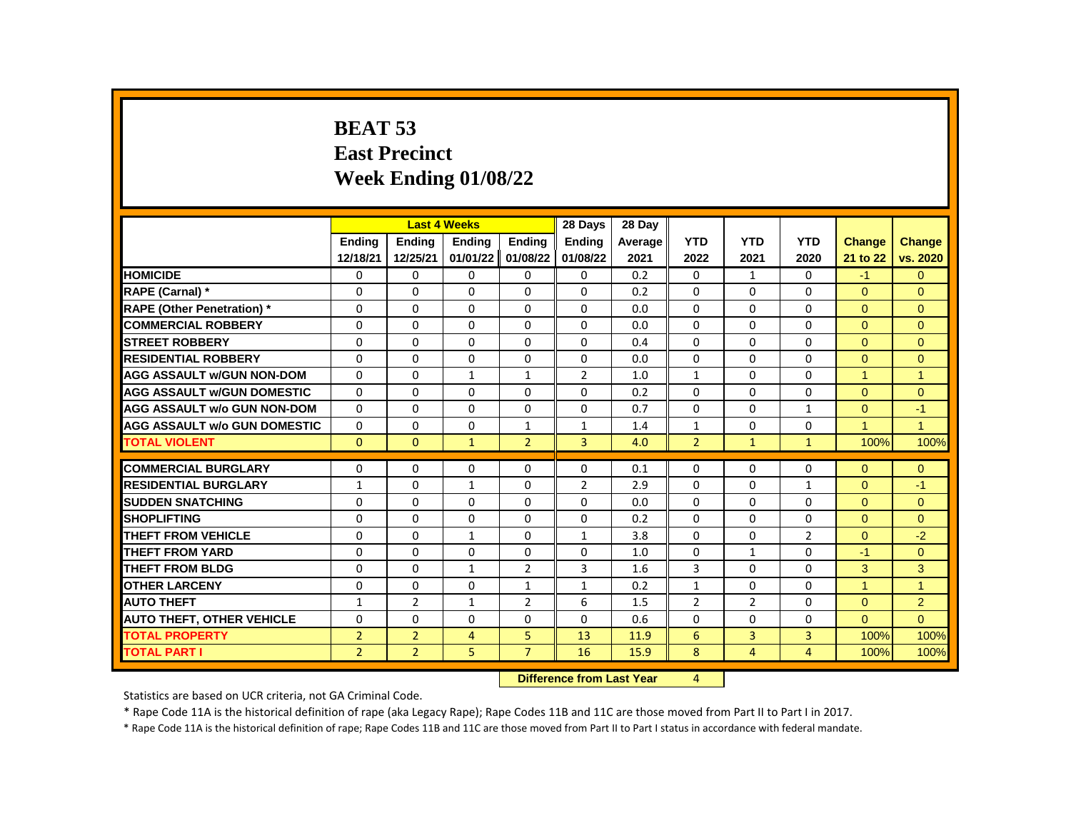# **BEAT 53 East Precinct Week Ending 01/08/22**

|                                     |                |                | <b>Last 4 Weeks</b> |                | 28 Days        | 28 Day  |                |                |                |                      |                      |
|-------------------------------------|----------------|----------------|---------------------|----------------|----------------|---------|----------------|----------------|----------------|----------------------|----------------------|
|                                     | <b>Endina</b>  | Ending         | <b>Endina</b>       | <b>Endina</b>  | <b>Endina</b>  | Average | <b>YTD</b>     | <b>YTD</b>     | <b>YTD</b>     | <b>Change</b>        | <b>Change</b>        |
|                                     | 12/18/21       | 12/25/21       | 01/01/22            | 01/08/22       | 01/08/22       | 2021    | 2022           | 2021           | 2020           | 21 to 22             | vs. 2020             |
| <b>HOMICIDE</b>                     | 0              | $\Omega$       | $\Omega$            | $\mathbf{0}$   | 0              | 0.2     | 0              | $\mathbf{1}$   | 0              | $-1$                 | $\mathbf{0}$         |
| <b>RAPE (Carnal) *</b>              | $\Omega$       | $\Omega$       | $\Omega$            | $\Omega$       | $\Omega$       | 0.2     | $\Omega$       | $\Omega$       | $\Omega$       | $\Omega$             | $\Omega$             |
| <b>RAPE (Other Penetration) *</b>   | $\Omega$       | $\Omega$       | $\Omega$            | $\Omega$       | $\Omega$       | 0.0     | $\Omega$       | $\Omega$       | $\Omega$       | $\Omega$             | $\Omega$             |
| <b>COMMERCIAL ROBBERY</b>           | $\Omega$       | $\Omega$       | $\Omega$            | $\Omega$       | $\Omega$       | 0.0     | $\Omega$       | $\Omega$       | $\Omega$       | $\Omega$             | $\Omega$             |
| <b>STREET ROBBERY</b>               | $\Omega$       | $\Omega$       | $\Omega$            | $\Omega$       | $\Omega$       | 0.4     | $\Omega$       | $\Omega$       | $\Omega$       | $\Omega$             | $\Omega$             |
| <b>RESIDENTIAL ROBBERY</b>          | $\Omega$       | $\Omega$       | $\Omega$            | $\Omega$       | $\Omega$       | 0.0     | $\Omega$       | $\Omega$       | $\Omega$       | $\Omega$             | $\Omega$             |
| <b>AGG ASSAULT w/GUN NON-DOM</b>    | $\Omega$       | $\Omega$       | $\mathbf{1}$        | $\mathbf{1}$   | $\overline{2}$ | 1.0     | $\mathbf{1}$   | $\Omega$       | $\Omega$       | $\mathbf{1}$         | $\overline{1}$       |
| <b>AGG ASSAULT W/GUN DOMESTIC</b>   | 0              | $\Omega$       | $\Omega$            | $\Omega$       | $\Omega$       | 0.2     | 0              | 0              | 0              | $\Omega$             | $\Omega$             |
| <b>AGG ASSAULT w/o GUN NON-DOM</b>  | $\Omega$       | $\Omega$       | $\Omega$            | $\mathbf{0}$   | $\Omega$       | 0.7     | $\Omega$       | 0              | $\mathbf{1}$   | $\mathbf{0}$         | $-1$                 |
| <b>AGG ASSAULT w/o GUN DOMESTIC</b> | $\Omega$       | $\Omega$       | $\Omega$            | $\mathbf{1}$   | $\mathbf{1}$   | 1.4     | $\mathbf{1}$   | $\Omega$       | $\Omega$       | $\blacktriangleleft$ | $\blacktriangleleft$ |
| <b>TOTAL VIOLENT</b>                | $\Omega$       | $\mathbf{0}$   | $\mathbf{1}$        | $\overline{2}$ | $\overline{3}$ | 4.0     | $\overline{2}$ | $\mathbf{1}$   | $\mathbf{1}$   | 100%                 | 100%                 |
|                                     |                |                |                     |                |                |         |                |                |                |                      |                      |
| <b>COMMERCIAL BURGLARY</b>          | $\Omega$       | $\Omega$       | $\Omega$            | $\Omega$       | $\Omega$       | 0.1     | $\Omega$       | $\Omega$       | $\Omega$       | $\Omega$             | $\mathbf{0}$         |
| <b>RESIDENTIAL BURGLARY</b>         | $\mathbf{1}$   | $\Omega$       | $\mathbf{1}$        | $\Omega$       | $\overline{2}$ | 2.9     | $\Omega$       | $\Omega$       | $\mathbf{1}$   | $\Omega$             | $-1$                 |
| <b>SUDDEN SNATCHING</b>             | $\Omega$       | $\Omega$       | $\Omega$            | $\Omega$       | $\Omega$       | 0.0     | $\Omega$       | $\Omega$       | $\Omega$       | $\Omega$             | $\Omega$             |
| <b>SHOPLIFTING</b>                  | $\Omega$       | $\Omega$       | $\Omega$            | $\Omega$       | $\Omega$       | 0.2     | $\Omega$       | $\Omega$       | $\Omega$       | $\Omega$             | $\Omega$             |
| <b>THEFT FROM VEHICLE</b>           | 0              | 0              | $\mathbf{1}$        | $\Omega$       | $\mathbf{1}$   | 3.8     | $\Omega$       | 0              | $\overline{2}$ | $\mathbf{0}$         | $-2$                 |
| <b>THEFT FROM YARD</b>              | $\Omega$       | $\Omega$       | $\Omega$            | $\Omega$       | $\Omega$       | 1.0     | $\Omega$       | $\mathbf{1}$   | $\Omega$       | $-1$                 | $\Omega$             |
| <b>THEFT FROM BLDG</b>              | $\Omega$       | $\Omega$       | $\mathbf{1}$        | $\overline{2}$ | $\overline{3}$ | 1.6     | 3              | $\Omega$       | $\Omega$       | 3                    | 3                    |
| <b>OTHER LARCENY</b>                | $\Omega$       | $\Omega$       | $\Omega$            | $\mathbf{1}$   | $\mathbf{1}$   | 0.2     | $\mathbf{1}$   | $\Omega$       | $\Omega$       | $\blacktriangleleft$ | $\overline{1}$       |
| <b>AUTO THEFT</b>                   | $\mathbf{1}$   | $\overline{2}$ | $\mathbf{1}$        | $\overline{2}$ | 6              | 1.5     | $\overline{2}$ | $\overline{2}$ | $\Omega$       | $\Omega$             | $\overline{2}$       |
| <b>AUTO THEFT, OTHER VEHICLE</b>    | $\Omega$       | $\Omega$       | $\Omega$            | $\Omega$       | $\Omega$       | 0.6     | $\Omega$       | $\Omega$       | $\Omega$       | $\Omega$             | $\Omega$             |
| <b>TOTAL PROPERTY</b>               | $\overline{2}$ | $\overline{2}$ | 4                   | 5.             | 13             | 11.9    | 6              | 3              | 3              | 100%                 | 100%                 |
| <b>TOTAL PART I</b>                 | $\overline{2}$ | $\overline{2}$ | 5                   | $\overline{7}$ | 16             | 15.9    | 8              | $\overline{4}$ | $\overline{4}$ | 100%                 | 100%                 |
|                                     |                |                |                     |                |                |         |                |                |                |                      |                      |

**Difference from Last Year** 4

Statistics are based on UCR criteria, not GA Criminal Code.

\* Rape Code 11A is the historical definition of rape (aka Legacy Rape); Rape Codes 11B and 11C are those moved from Part II to Part I in 2017.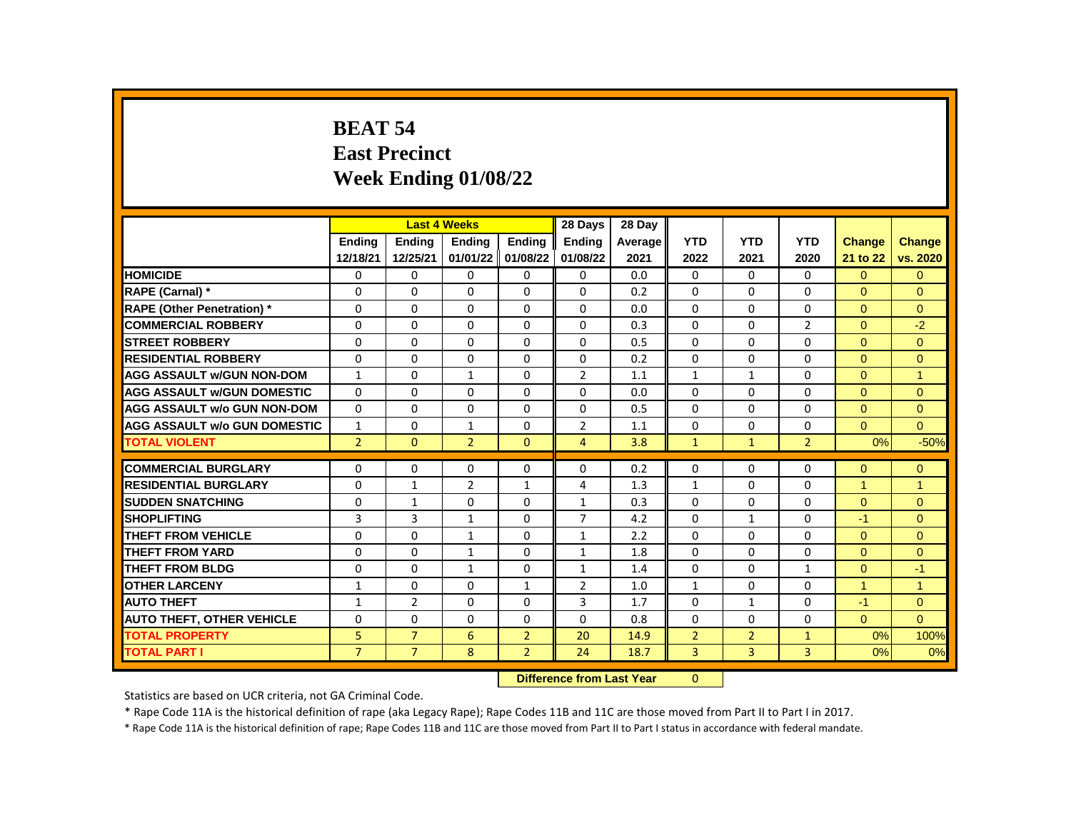## **BEAT 54 East Precinct Week Ending 01/08/22**

|                                     |                |                | <b>Last 4 Weeks</b> |                   | 28 Days        | 28 Day  |                |                |                |                |                |
|-------------------------------------|----------------|----------------|---------------------|-------------------|----------------|---------|----------------|----------------|----------------|----------------|----------------|
|                                     | <b>Endina</b>  | <b>Endina</b>  | <b>Endina</b>       | <b>Endina</b>     | <b>Endina</b>  | Average | <b>YTD</b>     | <b>YTD</b>     | <b>YTD</b>     | <b>Change</b>  | <b>Change</b>  |
|                                     | 12/18/21       | 12/25/21       |                     | 01/01/22 01/08/22 | 01/08/22       | 2021    | 2022           | 2021           | 2020           | 21 to 22       | vs. 2020       |
| <b>HOMICIDE</b>                     | 0              | 0              | 0                   | 0                 | 0              | 0.0     | $\Omega$       | 0              | 0              | $\Omega$       | $\mathbf{0}$   |
| RAPE (Carnal) *                     | 0              | $\Omega$       | $\Omega$            | 0                 | $\Omega$       | 0.2     | $\Omega$       | $\Omega$       | $\Omega$       | $\Omega$       | $\Omega$       |
| <b>RAPE (Other Penetration) *</b>   | 0              | $\Omega$       | $\Omega$            | $\Omega$          | $\Omega$       | 0.0     | $\Omega$       | $\Omega$       | $\Omega$       | $\Omega$       | $\Omega$       |
| <b>COMMERCIAL ROBBERY</b>           | 0              | $\mathbf{0}$   | 0                   | $\mathbf{0}$      | 0              | 0.3     | $\mathbf{0}$   | 0              | $\overline{2}$ | $\overline{0}$ | $-2$           |
| <b>STREET ROBBERY</b>               | 0              | 0              | $\Omega$            | 0                 | $\Omega$       | 0.5     | $\Omega$       | 0              | 0              | $\Omega$       | $\Omega$       |
| <b>RESIDENTIAL ROBBERY</b>          | $\Omega$       | $\mathbf{0}$   | $\Omega$            | $\Omega$          | $\Omega$       | 0.2     | $\Omega$       | $\Omega$       | $\Omega$       | $\Omega$       | $\overline{0}$ |
| AGG ASSAULT w/GUN NON-DOM           | $\mathbf{1}$   | $\Omega$       | $\mathbf{1}$        | $\Omega$          | $\overline{2}$ | 1.1     | $\mathbf{1}$   | $\mathbf{1}$   | $\Omega$       | $\Omega$       | 1              |
| <b>AGG ASSAULT w/GUN DOMESTIC</b>   | 0              | $\Omega$       | $\Omega$            | 0                 | $\Omega$       | 0.0     | 0              | 0              | $\Omega$       | $\Omega$       | $\Omega$       |
| <b>AGG ASSAULT w/o GUN NON-DOM</b>  | $\Omega$       | $\Omega$       | $\Omega$            | $\Omega$          | $\Omega$       | 0.5     | $\Omega$       | $\Omega$       | $\Omega$       | $\Omega$       | $\overline{0}$ |
| <b>AGG ASSAULT w/o GUN DOMESTIC</b> | $\mathbf{1}$   | 0              | 1                   | 0                 | $\overline{2}$ | 1.1     | $\Omega$       | 0              | $\Omega$       | $\Omega$       | $\Omega$       |
| <b>TOTAL VIOLENT</b>                | $\overline{2}$ | $\mathbf{0}$   | $\overline{2}$      | $\mathbf{0}$      | $\overline{4}$ | 3.8     | $\mathbf{1}$   | $\mathbf{1}$   | $\overline{2}$ | 0%             | $-50%$         |
|                                     |                |                |                     |                   |                |         |                |                |                |                |                |
| <b>COMMERCIAL BURGLARY</b>          | 0              | $\Omega$       | $\Omega$            | 0                 | $\Omega$       | 0.2     | 0              | $\Omega$       | $\Omega$       | $\Omega$       | $\mathbf{0}$   |
| <b>RESIDENTIAL BURGLARY</b>         | 0              | $\mathbf{1}$   | $\overline{2}$      | $\mathbf{1}$      | $\overline{4}$ | 1.3     | $\mathbf{1}$   | 0              | $\Omega$       | 1              | 1              |
| <b>SUDDEN SNATCHING</b>             | 0              | $\mathbf{1}$   | $\Omega$            | $\Omega$          | $\mathbf{1}$   | 0.3     | $\Omega$       | $\Omega$       | $\Omega$       | $\Omega$       | $\Omega$       |
| <b>SHOPLIFTING</b>                  | 3              | $\overline{3}$ | $\mathbf{1}$        | $\Omega$          | $\overline{7}$ | 4.2     | $\Omega$       | $\mathbf{1}$   | $\Omega$       | $-1$           | $\Omega$       |
| <b>THEFT FROM VEHICLE</b>           | 0              | $\Omega$       | $\mathbf{1}$        | 0                 | $\mathbf{1}$   | 2.2     | $\Omega$       | $\Omega$       | $\Omega$       | $\Omega$       | $\Omega$       |
| <b>THEFT FROM YARD</b>              | $\Omega$       | $\mathbf{0}$   | $\mathbf{1}$        | $\Omega$          | $\mathbf{1}$   | 1.8     | $\Omega$       | $\Omega$       | $\Omega$       | $\Omega$       | $\Omega$       |
| <b>THEFT FROM BLDG</b>              | $\Omega$       | $\Omega$       | $\mathbf{1}$        | 0                 | $\mathbf{1}$   | 1.4     | $\Omega$       | $\Omega$       | $\mathbf{1}$   | $\Omega$       | $-1$           |
| <b>OTHER LARCENY</b>                | $\mathbf{1}$   | $\Omega$       | $\Omega$            | $\mathbf{1}$      | $\overline{2}$ | 1.0     | $\mathbf{1}$   | $\Omega$       | $\Omega$       | $\overline{1}$ | $\overline{1}$ |
| <b>AUTO THEFT</b>                   | $\mathbf{1}$   | $\overline{2}$ | $\Omega$            | $\Omega$          | 3              | 1.7     | $\Omega$       | $\mathbf{1}$   | $\Omega$       | $-1$           | $\Omega$       |
| <b>AUTO THEFT, OTHER VEHICLE</b>    | 0              | $\Omega$       | $\Omega$            | 0                 | $\Omega$       | 0.8     | $\Omega$       | $\Omega$       | $\Omega$       | $\Omega$       | $\Omega$       |
| <b>TOTAL PROPERTY</b>               | 5              | $\overline{7}$ | 6                   | $\overline{2}$    | 20             | 14.9    | $\overline{2}$ | $\overline{2}$ | $\mathbf{1}$   | 0%             | 100%           |
| <b>TOTAL PART I</b>                 | $\overline{7}$ | $\overline{7}$ | 8                   | $\overline{2}$    | 24             | 18.7    | 3              | $\overline{3}$ | $\overline{3}$ | 0%             | 0%             |
|                                     |                |                |                     |                   |                |         |                |                |                |                |                |

**Difference from Last Year** 0

Statistics are based on UCR criteria, not GA Criminal Code.

\* Rape Code 11A is the historical definition of rape (aka Legacy Rape); Rape Codes 11B and 11C are those moved from Part II to Part I in 2017.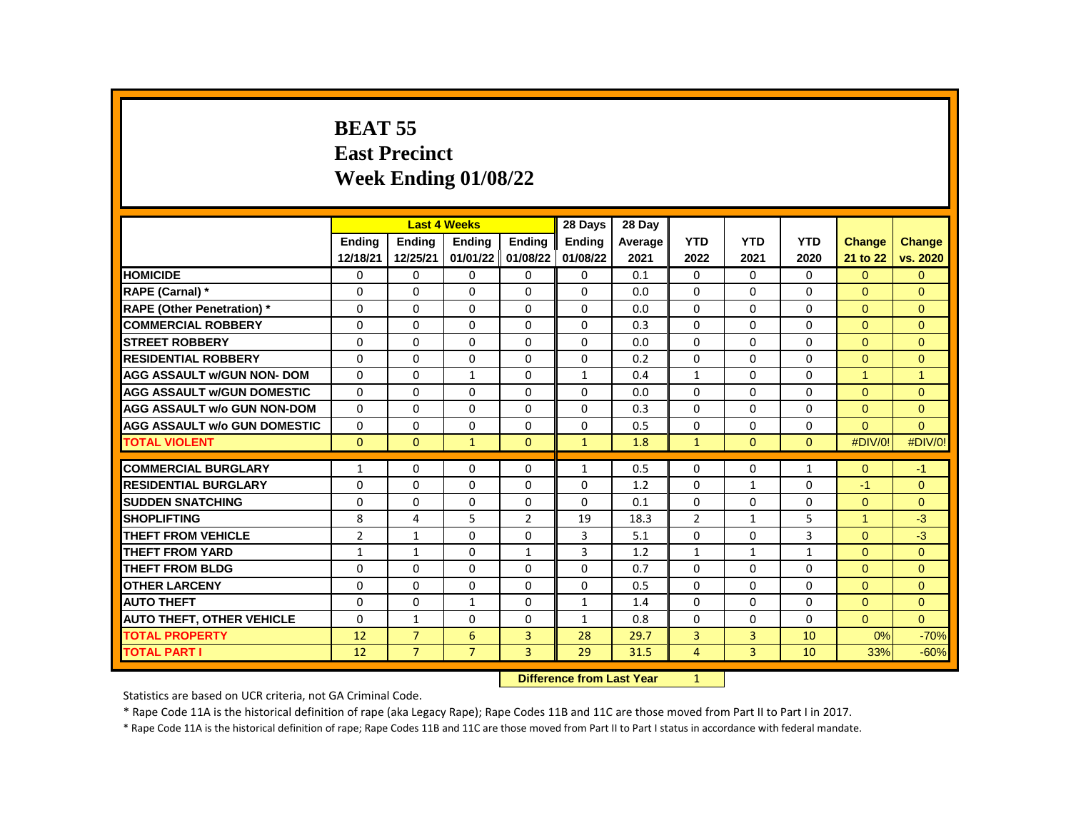# **BEAT 55 East Precinct Week Ending 01/08/22**

|                                     |                |                | <b>Last 4 Weeks</b> |                | 28 Days       | 28 Day  |                |                |              |                      |                      |
|-------------------------------------|----------------|----------------|---------------------|----------------|---------------|---------|----------------|----------------|--------------|----------------------|----------------------|
|                                     | <b>Endina</b>  | <b>Ending</b>  | Ending              | Ending         | <b>Ending</b> | Average | <b>YTD</b>     | <b>YTD</b>     | <b>YTD</b>   | <b>Change</b>        | <b>Change</b>        |
|                                     | 12/18/21       | 12/25/21       | 01/01/22            | 01/08/22       | 01/08/22      | 2021    | 2022           | 2021           | 2020         | 21 to 22             | vs. 2020             |
| <b>HOMICIDE</b>                     | 0              | 0              | 0                   | $\Omega$       | $\mathbf 0$   | 0.1     | $\Omega$       | $\Omega$       | $\mathbf{0}$ | $\Omega$             | $\mathbf{0}$         |
| RAPE (Carnal) *                     | $\Omega$       | $\Omega$       | $\Omega$            | $\Omega$       | $\Omega$      | 0.0     | $\Omega$       | $\Omega$       | $\Omega$     | $\Omega$             | $\Omega$             |
| <b>RAPE (Other Penetration) *</b>   | $\Omega$       | $\Omega$       | $\Omega$            | $\Omega$       | $\Omega$      | 0.0     | $\Omega$       | $\Omega$       | $\Omega$     | $\Omega$             | $\Omega$             |
| <b>COMMERCIAL ROBBERY</b>           | $\Omega$       | $\mathbf{0}$   | $\Omega$            | $\Omega$       | 0             | 0.3     | $\Omega$       | $\Omega$       | $\Omega$     | $\Omega$             | $\Omega$             |
| <b>STREET ROBBERY</b>               | $\Omega$       | $\Omega$       | 0                   | $\Omega$       | 0             | 0.0     | $\Omega$       | $\Omega$       | $\Omega$     | $\Omega$             | $\Omega$             |
| <b>RESIDENTIAL ROBBERY</b>          | $\Omega$       | $\mathbf{0}$   | 0                   | $\Omega$       | $\Omega$      | 0.2     | $\Omega$       | $\Omega$       | $\Omega$     | $\Omega$             | $\Omega$             |
| <b>AGG ASSAULT w/GUN NON- DOM</b>   | $\Omega$       | $\Omega$       | $\mathbf{1}$        | $\Omega$       | $\mathbf{1}$  | 0.4     | $\mathbf{1}$   | $\Omega$       | $\Omega$     | $\blacktriangleleft$ | $\blacktriangleleft$ |
| <b>AGG ASSAULT W/GUN DOMESTIC</b>   | $\Omega$       | 0              | $\Omega$            | $\Omega$       | 0             | 0.0     | $\Omega$       | $\Omega$       | $\Omega$     | $\Omega$             | $\Omega$             |
| <b>AGG ASSAULT w/o GUN NON-DOM</b>  | $\Omega$       | $\mathbf{0}$   | 0                   | $\Omega$       | $\Omega$      | 0.3     | $\Omega$       | $\Omega$       | $\Omega$     | $\Omega$             | $\Omega$             |
| <b>AGG ASSAULT w/o GUN DOMESTIC</b> | $\Omega$       | $\Omega$       | $\Omega$            | $\Omega$       | $\Omega$      | 0.5     | $\Omega$       | $\Omega$       | $\Omega$     | $\Omega$             | $\Omega$             |
| <b>TOTAL VIOLENT</b>                | $\mathbf{0}$   | $\mathbf{0}$   | $\mathbf{1}$        | $\Omega$       | $\mathbf{1}$  | 1.8     | $\mathbf{1}$   | $\mathbf{0}$   | $\mathbf{0}$ | #DIV/0!              | #DIV/0!              |
|                                     |                |                |                     |                |               |         |                |                |              |                      |                      |
| <b>COMMERCIAL BURGLARY</b>          | $\mathbf{1}$   | 0              | 0                   | $\Omega$       | $\mathbf{1}$  | 0.5     | $\Omega$       | $\Omega$       | $\mathbf{1}$ | $\Omega$             | $-1$                 |
| <b>RESIDENTIAL BURGLARY</b>         | 0              | 0              | 0                   | 0              | 0             | 1.2     | $\Omega$       | $\mathbf{1}$   | 0            | $-1$                 | $\Omega$             |
| <b>SUDDEN SNATCHING</b>             | 0              | $\mathbf{0}$   | 0                   | $\Omega$       | 0             | 0.1     | $\Omega$       | $\Omega$       | $\mathbf{0}$ | $\Omega$             | $\Omega$             |
| <b>SHOPLIFTING</b>                  | 8              | 4              | 5                   | $\overline{2}$ | 19            | 18.3    | $\overline{2}$ | $\mathbf{1}$   | 5            | $\blacktriangleleft$ | $-3$                 |
| THEFT FROM VEHICLE                  | $\overline{2}$ | $\mathbf{1}$   | 0                   | $\Omega$       | 3             | 5.1     | $\Omega$       | $\Omega$       | 3            | $\Omega$             | $-3$                 |
| <b>THEFT FROM YARD</b>              | $\mathbf{1}$   | $\mathbf{1}$   | $\Omega$            | $\mathbf{1}$   | 3             | 1.2     | $\mathbf{1}$   | $\mathbf{1}$   | $\mathbf{1}$ | $\Omega$             | $\Omega$             |
| <b>THEFT FROM BLDG</b>              | $\Omega$       | $\Omega$       | $\Omega$            | $\Omega$       | $\Omega$      | 0.7     | $\Omega$       | $\Omega$       | $\Omega$     | $\Omega$             | $\Omega$             |
| <b>OTHER LARCENY</b>                | $\Omega$       | $\mathbf{0}$   | $\Omega$            | $\Omega$       | $\Omega$      | 0.5     | $\Omega$       | $\Omega$       | $\Omega$     | $\Omega$             | $\Omega$             |
| <b>AUTO THEFT</b>                   | $\Omega$       | $\Omega$       | $\mathbf{1}$        | $\Omega$       | $\mathbf{1}$  | 1.4     | $\Omega$       | $\Omega$       | $\Omega$     | $\Omega$             | $\Omega$             |
| <b>AUTO THEFT, OTHER VEHICLE</b>    | $\Omega$       | $\mathbf{1}$   | $\Omega$            | $\Omega$       | 1             | 0.8     | $\Omega$       | $\Omega$       | $\Omega$     | $\Omega$             | $\Omega$             |
| <b>TOTAL PROPERTY</b>               | 12             | $\overline{7}$ | 6                   | $\overline{3}$ | 28            | 29.7    | 3              | $\overline{3}$ | 10           | 0%                   | $-70%$               |
| <b>TOTAL PART I</b>                 | 12             | $\overline{7}$ | $\overline{7}$      | 3              | 29            | 31.5    | $\overline{4}$ | 3              | 10           | 33%                  | $-60%$               |
|                                     |                |                |                     |                |               |         |                |                |              |                      |                      |

**Difference from Last Year** 1

Statistics are based on UCR criteria, not GA Criminal Code.

\* Rape Code 11A is the historical definition of rape (aka Legacy Rape); Rape Codes 11B and 11C are those moved from Part II to Part I in 2017.